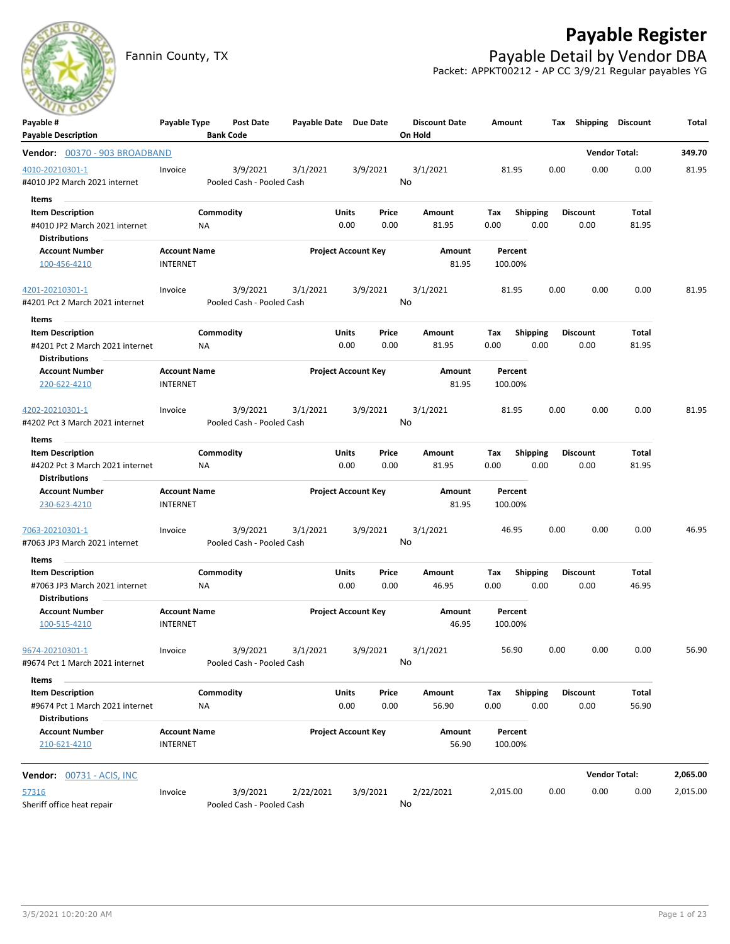

## **Payable Register**

Fannin County, TX **Payable Detail by Vendor DBA** Packet: APPKT00212 - AP CC 3/9/21 Regular payables YG

| Payable #                                     | Payable Type                           | Post Date                 | Payable Date Due Date |                            |          | <b>Discount Date</b> | Amount             |                 |      | Tax Shipping         | <b>Discount</b>      | Total    |
|-----------------------------------------------|----------------------------------------|---------------------------|-----------------------|----------------------------|----------|----------------------|--------------------|-----------------|------|----------------------|----------------------|----------|
| <b>Payable Description</b>                    |                                        | <b>Bank Code</b>          |                       |                            |          | On Hold              |                    |                 |      |                      |                      |          |
| Vendor: 00370 - 903 BROADBAND                 |                                        |                           |                       |                            |          |                      |                    |                 |      | <b>Vendor Total:</b> |                      | 349.70   |
| 4010-20210301-1                               | Invoice                                | 3/9/2021                  | 3/1/2021              |                            | 3/9/2021 | 3/1/2021             | 81.95              |                 | 0.00 | 0.00                 | 0.00                 | 81.95    |
| #4010 JP2 March 2021 internet                 |                                        | Pooled Cash - Pooled Cash |                       |                            |          | No                   |                    |                 |      |                      |                      |          |
| Items                                         |                                        |                           |                       |                            |          |                      |                    |                 |      |                      |                      |          |
| <b>Item Description</b>                       |                                        | Commodity                 |                       | Units                      | Price    | Amount               | Tax                | <b>Shipping</b> |      | <b>Discount</b>      | Total                |          |
| #4010 JP2 March 2021 internet                 | ΝA                                     |                           |                       | 0.00                       | 0.00     | 81.95                | 0.00               | 0.00            |      | 0.00                 | 81.95                |          |
| <b>Distributions</b>                          |                                        |                           |                       |                            |          |                      |                    |                 |      |                      |                      |          |
| <b>Account Number</b><br>100-456-4210         | <b>Account Name</b><br><b>INTERNET</b> |                           |                       | <b>Project Account Key</b> |          | Amount<br>81.95      | Percent<br>100.00% |                 |      |                      |                      |          |
|                                               |                                        |                           |                       |                            |          |                      |                    |                 |      |                      |                      |          |
| 4201-20210301-1                               | Invoice                                | 3/9/2021                  | 3/1/2021              |                            | 3/9/2021 | 3/1/2021             | 81.95              |                 | 0.00 | 0.00                 | 0.00                 | 81.95    |
| #4201 Pct 2 March 2021 internet               |                                        | Pooled Cash - Pooled Cash |                       |                            |          | No                   |                    |                 |      |                      |                      |          |
| ltems                                         |                                        |                           |                       |                            |          |                      |                    |                 |      |                      |                      |          |
| <b>Item Description</b>                       |                                        | Commodity                 |                       | Units                      | Price    | Amount               | Tax                | <b>Shipping</b> |      | <b>Discount</b>      | Total                |          |
| #4201 Pct 2 March 2021 internet               | ΝA                                     |                           |                       | 0.00                       | 0.00     | 81.95                | 0.00               | 0.00            |      | 0.00                 | 81.95                |          |
| <b>Distributions</b>                          |                                        |                           |                       |                            |          |                      |                    |                 |      |                      |                      |          |
| <b>Account Number</b>                         | <b>Account Name</b>                    |                           |                       | <b>Project Account Key</b> |          | Amount               | Percent            |                 |      |                      |                      |          |
| 220-622-4210                                  | <b>INTERNET</b>                        |                           |                       |                            |          | 81.95                | 100.00%            |                 |      |                      |                      |          |
| 4202-20210301-1                               | Invoice                                | 3/9/2021                  | 3/1/2021              |                            | 3/9/2021 | 3/1/2021             | 81.95              |                 | 0.00 | 0.00                 | 0.00                 | 81.95    |
| #4202 Pct 3 March 2021 internet               |                                        | Pooled Cash - Pooled Cash |                       |                            |          | No                   |                    |                 |      |                      |                      |          |
| Items                                         |                                        |                           |                       |                            |          |                      |                    |                 |      |                      |                      |          |
| <b>Item Description</b>                       |                                        | Commodity                 |                       | Units                      | Price    | Amount               | Tax                | <b>Shipping</b> |      | <b>Discount</b>      | Total                |          |
| #4202 Pct 3 March 2021 internet               | NA                                     |                           |                       | 0.00                       | 0.00     | 81.95                | 0.00               | 0.00            |      | 0.00                 | 81.95                |          |
| <b>Distributions</b>                          |                                        |                           |                       |                            |          |                      |                    |                 |      |                      |                      |          |
| <b>Account Number</b>                         | <b>Account Name</b>                    |                           |                       | <b>Project Account Key</b> |          | Amount               | Percent            |                 |      |                      |                      |          |
| 230-623-4210                                  | <b>INTERNET</b>                        |                           |                       |                            |          | 81.95                | 100.00%            |                 |      |                      |                      |          |
| 7063-20210301-1                               | Invoice                                | 3/9/2021                  | 3/1/2021              |                            | 3/9/2021 | 3/1/2021             | 46.95              |                 | 0.00 | 0.00                 | 0.00                 | 46.95    |
| #7063 JP3 March 2021 internet                 |                                        | Pooled Cash - Pooled Cash |                       |                            |          | No                   |                    |                 |      |                      |                      |          |
| Items                                         |                                        |                           |                       |                            |          |                      |                    |                 |      |                      |                      |          |
| <b>Item Description</b>                       |                                        | Commodity                 |                       | Units                      | Price    | Amount               | Tax                | <b>Shipping</b> |      | <b>Discount</b>      | Total                |          |
| #7063 JP3 March 2021 internet                 | ΝA                                     |                           |                       | 0.00                       | 0.00     | 46.95                | 0.00               | 0.00            |      | 0.00                 | 46.95                |          |
| <b>Distributions</b><br><b>Account Number</b> | <b>Account Name</b>                    |                           |                       | <b>Project Account Key</b> |          | Amount               | Percent            |                 |      |                      |                      |          |
| 100-515-4210                                  | <b>INTERNET</b>                        |                           |                       |                            |          | 46.95                | 100.00%            |                 |      |                      |                      |          |
|                                               |                                        |                           |                       |                            |          |                      |                    |                 |      |                      |                      |          |
| 9674-20210301-1                               | Invoice                                |                           | 3/9/2021 3/1/2021     |                            | 3/9/2021 | 3/1/2021             | 56.90              |                 | 0.00 | 0.00                 | 0.00                 | 56.90    |
| #9674 Pct 1 March 2021 internet               |                                        | Pooled Cash - Pooled Cash |                       |                            |          | No                   |                    |                 |      |                      |                      |          |
| Items                                         |                                        |                           |                       |                            |          |                      |                    |                 |      |                      |                      |          |
| <b>Item Description</b>                       |                                        | Commodity                 |                       | <b>Units</b>               | Price    | Amount               | Tax Shipping       |                 |      | <b>Discount</b>      | Total                |          |
| #9674 Pct 1 March 2021 internet               | NA.                                    |                           |                       | 0.00                       | 0.00     | 56.90                | 0.00               | 0.00            |      | 0.00                 | 56.90                |          |
| <b>Distributions</b>                          |                                        |                           |                       |                            |          |                      |                    |                 |      |                      |                      |          |
| <b>Account Number</b>                         | <b>Account Name</b>                    |                           |                       | <b>Project Account Key</b> |          | Amount               | Percent            |                 |      |                      |                      |          |
| 210-621-4210                                  | <b>INTERNET</b>                        |                           |                       |                            |          | 56.90                | 100.00%            |                 |      |                      |                      |          |
| <b>Vendor: 00731 - ACIS, INC</b>              |                                        |                           |                       |                            |          |                      |                    |                 |      |                      | <b>Vendor Total:</b> | 2,065.00 |
| 57316                                         | Invoice                                | 3/9/2021                  | 2/22/2021             |                            | 3/9/2021 | 2/22/2021            | 2,015.00           |                 | 0.00 | 0.00                 | 0.00                 | 2,015.00 |
| Sheriff office heat repair                    |                                        | Pooled Cash - Pooled Cash |                       |                            |          | No                   |                    |                 |      |                      |                      |          |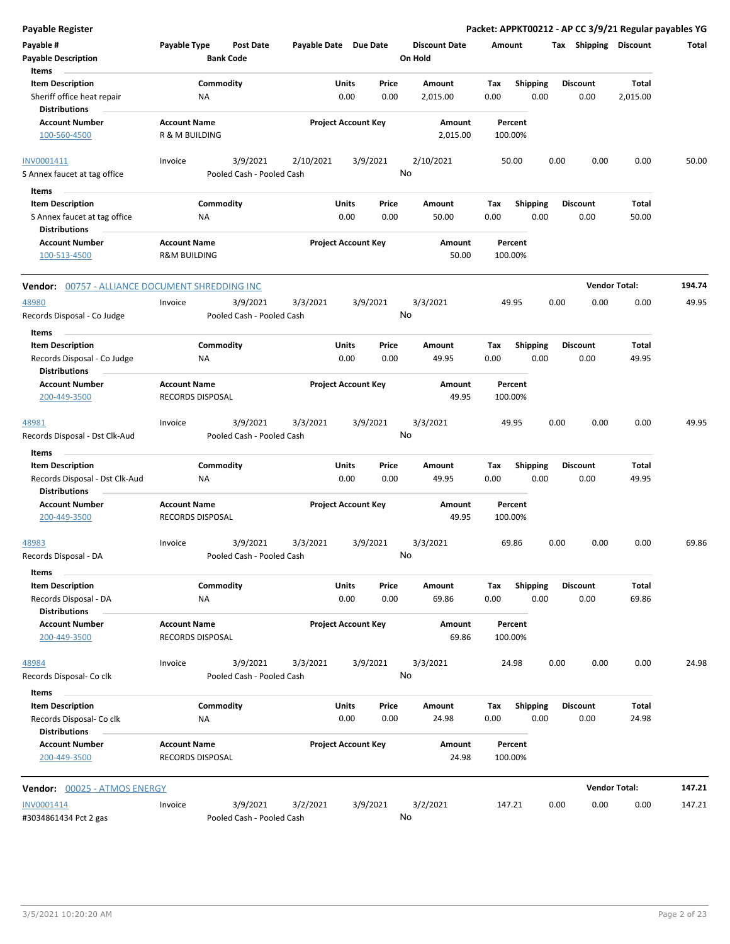| <b>Payable Register</b>                                                       |                                                |                                       |                            |               |               |                                 |             |                         |      |                         | Packet: APPKT00212 - AP CC 3/9/21 Regular payables YG |        |
|-------------------------------------------------------------------------------|------------------------------------------------|---------------------------------------|----------------------------|---------------|---------------|---------------------------------|-------------|-------------------------|------|-------------------------|-------------------------------------------------------|--------|
| Payable #<br><b>Payable Description</b>                                       | Payable Type                                   | <b>Post Date</b><br><b>Bank Code</b>  | Payable Date Due Date      |               |               | <b>Discount Date</b><br>On Hold | Amount      |                         |      | Tax Shipping Discount   |                                                       | Total  |
| Items                                                                         |                                                |                                       |                            |               |               |                                 |             |                         |      | <b>Discount</b>         |                                                       |        |
| <b>Item Description</b><br>Sheriff office heat repair<br><b>Distributions</b> | Commodity<br>NA                                |                                       |                            | Units<br>0.00 | Price<br>0.00 | Amount<br>2,015.00              | Tax<br>0.00 | <b>Shipping</b><br>0.00 |      | 0.00                    | Total<br>2,015.00                                     |        |
| <b>Account Number</b>                                                         | <b>Account Name</b>                            |                                       | <b>Project Account Key</b> |               |               | Amount                          |             | Percent                 |      |                         |                                                       |        |
| 100-560-4500                                                                  | R & M BUILDING                                 |                                       |                            |               |               | 2,015.00                        |             | 100.00%                 |      |                         |                                                       |        |
| INV0001411<br>S Annex faucet at tag office                                    | Invoice                                        | 3/9/2021<br>Pooled Cash - Pooled Cash | 2/10/2021                  |               | 3/9/2021      | 2/10/2021<br>No                 |             | 50.00                   | 0.00 | 0.00                    | 0.00                                                  | 50.00  |
|                                                                               |                                                |                                       |                            |               |               |                                 |             |                         |      |                         |                                                       |        |
| Items                                                                         |                                                |                                       |                            | Units         | Price         |                                 |             |                         |      |                         |                                                       |        |
| <b>Item Description</b><br>S Annex faucet at tag office                       | Commodity<br>NA                                |                                       |                            | 0.00          | 0.00          | Amount<br>50.00                 | Тах<br>0.00 | <b>Shipping</b><br>0.00 |      | Discount<br>0.00        | Total<br>50.00                                        |        |
| <b>Distributions</b>                                                          |                                                |                                       |                            |               |               |                                 |             |                         |      |                         |                                                       |        |
| <b>Account Number</b><br>100-513-4500                                         | <b>Account Name</b><br><b>R&amp;M BUILDING</b> |                                       | <b>Project Account Key</b> |               |               | Amount<br>50.00                 |             | Percent<br>100.00%      |      |                         |                                                       |        |
| Vendor: 00757 - ALLIANCE DOCUMENT SHREDDING INC                               |                                                |                                       |                            |               |               |                                 |             |                         |      | <b>Vendor Total:</b>    |                                                       | 194.74 |
| 48980<br>Records Disposal - Co Judge                                          | Invoice                                        | 3/9/2021<br>Pooled Cash - Pooled Cash | 3/3/2021                   |               | 3/9/2021      | 3/3/2021<br>No                  |             | 49.95                   | 0.00 | 0.00                    | 0.00                                                  | 49.95  |
| Items                                                                         |                                                |                                       |                            |               |               |                                 |             |                         |      |                         |                                                       |        |
| <b>Item Description</b><br>Records Disposal - Co Judge                        | Commodity<br>NA                                |                                       |                            | Units<br>0.00 | Price<br>0.00 | Amount<br>49.95                 | Тах<br>0.00 | <b>Shipping</b><br>0.00 |      | <b>Discount</b><br>0.00 | Total<br>49.95                                        |        |
| <b>Distributions</b>                                                          |                                                |                                       |                            |               |               |                                 |             |                         |      |                         |                                                       |        |
| <b>Account Number</b><br>200-449-3500                                         | <b>Account Name</b><br><b>RECORDS DISPOSAL</b> |                                       | <b>Project Account Key</b> |               |               | Amount<br>49.95                 |             | Percent<br>100.00%      |      |                         |                                                       |        |
| 48981<br>Records Disposal - Dst Clk-Aud                                       | Invoice                                        | 3/9/2021<br>Pooled Cash - Pooled Cash | 3/3/2021                   |               | 3/9/2021      | 3/3/2021<br>No                  |             | 49.95                   | 0.00 | 0.00                    | 0.00                                                  | 49.95  |
| Items                                                                         |                                                |                                       |                            |               |               |                                 |             |                         |      |                         |                                                       |        |
| <b>Item Description</b>                                                       | Commodity                                      |                                       |                            | Units<br>0.00 | Price<br>0.00 | Amount<br>49.95                 | Tax<br>0.00 | <b>Shipping</b><br>0.00 |      | <b>Discount</b><br>0.00 | Total<br>49.95                                        |        |
| Records Disposal - Dst Clk-Aud<br><b>Distributions</b>                        | ΝA                                             |                                       |                            |               |               |                                 |             |                         |      |                         |                                                       |        |
| <b>Account Number</b><br>200-449-3500                                         | <b>Account Name</b><br><b>RECORDS DISPOSAL</b> |                                       | <b>Project Account Key</b> |               |               | Amount<br>49.95                 |             | Percent<br>100.00%      |      |                         |                                                       |        |
| 48983<br>Records Disposal - DA                                                | Invoice                                        | 3/9/2021<br>Pooled Cash - Pooled Cash | 3/3/2021                   |               | 3/9/2021      | 3/3/2021<br>No                  |             | 69.86                   | 0.00 | 0.00                    | 0.00                                                  | 69.86  |
| Items                                                                         |                                                |                                       |                            |               |               |                                 |             |                         |      |                         |                                                       |        |
| <b>Item Description</b>                                                       | Commodity                                      |                                       |                            | Units         | Price         | Amount                          | Tax         | <b>Shipping</b>         |      | <b>Discount</b>         | Total                                                 |        |
| Records Disposal - DA<br><b>Distributions</b>                                 | <b>NA</b>                                      |                                       |                            | 0.00          | 0.00          | 69.86                           | 0.00        | 0.00                    |      | 0.00                    | 69.86                                                 |        |
| <b>Account Number</b><br>200-449-3500                                         | <b>Account Name</b><br>RECORDS DISPOSAL        |                                       | <b>Project Account Key</b> |               |               | Amount<br>69.86                 |             | Percent<br>100.00%      |      |                         |                                                       |        |
| 48984                                                                         | Invoice                                        | 3/9/2021                              | 3/3/2021                   |               | 3/9/2021      | 3/3/2021                        |             | 24.98                   | 0.00 | 0.00                    | 0.00                                                  | 24.98  |
| Records Disposal- Co clk                                                      |                                                | Pooled Cash - Pooled Cash             |                            |               |               | No                              |             |                         |      |                         |                                                       |        |
| Items                                                                         |                                                |                                       |                            |               |               |                                 |             |                         |      |                         |                                                       |        |
| <b>Item Description</b><br>Records Disposal- Co clk                           | Commodity<br>NA                                |                                       |                            | Units<br>0.00 | Price<br>0.00 | Amount<br>24.98                 | Тах<br>0.00 | <b>Shipping</b><br>0.00 |      | <b>Discount</b><br>0.00 | Total<br>24.98                                        |        |
| <b>Distributions</b>                                                          |                                                |                                       |                            |               |               |                                 |             |                         |      |                         |                                                       |        |
| <b>Account Number</b><br>200-449-3500                                         | <b>Account Name</b><br>RECORDS DISPOSAL        |                                       | <b>Project Account Key</b> |               |               | Amount<br>24.98                 |             | Percent<br>100.00%      |      |                         |                                                       |        |
| Vendor: 00025 - ATMOS ENERGY                                                  |                                                |                                       |                            |               |               |                                 |             |                         |      | <b>Vendor Total:</b>    |                                                       | 147.21 |
| INV0001414                                                                    |                                                | 3/9/2021                              | 3/2/2021                   |               | 3/9/2021      | 3/2/2021                        |             |                         |      |                         |                                                       |        |
| #3034861434 Pct 2 gas                                                         | Invoice                                        | Pooled Cash - Pooled Cash             |                            |               |               | No                              |             | 147.21                  | 0.00 | 0.00                    | 0.00                                                  | 147.21 |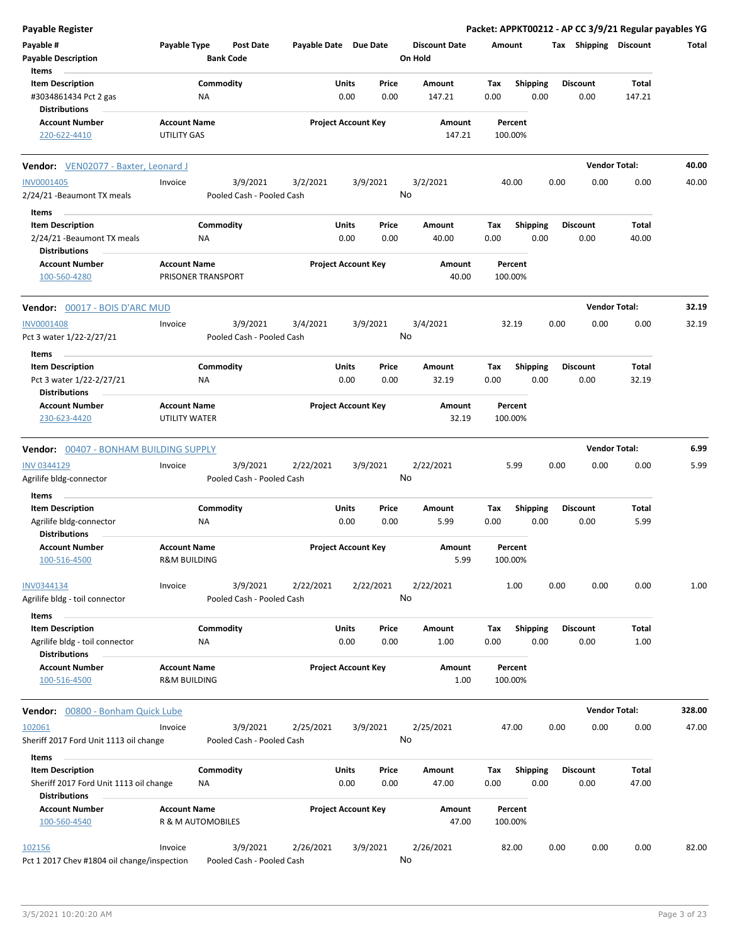| <b>Payable Register</b>                     |                         |                           |                       |       |                            |                      |        |                 |      |                       | Packet: APPKT00212 - AP CC 3/9/21 Regular payables YG |        |
|---------------------------------------------|-------------------------|---------------------------|-----------------------|-------|----------------------------|----------------------|--------|-----------------|------|-----------------------|-------------------------------------------------------|--------|
| Payable #                                   | Payable Type            | <b>Post Date</b>          | Payable Date Due Date |       |                            | <b>Discount Date</b> | Amount |                 |      | Tax Shipping Discount |                                                       | Total  |
| <b>Payable Description</b>                  |                         | <b>Bank Code</b>          |                       |       |                            | On Hold              |        |                 |      |                       |                                                       |        |
| Items                                       |                         |                           |                       |       |                            |                      |        |                 |      |                       |                                                       |        |
| <b>Item Description</b>                     |                         | Commodity                 |                       | Units | Price                      | Amount               | Tax    | <b>Shipping</b> |      | <b>Discount</b>       | Total                                                 |        |
| #3034861434 Pct 2 gas                       |                         | ΝA                        |                       | 0.00  | 0.00                       | 147.21               | 0.00   | 0.00            |      | 0.00                  | 147.21                                                |        |
| <b>Distributions</b>                        |                         |                           |                       |       |                            |                      |        |                 |      |                       |                                                       |        |
|                                             |                         |                           |                       |       |                            |                      |        |                 |      |                       |                                                       |        |
| <b>Account Number</b>                       | <b>Account Name</b>     |                           |                       |       | <b>Project Account Key</b> | Amount               |        | Percent         |      |                       |                                                       |        |
| 220-622-4410                                | UTILITY GAS             |                           |                       |       |                            | 147.21               |        | 100.00%         |      |                       |                                                       |        |
| Vendor: VEN02077 - Baxter, Leonard J        |                         |                           |                       |       |                            |                      |        |                 |      |                       | <b>Vendor Total:</b>                                  | 40.00  |
| <b>INV0001405</b>                           | Invoice                 | 3/9/2021                  | 3/2/2021              |       | 3/9/2021                   | 3/2/2021             |        | 40.00           | 0.00 | 0.00                  | 0.00                                                  | 40.00  |
| 2/24/21 - Beaumont TX meals                 |                         | Pooled Cash - Pooled Cash |                       |       |                            | No                   |        |                 |      |                       |                                                       |        |
|                                             |                         |                           |                       |       |                            |                      |        |                 |      |                       |                                                       |        |
| Items                                       |                         |                           |                       |       |                            |                      |        |                 |      |                       |                                                       |        |
| <b>Item Description</b>                     |                         | Commodity                 |                       | Units | Price                      | Amount               | Tax    | Shipping        |      | <b>Discount</b>       | Total                                                 |        |
| 2/24/21 - Beaumont TX meals                 |                         | ΝA                        |                       | 0.00  | 0.00                       | 40.00                | 0.00   | 0.00            |      | 0.00                  | 40.00                                                 |        |
| <b>Distributions</b>                        |                         |                           |                       |       |                            |                      |        |                 |      |                       |                                                       |        |
| <b>Account Number</b>                       | <b>Account Name</b>     |                           |                       |       | <b>Project Account Key</b> | Amount               |        | Percent         |      |                       |                                                       |        |
| 100-560-4280                                |                         | PRISONER TRANSPORT        |                       |       |                            | 40.00                |        | 100.00%         |      |                       |                                                       |        |
|                                             |                         |                           |                       |       |                            |                      |        |                 |      |                       |                                                       |        |
| <b>Vendor: 00017 - BOIS D'ARC MUD</b>       |                         |                           |                       |       |                            |                      |        |                 |      |                       | <b>Vendor Total:</b>                                  | 32.19  |
| <b>INV0001408</b>                           | Invoice                 | 3/9/2021                  | 3/4/2021              |       | 3/9/2021                   | 3/4/2021             |        | 32.19           | 0.00 | 0.00                  | 0.00                                                  | 32.19  |
| Pct 3 water 1/22-2/27/21                    |                         | Pooled Cash - Pooled Cash |                       |       |                            | No                   |        |                 |      |                       |                                                       |        |
|                                             |                         |                           |                       |       |                            |                      |        |                 |      |                       |                                                       |        |
| Items                                       |                         |                           |                       |       |                            |                      |        |                 |      |                       |                                                       |        |
| <b>Item Description</b>                     |                         | Commodity                 |                       | Units | Price                      | Amount               | Tax    | <b>Shipping</b> |      | <b>Discount</b>       | Total                                                 |        |
| Pct 3 water 1/22-2/27/21                    |                         | ΝA                        |                       | 0.00  | 0.00                       | 32.19                | 0.00   | 0.00            |      | 0.00                  | 32.19                                                 |        |
| Distributions                               |                         |                           |                       |       |                            |                      |        |                 |      |                       |                                                       |        |
| <b>Account Number</b>                       | <b>Account Name</b>     |                           |                       |       | <b>Project Account Key</b> | Amount               |        | Percent         |      |                       |                                                       |        |
| 230-623-4420                                | UTILITY WATER           |                           |                       |       |                            | 32.19                |        | 100.00%         |      |                       |                                                       |        |
|                                             |                         |                           |                       |       |                            |                      |        |                 |      |                       |                                                       |        |
| Vendor: 00407 - BONHAM BUILDING SUPPLY      |                         |                           |                       |       |                            |                      |        |                 |      |                       | <b>Vendor Total:</b>                                  | 6.99   |
| <b>INV 0344129</b>                          | Invoice                 | 3/9/2021                  | 2/22/2021             |       | 3/9/2021                   | 2/22/2021            |        | 5.99            | 0.00 | 0.00                  | 0.00                                                  | 5.99   |
| Agrilife bldg-connector                     |                         | Pooled Cash - Pooled Cash |                       |       |                            | No                   |        |                 |      |                       |                                                       |        |
| Items                                       |                         |                           |                       |       |                            |                      |        |                 |      |                       |                                                       |        |
| <b>Item Description</b>                     |                         | Commodity                 |                       | Units | Price                      | Amount               | Tax    | <b>Shipping</b> |      | <b>Discount</b>       | Total                                                 |        |
|                                             |                         |                           |                       |       |                            |                      |        |                 |      |                       |                                                       |        |
| Agrilife bldg-connector                     |                         | ΝA                        |                       | 0.00  | 0.00                       | 5.99                 | 0.00   | 0.00            |      | 0.00                  | 5.99                                                  |        |
| <b>Distributions</b>                        |                         |                           |                       |       |                            |                      |        |                 |      |                       |                                                       |        |
| <b>Account Number</b>                       | <b>Account Name</b>     |                           |                       |       | <b>Project Account Key</b> | Amount               |        | Percent         |      |                       |                                                       |        |
| 100-516-4500                                | <b>R&amp;M BUILDING</b> |                           |                       |       |                            | 5.99                 |        | 100.00%         |      |                       |                                                       |        |
| INV0344134                                  | Invoice                 | 3/9/2021                  | 2/22/2021             |       | 2/22/2021                  | 2/22/2021            |        | 1.00            | 0.00 | 0.00                  | 0.00                                                  | 1.00   |
| Agrilife bldg - toil connector              |                         | Pooled Cash - Pooled Cash |                       |       |                            | No                   |        |                 |      |                       |                                                       |        |
|                                             |                         |                           |                       |       |                            |                      |        |                 |      |                       |                                                       |        |
| Items                                       |                         |                           |                       |       |                            |                      |        |                 |      |                       |                                                       |        |
| <b>Item Description</b>                     |                         | Commodity                 |                       | Units | Price                      | Amount               | Tax    | <b>Shipping</b> |      | <b>Discount</b>       | Total                                                 |        |
| Agrilife bldg - toil connector              |                         | NA                        |                       | 0.00  | 0.00                       | 1.00                 | 0.00   | 0.00            |      | 0.00                  | 1.00                                                  |        |
| <b>Distributions</b>                        |                         |                           |                       |       |                            |                      |        |                 |      |                       |                                                       |        |
| <b>Account Number</b>                       | <b>Account Name</b>     |                           |                       |       | <b>Project Account Key</b> | Amount               |        | Percent         |      |                       |                                                       |        |
| 100-516-4500                                | <b>R&amp;M BUILDING</b> |                           |                       |       |                            | 1.00                 |        | 100.00%         |      |                       |                                                       |        |
|                                             |                         |                           |                       |       |                            |                      |        |                 |      |                       |                                                       |        |
| <b>Vendor:</b> 00800 - Bonham Quick Lube    |                         |                           |                       |       |                            |                      |        |                 |      |                       | <b>Vendor Total:</b>                                  | 328.00 |
| 102061                                      | Invoice                 | 3/9/2021                  | 2/25/2021             |       | 3/9/2021                   | 2/25/2021            |        | 47.00           | 0.00 | 0.00                  | 0.00                                                  | 47.00  |
| Sheriff 2017 Ford Unit 1113 oil change      |                         | Pooled Cash - Pooled Cash |                       |       |                            | No                   |        |                 |      |                       |                                                       |        |
|                                             |                         |                           |                       |       |                            |                      |        |                 |      |                       |                                                       |        |
| Items                                       |                         |                           |                       |       |                            |                      |        |                 |      |                       |                                                       |        |
| <b>Item Description</b>                     |                         | Commodity                 |                       | Units | Price                      | Amount               | Tax    | <b>Shipping</b> |      | <b>Discount</b>       | Total                                                 |        |
| Sheriff 2017 Ford Unit 1113 oil change      |                         | ΝA                        |                       | 0.00  | 0.00                       | 47.00                | 0.00   | 0.00            |      | 0.00                  | 47.00                                                 |        |
| <b>Distributions</b>                        |                         |                           |                       |       |                            |                      |        |                 |      |                       |                                                       |        |
| <b>Account Number</b>                       | <b>Account Name</b>     |                           |                       |       | <b>Project Account Key</b> | Amount               |        | Percent         |      |                       |                                                       |        |
| 100-560-4540                                |                         | R & M AUTOMOBILES         |                       |       |                            | 47.00                |        | 100.00%         |      |                       |                                                       |        |
|                                             |                         |                           |                       |       |                            |                      |        |                 |      |                       |                                                       |        |
| 102156                                      | Invoice                 | 3/9/2021                  | 2/26/2021             |       | 3/9/2021                   | 2/26/2021            |        | 82.00           | 0.00 | 0.00                  | 0.00                                                  | 82.00  |
| Pct 1 2017 Chev #1804 oil change/inspection |                         | Pooled Cash - Pooled Cash |                       |       |                            | No                   |        |                 |      |                       |                                                       |        |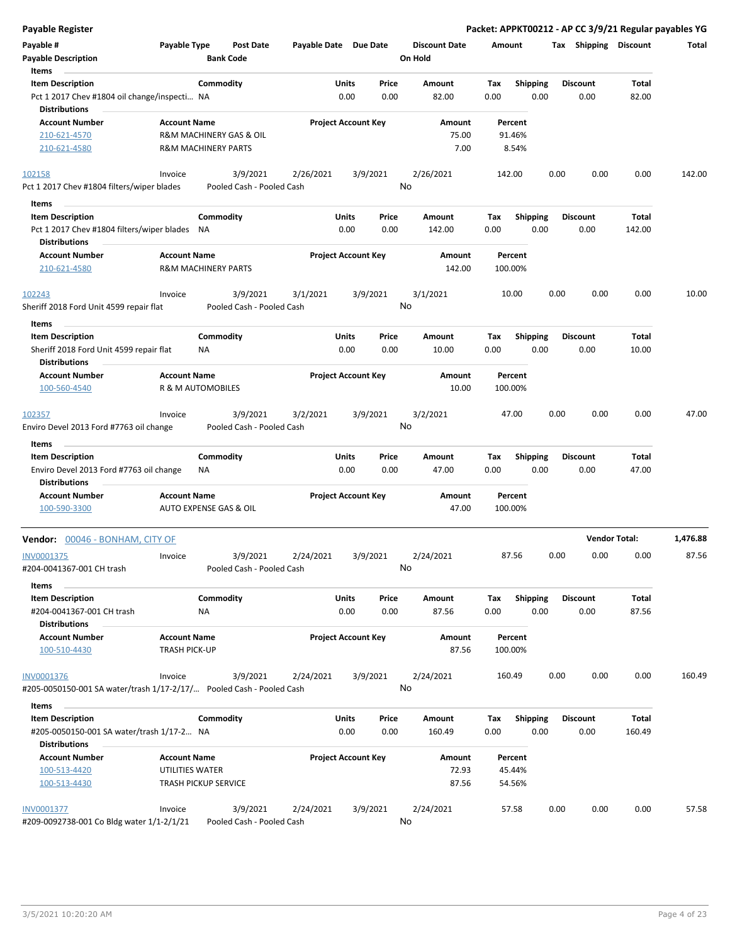| <b>Payable Register</b>                                                                         |                                             |                                       |                       |                            |               |                                 |             |                         |      |                         | Packet: APPKT00212 - AP CC 3/9/21 Regular payables YG |          |
|-------------------------------------------------------------------------------------------------|---------------------------------------------|---------------------------------------|-----------------------|----------------------------|---------------|---------------------------------|-------------|-------------------------|------|-------------------------|-------------------------------------------------------|----------|
| Payable #<br><b>Payable Description</b>                                                         | Payable Type                                | <b>Post Date</b><br><b>Bank Code</b>  | Payable Date Due Date |                            |               | <b>Discount Date</b><br>On Hold | Amount      |                         |      | Tax Shipping Discount   |                                                       | Total    |
| Items                                                                                           |                                             |                                       |                       |                            |               |                                 |             |                         |      |                         |                                                       |          |
| <b>Item Description</b><br>Pct 1 2017 Chev #1804 oil change/inspecti NA<br><b>Distributions</b> |                                             | Commodity                             |                       | Units<br>0.00              | Price<br>0.00 | Amount<br>82.00                 | Tax<br>0.00 | <b>Shipping</b><br>0.00 |      | <b>Discount</b><br>0.00 | Total<br>82.00                                        |          |
| <b>Account Number</b><br>210-621-4570                                                           | <b>Account Name</b>                         | R&M MACHINERY GAS & OIL               |                       | <b>Project Account Key</b> |               | Amount<br>75.00                 |             | Percent<br>91.46%       |      |                         |                                                       |          |
| 210-621-4580                                                                                    |                                             | <b>R&amp;M MACHINERY PARTS</b>        |                       |                            |               | 7.00                            |             | 8.54%                   |      |                         |                                                       |          |
| 102158<br>Pct 1 2017 Chev #1804 filters/wiper blades                                            | Invoice                                     | 3/9/2021<br>Pooled Cash - Pooled Cash | 2/26/2021             | 3/9/2021                   |               | 2/26/2021<br>No                 | 142.00      |                         | 0.00 | 0.00                    | 0.00                                                  | 142.00   |
| Items                                                                                           |                                             |                                       |                       |                            |               |                                 |             |                         |      |                         |                                                       |          |
| <b>Item Description</b>                                                                         |                                             | Commodity                             |                       | Units                      | Price         | Amount                          | Тах         | <b>Shipping</b>         |      | <b>Discount</b>         | Total                                                 |          |
| Pct 1 2017 Chev #1804 filters/wiper blades NA<br><b>Distributions</b>                           |                                             |                                       |                       | 0.00                       | 0.00          | 142.00                          | 0.00        | 0.00                    |      | 0.00                    | 142.00                                                |          |
| <b>Account Number</b><br>210-621-4580                                                           | <b>Account Name</b>                         | <b>R&amp;M MACHINERY PARTS</b>        |                       | <b>Project Account Key</b> |               | Amount<br>142.00                | 100.00%     | Percent                 |      |                         |                                                       |          |
| 102243<br>Sheriff 2018 Ford Unit 4599 repair flat                                               | Invoice                                     | 3/9/2021<br>Pooled Cash - Pooled Cash | 3/1/2021              | 3/9/2021                   |               | 3/1/2021<br>No                  | 10.00       |                         | 0.00 | 0.00                    | 0.00                                                  | 10.00    |
| Items                                                                                           |                                             |                                       |                       |                            |               |                                 |             |                         |      |                         |                                                       |          |
| <b>Item Description</b>                                                                         |                                             | Commodity                             |                       | Units                      | Price         | Amount                          | Tax         | <b>Shipping</b>         |      | <b>Discount</b>         | Total                                                 |          |
| Sheriff 2018 Ford Unit 4599 repair flat<br><b>Distributions</b>                                 |                                             | ΝA                                    |                       | 0.00                       | 0.00          | 10.00                           | 0.00        | 0.00                    |      | 0.00                    | 10.00                                                 |          |
| <b>Account Number</b><br>100-560-4540                                                           | <b>Account Name</b>                         | R & M AUTOMOBILES                     |                       | <b>Project Account Key</b> |               | Amount<br>10.00                 | 100.00%     | Percent                 |      |                         |                                                       |          |
| 102357<br>Enviro Devel 2013 Ford #7763 oil change                                               | Invoice                                     | 3/9/2021<br>Pooled Cash - Pooled Cash | 3/2/2021              | 3/9/2021                   |               | 3/2/2021<br>No                  |             | 47.00                   | 0.00 | 0.00                    | 0.00                                                  | 47.00    |
| Items                                                                                           |                                             |                                       |                       |                            |               |                                 |             |                         |      |                         |                                                       |          |
| <b>Item Description</b><br>Enviro Devel 2013 Ford #7763 oil change                              |                                             | Commodity<br>ΝA                       |                       | Units<br>0.00              | Price<br>0.00 | Amount<br>47.00                 | Tax<br>0.00 | <b>Shipping</b><br>0.00 |      | Discount<br>0.00        | Total<br>47.00                                        |          |
| <b>Distributions</b><br><b>Account Number</b><br>100-590-3300                                   | <b>Account Name</b>                         | AUTO EXPENSE GAS & OIL                |                       | <b>Project Account Key</b> |               | Amount<br>47.00                 | 100.00%     | Percent                 |      |                         |                                                       |          |
| Vendor: 00046 - BONHAM, CITY OF                                                                 |                                             |                                       |                       |                            |               |                                 |             |                         |      |                         | <b>Vendor Total:</b>                                  | 1,476.88 |
| INV0001375<br>#204-0041367-001 CH trash                                                         | Invoice                                     | 3/9/2021<br>Pooled Cash - Pooled Cash | 2/24/2021             | 3/9/2021                   |               | 2/24/2021<br>No                 | 87.56       |                         | 0.00 | 0.00                    | 0.00                                                  | 87.56    |
| Items                                                                                           |                                             |                                       |                       |                            |               |                                 |             |                         |      |                         |                                                       |          |
| <b>Item Description</b><br>#204-0041367-001 CH trash<br><b>Distributions</b>                    |                                             | Commodity<br>NA                       |                       | <b>Units</b><br>0.00       | Price<br>0.00 | Amount<br>87.56                 | Tax<br>0.00 | <b>Shipping</b><br>0.00 |      | <b>Discount</b><br>0.00 | Total<br>87.56                                        |          |
| <b>Account Number</b><br>100-510-4430                                                           | <b>Account Name</b><br><b>TRASH PICK-UP</b> |                                       |                       | <b>Project Account Key</b> |               | Amount<br>87.56                 | 100.00%     | Percent                 |      |                         |                                                       |          |
| <b>INV0001376</b><br>#205-0050150-001 SA water/trash 1/17-2/17/ Pooled Cash - Pooled Cash       | Invoice                                     | 3/9/2021                              | 2/24/2021             | 3/9/2021                   |               | 2/24/2021<br>No                 | 160.49      |                         | 0.00 | 0.00                    | 0.00                                                  | 160.49   |
| Items                                                                                           |                                             |                                       |                       |                            |               |                                 |             |                         |      |                         |                                                       |          |
| <b>Item Description</b><br>#205-0050150-001 SA water/trash 1/17-2 NA                            |                                             | Commodity                             |                       | Units<br>0.00              | Price<br>0.00 | Amount<br>160.49                | Тах<br>0.00 | <b>Shipping</b><br>0.00 |      | Discount<br>0.00        | Total<br>160.49                                       |          |
| <b>Distributions</b>                                                                            |                                             |                                       |                       |                            |               |                                 |             |                         |      |                         |                                                       |          |
| <b>Account Number</b>                                                                           | <b>Account Name</b>                         |                                       |                       | <b>Project Account Key</b> |               | Amount                          |             | Percent                 |      |                         |                                                       |          |
| 100-513-4420                                                                                    | UTILITIES WATER                             |                                       |                       |                            |               | 72.93                           |             | 45.44%                  |      |                         |                                                       |          |
| 100-513-4430                                                                                    |                                             | <b>TRASH PICKUP SERVICE</b>           |                       |                            |               | 87.56                           |             | 54.56%                  |      |                         |                                                       |          |
| INV0001377                                                                                      | Invoice                                     | 3/9/2021                              | 2/24/2021             | 3/9/2021                   |               | 2/24/2021                       | 57.58       |                         | 0.00 | 0.00                    | 0.00                                                  | 57.58    |
| #209-0092738-001 Co Bldg water 1/1-2/1/21                                                       |                                             | Pooled Cash - Pooled Cash             |                       |                            |               | No                              |             |                         |      |                         |                                                       |          |

 $\overline{a}$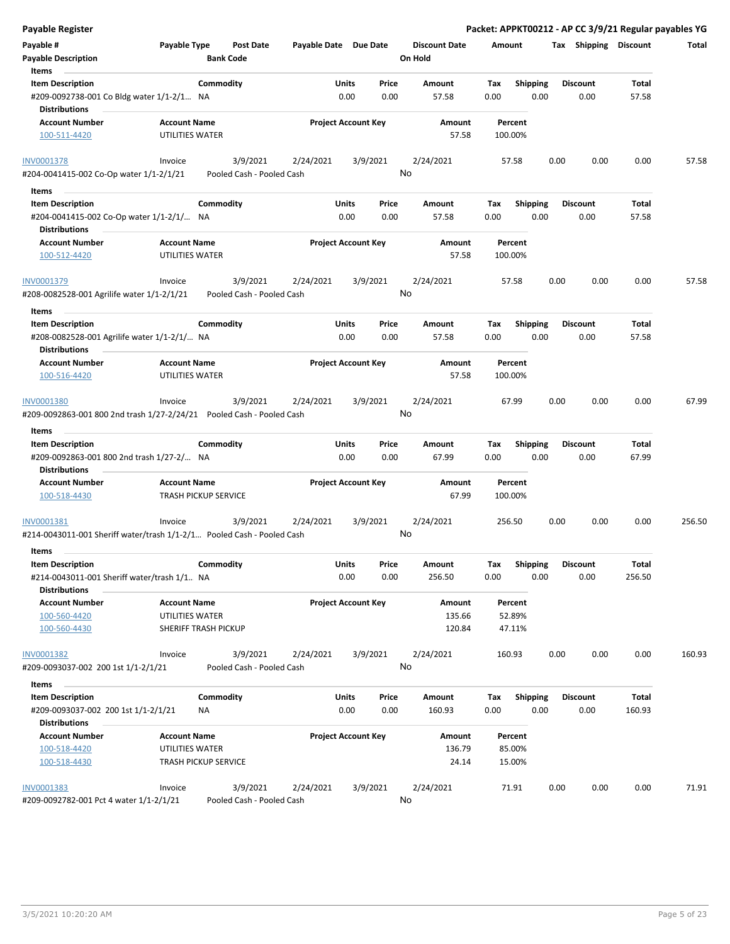| Payable Register                                                                            |                                                    |                                      |                       |                                |                                 | Packet: APPKT00212 - AP CC 3/9/21 Regular payables YG |      |                         |                 |        |
|---------------------------------------------------------------------------------------------|----------------------------------------------------|--------------------------------------|-----------------------|--------------------------------|---------------------------------|-------------------------------------------------------|------|-------------------------|-----------------|--------|
| Payable #<br><b>Payable Description</b>                                                     | Payable Type                                       | <b>Post Date</b><br><b>Bank Code</b> | Payable Date Due Date |                                | <b>Discount Date</b><br>On Hold | Amount                                                |      | Tax Shipping Discount   |                 | Total  |
| Items                                                                                       |                                                    |                                      |                       |                                |                                 |                                                       |      |                         |                 |        |
| <b>Item Description</b>                                                                     |                                                    | Commodity                            |                       | Units<br>Price                 | Amount                          | <b>Shipping</b><br>Tax                                |      | <b>Discount</b>         | Total           |        |
| #209-0092738-001 Co Bldg water 1/1-2/1 NA<br><b>Distributions</b>                           |                                                    |                                      |                       | 0.00<br>0.00                   | 57.58                           | 0.00                                                  | 0.00 | 0.00                    | 57.58           |        |
| <b>Account Number</b>                                                                       | <b>Account Name</b>                                |                                      |                       | <b>Project Account Key</b>     | Amount                          | Percent                                               |      |                         |                 |        |
| 100-511-4420                                                                                | UTILITIES WATER                                    |                                      |                       |                                | 57.58                           | 100.00%                                               |      |                         |                 |        |
| <b>INV0001378</b>                                                                           | Invoice                                            | 3/9/2021                             | 2/24/2021             | 3/9/2021                       | 2/24/2021                       | 57.58                                                 | 0.00 | 0.00                    | 0.00            | 57.58  |
| #204-0041415-002 Co-Op water 1/1-2/1/21                                                     |                                                    | Pooled Cash - Pooled Cash            |                       |                                | No                              |                                                       |      |                         |                 |        |
| Items                                                                                       |                                                    |                                      |                       |                                |                                 |                                                       |      |                         |                 |        |
| <b>Item Description</b><br>#204-0041415-002 Co-Op water 1/1-2/1/ NA<br><b>Distributions</b> |                                                    | Commodity                            |                       | Units<br>Price<br>0.00<br>0.00 | Amount<br>57.58                 | Tax<br><b>Shipping</b><br>0.00                        | 0.00 | <b>Discount</b><br>0.00 | Total<br>57.58  |        |
| <b>Account Number</b>                                                                       | <b>Account Name</b>                                |                                      |                       | <b>Project Account Key</b>     | Amount                          | Percent                                               |      |                         |                 |        |
| 100-512-4420                                                                                | UTILITIES WATER                                    |                                      |                       |                                | 57.58                           | 100.00%                                               |      |                         |                 |        |
| INV0001379                                                                                  | Invoice                                            | 3/9/2021                             | 2/24/2021             | 3/9/2021                       | 2/24/2021                       | 57.58                                                 | 0.00 | 0.00                    | 0.00            | 57.58  |
| #208-0082528-001 Agrilife water 1/1-2/1/21                                                  |                                                    | Pooled Cash - Pooled Cash            |                       |                                | No                              |                                                       |      |                         |                 |        |
| Items                                                                                       |                                                    |                                      |                       |                                |                                 |                                                       |      |                         |                 |        |
| <b>Item Description</b>                                                                     |                                                    | Commodity                            |                       | Units<br>Price                 | Amount                          | Tax<br><b>Shipping</b>                                |      | <b>Discount</b>         | Total           |        |
| #208-0082528-001 Agrilife water 1/1-2/1/ NA                                                 |                                                    |                                      |                       | 0.00<br>0.00                   | 57.58                           | 0.00                                                  | 0.00 | 0.00                    | 57.58           |        |
| <b>Distributions</b>                                                                        |                                                    |                                      |                       |                                |                                 |                                                       |      |                         |                 |        |
| <b>Account Number</b>                                                                       | <b>Account Name</b>                                |                                      |                       | <b>Project Account Key</b>     | Amount                          | Percent                                               |      |                         |                 |        |
| 100-516-4420                                                                                | UTILITIES WATER                                    |                                      |                       |                                | 57.58                           | 100.00%                                               |      |                         |                 |        |
| INV0001380                                                                                  | Invoice                                            | 3/9/2021                             | 2/24/2021             | 3/9/2021                       | 2/24/2021                       | 67.99                                                 | 0.00 | 0.00                    | 0.00            | 67.99  |
| #209-0092863-001 800 2nd trash 1/27-2/24/21 Pooled Cash - Pooled Cash                       |                                                    |                                      |                       |                                | No                              |                                                       |      |                         |                 |        |
| Items                                                                                       |                                                    |                                      |                       |                                |                                 |                                                       |      |                         |                 |        |
| <b>Item Description</b>                                                                     |                                                    | Commodity                            |                       | Units<br>Price                 | Amount                          | <b>Shipping</b><br>Tax                                |      | <b>Discount</b>         | Total           |        |
| #209-0092863-001 800 2nd trash 1/27-2/ NA<br><b>Distributions</b>                           |                                                    |                                      |                       | 0.00<br>0.00                   | 67.99                           | 0.00                                                  | 0.00 | 0.00                    | 67.99           |        |
| <b>Account Number</b><br>100-518-4430                                                       | <b>Account Name</b><br><b>TRASH PICKUP SERVICE</b> |                                      |                       | <b>Project Account Key</b>     | Amount<br>67.99                 | Percent<br>100.00%                                    |      |                         |                 |        |
| INV0001381                                                                                  | Invoice                                            | 3/9/2021                             | 2/24/2021             | 3/9/2021                       | 2/24/2021                       | 256.50                                                | 0.00 | 0.00                    | 0.00            | 256.50 |
| #214-0043011-001 Sheriff water/trash 1/1-2/1 Pooled Cash - Pooled Cash                      |                                                    |                                      |                       |                                | No                              |                                                       |      |                         |                 |        |
| Items                                                                                       |                                                    |                                      |                       |                                |                                 |                                                       |      |                         |                 |        |
| <b>Item Description</b><br>#214-0043011-001 Sheriff water/trash 1/1 NA                      |                                                    | Commodity                            |                       | Units<br>Price<br>0.00<br>0.00 | Amount<br>256.50                | Shipping<br>Tax<br>0.00                               | 0.00 | <b>Discount</b><br>0.00 | Total<br>256.50 |        |
| <b>Distributions</b>                                                                        |                                                    |                                      |                       |                                |                                 |                                                       |      |                         |                 |        |
| <b>Account Number</b>                                                                       | <b>Account Name</b>                                |                                      |                       | <b>Project Account Key</b>     | Amount                          | Percent                                               |      |                         |                 |        |
| 100-560-4420<br>100-560-4430                                                                | UTILITIES WATER                                    | SHERIFF TRASH PICKUP                 |                       |                                | 135.66<br>120.84                | 52.89%<br>47.11%                                      |      |                         |                 |        |
| INV0001382                                                                                  | Invoice                                            | 3/9/2021                             | 2/24/2021             | 3/9/2021                       | 2/24/2021                       | 160.93                                                | 0.00 | 0.00                    | 0.00            | 160.93 |
| #209-0093037-002 200 1st 1/1-2/1/21                                                         |                                                    | Pooled Cash - Pooled Cash            |                       |                                | No                              |                                                       |      |                         |                 |        |
| Items                                                                                       |                                                    |                                      |                       |                                |                                 |                                                       |      |                         |                 |        |
| <b>Item Description</b><br>#209-0093037-002 200 1st 1/1-2/1/21                              |                                                    | Commodity<br>NA                      |                       | Units<br>Price<br>0.00<br>0.00 | Amount<br>160.93                | Shipping<br>Tax<br>0.00                               | 0.00 | <b>Discount</b><br>0.00 | Total<br>160.93 |        |
| <b>Distributions</b>                                                                        |                                                    |                                      |                       |                                |                                 |                                                       |      |                         |                 |        |
| <b>Account Number</b>                                                                       | <b>Account Name</b>                                |                                      |                       | <b>Project Account Key</b>     | Amount                          | Percent                                               |      |                         |                 |        |
| 100-518-4420                                                                                | UTILITIES WATER                                    |                                      |                       |                                | 136.79                          | 85.00%                                                |      |                         |                 |        |
| 100-518-4430                                                                                | TRASH PICKUP SERVICE                               |                                      |                       |                                | 24.14                           | 15.00%                                                |      |                         |                 |        |
| INV0001383                                                                                  | Invoice                                            | 3/9/2021                             | 2/24/2021             | 3/9/2021                       | 2/24/2021                       | 71.91                                                 | 0.00 | 0.00                    | 0.00            | 71.91  |
| #209-0092782-001 Pct 4 water 1/1-2/1/21                                                     |                                                    | Pooled Cash - Pooled Cash            |                       |                                | No                              |                                                       |      |                         |                 |        |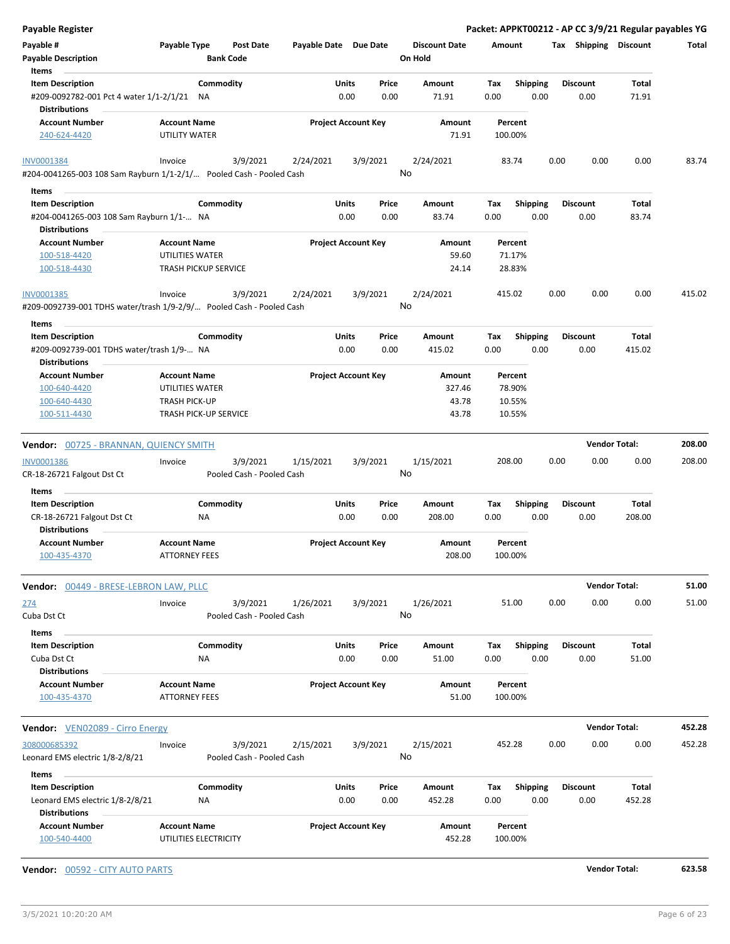| <b>Payable Register</b>                                              |                                             |                                       |                       |                            |                                 |             |                 | Packet: APPKT00212 - AP CC 3/9/21 Regular payables YG |                      |        |
|----------------------------------------------------------------------|---------------------------------------------|---------------------------------------|-----------------------|----------------------------|---------------------------------|-------------|-----------------|-------------------------------------------------------|----------------------|--------|
| Payable #<br><b>Payable Description</b>                              | Payable Type                                | <b>Post Date</b><br><b>Bank Code</b>  | Payable Date Due Date |                            | <b>Discount Date</b><br>On Hold | Amount      |                 | Tax Shipping Discount                                 |                      | Total  |
| Items                                                                |                                             |                                       |                       |                            |                                 |             |                 |                                                       |                      |        |
| <b>Item Description</b>                                              | Commodity                                   |                                       | Units                 | Price                      | Amount                          | Tax         | <b>Shipping</b> | <b>Discount</b>                                       | Total                |        |
| #209-0092782-001 Pct 4 water 1/1-2/1/21<br><b>Distributions</b>      | ΝA                                          |                                       |                       | 0.00<br>0.00               | 71.91                           | 0.00        | 0.00            | 0.00                                                  | 71.91                |        |
| <b>Account Number</b>                                                | <b>Account Name</b>                         |                                       |                       | <b>Project Account Key</b> | Amount                          | Percent     |                 |                                                       |                      |        |
| 240-624-4420                                                         | UTILITY WATER                               |                                       |                       |                            | 71.91                           | 100.00%     |                 |                                                       |                      |        |
| <b>INV0001384</b>                                                    | Invoice                                     | 3/9/2021                              | 2/24/2021             | 3/9/2021                   | 2/24/2021                       | 83.74       |                 | 0.00<br>0.00                                          | 0.00                 | 83.74  |
| #204-0041265-003 108 Sam Rayburn 1/1-2/1/ Pooled Cash - Pooled Cash  |                                             |                                       |                       |                            | No                              |             |                 |                                                       |                      |        |
| Items                                                                | Commodity                                   |                                       | Units                 | Price                      |                                 |             | Shipping        | <b>Discount</b>                                       | Total                |        |
| <b>Item Description</b>                                              |                                             |                                       |                       | 0.00<br>0.00               | Amount<br>83.74                 | Тах<br>0.00 | 0.00            | 0.00                                                  | 83.74                |        |
| #204-0041265-003 108 Sam Rayburn 1/1- NA<br><b>Distributions</b>     |                                             |                                       |                       |                            |                                 |             |                 |                                                       |                      |        |
| <b>Account Number</b>                                                | <b>Account Name</b>                         |                                       |                       | <b>Project Account Key</b> | Amount                          | Percent     |                 |                                                       |                      |        |
| 100-518-4420                                                         | UTILITIES WATER                             |                                       |                       |                            | 59.60                           | 71.17%      |                 |                                                       |                      |        |
| 100-518-4430                                                         | <b>TRASH PICKUP SERVICE</b>                 |                                       |                       |                            | 24.14                           | 28.83%      |                 |                                                       |                      |        |
| INV0001385                                                           | Invoice                                     | 3/9/2021                              | 2/24/2021             | 3/9/2021                   | 2/24/2021                       | 415.02      |                 | 0.00<br>0.00                                          | 0.00                 | 415.02 |
| #209-0092739-001 TDHS water/trash 1/9-2/9/ Pooled Cash - Pooled Cash |                                             |                                       |                       |                            | No                              |             |                 |                                                       |                      |        |
| Items                                                                |                                             |                                       |                       |                            |                                 |             |                 |                                                       |                      |        |
| <b>Item Description</b>                                              | Commodity                                   |                                       | Units                 | Price                      | Amount                          | Tax         | <b>Shipping</b> | <b>Discount</b>                                       | Total                |        |
| #209-0092739-001 TDHS water/trash 1/9- NA                            |                                             |                                       |                       | 0.00<br>0.00               | 415.02                          | 0.00        | 0.00            | 0.00                                                  | 415.02               |        |
| <b>Distributions</b>                                                 |                                             |                                       |                       |                            |                                 |             |                 |                                                       |                      |        |
| <b>Account Number</b>                                                | <b>Account Name</b>                         |                                       |                       | <b>Project Account Key</b> | Amount                          | Percent     |                 |                                                       |                      |        |
| 100-640-4420                                                         | UTILITIES WATER                             |                                       |                       |                            | 327.46                          | 78.90%      |                 |                                                       |                      |        |
| 100-640-4430                                                         | <b>TRASH PICK-UP</b>                        |                                       |                       |                            | 43.78                           | 10.55%      |                 |                                                       |                      |        |
| 100-511-4430                                                         | TRASH PICK-UP SERVICE                       |                                       |                       |                            | 43.78                           | 10.55%      |                 |                                                       |                      |        |
| <b>Vendor: 00725 - BRANNAN, QUIENCY SMITH</b>                        |                                             |                                       |                       |                            |                                 |             |                 |                                                       | <b>Vendor Total:</b> | 208.00 |
| <b>INV0001386</b>                                                    | Invoice                                     | 3/9/2021                              | 1/15/2021             | 3/9/2021                   | 1/15/2021                       | 208.00      |                 | 0.00<br>0.00                                          | 0.00                 | 208.00 |
| CR-18-26721 Falgout Dst Ct                                           |                                             | Pooled Cash - Pooled Cash             |                       |                            | No                              |             |                 |                                                       |                      |        |
| Items                                                                |                                             |                                       |                       |                            |                                 |             |                 |                                                       |                      |        |
| <b>Item Description</b>                                              | Commodity                                   |                                       | Units                 | Price                      | Amount                          | Tax         | <b>Shipping</b> | <b>Discount</b>                                       | Total                |        |
| CR-18-26721 Falgout Dst Ct                                           | ΝA                                          |                                       |                       | 0.00<br>0.00               | 208.00                          | 0.00        | 0.00            | 0.00                                                  | 208.00               |        |
| <b>Distributions</b>                                                 |                                             |                                       |                       |                            |                                 |             |                 |                                                       |                      |        |
| <b>Account Number</b>                                                | <b>Account Name</b><br><b>ATTORNEY FEES</b> |                                       |                       | <b>Project Account Key</b> | Amount<br>208.00                | Percent     |                 |                                                       |                      |        |
| 100-435-4370                                                         |                                             |                                       |                       |                            |                                 | 100.00%     |                 |                                                       |                      |        |
| <b>Vendor: 00449 - BRESE-LEBRON LAW, PLLC</b>                        |                                             |                                       |                       |                            |                                 |             |                 |                                                       | <b>Vendor Total:</b> | 51.00  |
| 274                                                                  | Invoice                                     | 3/9/2021                              | 1/26/2021             | 3/9/2021                   | 1/26/2021                       | 51.00       |                 | 0.00<br>0.00                                          | 0.00                 | 51.00  |
| Cuba Dst Ct                                                          |                                             | Pooled Cash - Pooled Cash             |                       |                            | No                              |             |                 |                                                       |                      |        |
| Items                                                                |                                             |                                       |                       |                            |                                 |             |                 |                                                       |                      |        |
| <b>Item Description</b>                                              | Commodity                                   |                                       | Units                 | Price                      | Amount                          | Tax         | Shipping        | <b>Discount</b>                                       | Total                |        |
|                                                                      | NA                                          |                                       |                       |                            |                                 |             |                 |                                                       |                      |        |
| Cuba Dst Ct<br><b>Distributions</b>                                  |                                             |                                       |                       | 0.00<br>0.00               | 51.00                           | 0.00        | 0.00            | 0.00                                                  | 51.00                |        |
| <b>Account Number</b>                                                | <b>Account Name</b>                         |                                       |                       | <b>Project Account Key</b> | Amount                          | Percent     |                 |                                                       |                      |        |
| 100-435-4370                                                         | <b>ATTORNEY FEES</b>                        |                                       |                       |                            | 51.00                           | 100.00%     |                 |                                                       |                      |        |
| <b>Vendor:</b> VEN02089 - Cirro Energy                               |                                             |                                       |                       |                            |                                 |             |                 |                                                       | <b>Vendor Total:</b> | 452.28 |
|                                                                      |                                             |                                       |                       |                            |                                 |             |                 |                                                       |                      |        |
| 308000685392<br>Leonard EMS electric 1/8-2/8/21                      | Invoice                                     | 3/9/2021<br>Pooled Cash - Pooled Cash | 2/15/2021             | 3/9/2021                   | 2/15/2021<br>No                 | 452.28      |                 | 0.00<br>0.00                                          | 0.00                 | 452.28 |
| Items                                                                |                                             |                                       |                       |                            |                                 |             |                 |                                                       |                      |        |
| <b>Item Description</b>                                              | Commodity                                   |                                       | Units                 | Price                      | Amount                          | Tax         | <b>Shipping</b> | <b>Discount</b>                                       | Total                |        |
| Leonard EMS electric 1/8-2/8/21<br><b>Distributions</b>              | NA                                          |                                       |                       | 0.00<br>0.00               | 452.28                          | 0.00        | 0.00            | 0.00                                                  | 452.28               |        |
| <b>Account Number</b>                                                | <b>Account Name</b>                         |                                       |                       | <b>Project Account Key</b> | Amount                          | Percent     |                 |                                                       |                      |        |
| 100-540-4400                                                         | UTILITIES ELECTRICITY                       |                                       |                       |                            | 452.28                          | 100.00%     |                 |                                                       |                      |        |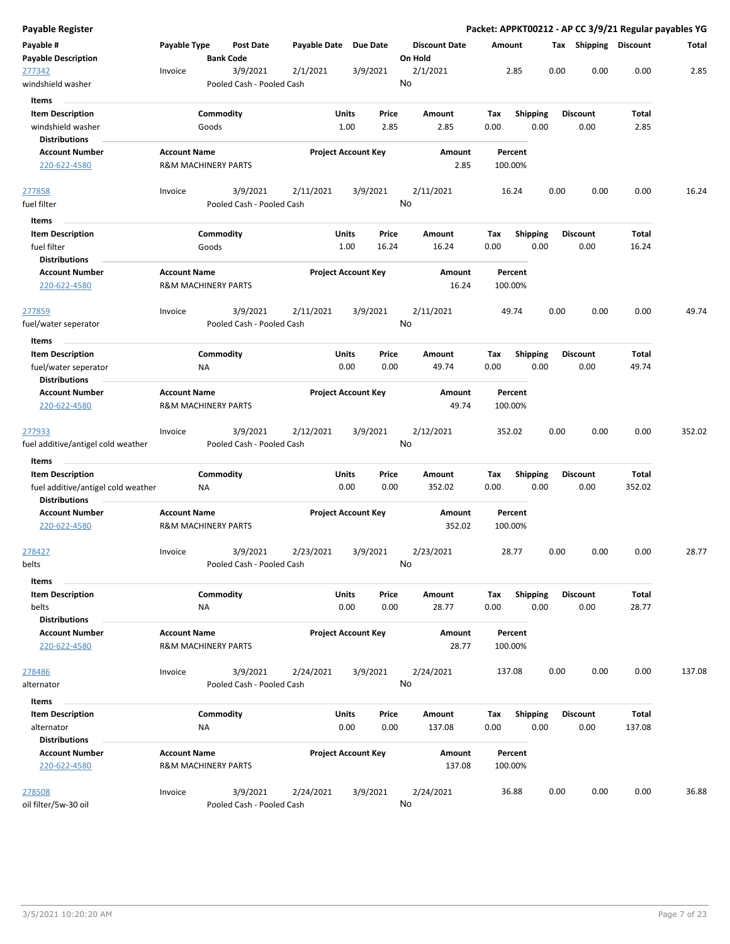| Payable #                                    | Payable Type                                          |                  | <b>Post Date</b>                      | Payable Date | Due Date                   |       |                      |        |                    |      |                 |                       |        |
|----------------------------------------------|-------------------------------------------------------|------------------|---------------------------------------|--------------|----------------------------|-------|----------------------|--------|--------------------|------|-----------------|-----------------------|--------|
|                                              |                                                       |                  |                                       |              |                            |       | <b>Discount Date</b> | Amount |                    |      |                 | Tax Shipping Discount | Total  |
| <b>Payable Description</b>                   |                                                       | <b>Bank Code</b> |                                       |              |                            |       | On Hold              |        |                    |      |                 |                       |        |
| 277342                                       | Invoice                                               |                  | 3/9/2021                              | 2/1/2021     | 3/9/2021                   |       | 2/1/2021             |        | 2.85               | 0.00 | 0.00            | 0.00                  | 2.85   |
| windshield washer                            |                                                       |                  | Pooled Cash - Pooled Cash             |              |                            |       | No                   |        |                    |      |                 |                       |        |
| <b>Items</b>                                 |                                                       |                  |                                       |              |                            |       |                      |        |                    |      |                 |                       |        |
| <b>Item Description</b>                      |                                                       | Commodity        |                                       |              | Units                      | Price | Amount               | Tax    | <b>Shipping</b>    |      | <b>Discount</b> | Total                 |        |
| windshield washer                            |                                                       | Goods            |                                       |              | 1.00                       | 2.85  | 2.85                 | 0.00   | 0.00               |      | 0.00            | 2.85                  |        |
| <b>Distributions</b>                         |                                                       |                  |                                       |              |                            |       |                      |        |                    |      |                 |                       |        |
| <b>Account Number</b>                        | <b>Account Name</b>                                   |                  |                                       |              | <b>Project Account Key</b> |       | Amount               |        | Percent            |      |                 |                       |        |
| 220-622-4580                                 | <b>R&amp;M MACHINERY PARTS</b>                        |                  |                                       |              |                            |       | 2.85                 |        | 100.00%            |      |                 |                       |        |
| <u>277858</u>                                | Invoice                                               |                  | 3/9/2021                              | 2/11/2021    | 3/9/2021                   |       | 2/11/2021            |        | 16.24              | 0.00 | 0.00            | 0.00                  | 16.24  |
| fuel filter                                  |                                                       |                  | Pooled Cash - Pooled Cash             |              |                            |       | No                   |        |                    |      |                 |                       |        |
| Items                                        |                                                       |                  |                                       |              |                            |       |                      |        |                    |      |                 |                       |        |
| <b>Item Description</b>                      |                                                       | Commodity        |                                       |              | Units                      | Price | Amount               | Tax    | <b>Shipping</b>    |      | <b>Discount</b> | Total                 |        |
| fuel filter                                  |                                                       | Goods            |                                       |              | 1.00                       | 16.24 | 16.24                | 0.00   | 0.00               |      | 0.00            | 16.24                 |        |
| <b>Distributions</b>                         |                                                       |                  |                                       |              |                            |       |                      |        |                    |      |                 |                       |        |
| <b>Account Number</b>                        | <b>Account Name</b>                                   |                  |                                       |              | <b>Project Account Key</b> |       | Amount               |        | Percent            |      |                 |                       |        |
| 220-622-4580                                 | <b>R&amp;M MACHINERY PARTS</b>                        |                  |                                       |              |                            |       | 16.24                |        | 100.00%            |      |                 |                       |        |
| 277859                                       | Invoice                                               |                  | 3/9/2021                              | 2/11/2021    | 3/9/2021                   |       | 2/11/2021            |        | 49.74              | 0.00 | 0.00            | 0.00                  | 49.74  |
| fuel/water seperator                         |                                                       |                  | Pooled Cash - Pooled Cash             |              |                            |       | No                   |        |                    |      |                 |                       |        |
| Items                                        |                                                       |                  |                                       |              |                            |       |                      |        |                    |      |                 |                       |        |
| <b>Item Description</b>                      |                                                       | Commodity        |                                       |              | Units                      | Price | Amount               | Tax    | <b>Shipping</b>    |      | <b>Discount</b> | Total                 |        |
| fuel/water seperator                         |                                                       | ΝA               |                                       |              | 0.00                       | 0.00  | 49.74                | 0.00   | 0.00               |      | 0.00            | 49.74                 |        |
| <b>Distributions</b>                         |                                                       |                  |                                       |              |                            |       |                      |        |                    |      |                 |                       |        |
| <b>Account Number</b>                        | <b>Account Name</b>                                   |                  |                                       |              | <b>Project Account Key</b> |       | Amount               |        | Percent            |      |                 |                       |        |
| 220-622-4580                                 | <b>R&amp;M MACHINERY PARTS</b>                        |                  |                                       |              |                            |       | 49.74                |        | 100.00%            |      |                 |                       |        |
| 277933<br>fuel additive/antigel cold weather | Invoice                                               |                  | 3/9/2021<br>Pooled Cash - Pooled Cash | 2/12/2021    | 3/9/2021                   |       | 2/12/2021<br>No      |        | 352.02             | 0.00 | 0.00            | 0.00                  | 352.02 |
|                                              |                                                       |                  |                                       |              |                            |       |                      |        |                    |      |                 |                       |        |
| Items                                        |                                                       |                  |                                       |              |                            |       |                      |        |                    |      |                 |                       |        |
| <b>Item Description</b>                      |                                                       | Commodity        |                                       |              | Units                      | Price | Amount               | Tax    | <b>Shipping</b>    |      | <b>Discount</b> | Total                 |        |
| fuel additive/antigel cold weather           |                                                       | ΝA               |                                       |              | 0.00                       | 0.00  | 352.02               | 0.00   | 0.00               |      | 0.00            | 352.02                |        |
| <b>Distributions</b>                         |                                                       |                  |                                       |              |                            |       |                      |        |                    |      |                 |                       |        |
| <b>Account Number</b><br>220-622-4580        | <b>Account Name</b><br><b>R&amp;M MACHINERY PARTS</b> |                  |                                       |              | <b>Project Account Key</b> |       | Amount<br>352.02     |        | Percent<br>100.00% |      |                 |                       |        |
|                                              |                                                       |                  |                                       |              |                            |       |                      |        |                    |      |                 |                       |        |
| <u> 278427</u>                               | Invoice                                               |                  | 3/9/2021                              | 2/23/2021    | 3/9/2021                   |       | 2/23/2021            |        | 28.77              | 0.00 | 0.00            | 0.00                  | 28.77  |
| belts                                        |                                                       |                  | Pooled Cash - Pooled Cash             |              |                            |       | No                   |        |                    |      |                 |                       |        |
| Items                                        |                                                       |                  |                                       |              |                            |       |                      |        |                    |      |                 |                       |        |
| <b>Item Description</b>                      |                                                       | Commodity        |                                       |              | Units                      | Price | Amount               | Tax    | Shipping           |      | Discount        | Total                 |        |
| belts                                        |                                                       | <b>NA</b>        |                                       |              | 0.00                       | 0.00  | 28.77                | 0.00   | 0.00               |      | 0.00            | 28.77                 |        |
| <b>Distributions</b>                         |                                                       |                  |                                       |              |                            |       |                      |        |                    |      |                 |                       |        |
| <b>Account Number</b>                        | <b>Account Name</b>                                   |                  |                                       |              | <b>Project Account Key</b> |       | Amount               |        | Percent            |      |                 |                       |        |
| 220-622-4580                                 | <b>R&amp;M MACHINERY PARTS</b>                        |                  |                                       |              |                            |       | 28.77                |        | 100.00%            |      |                 |                       |        |
| 278486                                       | Invoice                                               |                  | 3/9/2021                              | 2/24/2021    | 3/9/2021                   |       | 2/24/2021            | 137.08 |                    | 0.00 | 0.00            | 0.00                  | 137.08 |
| alternator                                   |                                                       |                  | Pooled Cash - Pooled Cash             |              |                            |       | No                   |        |                    |      |                 |                       |        |
| Items                                        |                                                       |                  |                                       |              |                            |       |                      |        |                    |      |                 |                       |        |
| <b>Item Description</b>                      |                                                       | Commodity        |                                       |              | Units                      | Price | Amount               | Tax    | <b>Shipping</b>    |      | <b>Discount</b> | Total                 |        |
| alternator                                   |                                                       | ΝA               |                                       |              | 0.00                       | 0.00  | 137.08               | 0.00   | 0.00               |      | 0.00            | 137.08                |        |
| <b>Distributions</b>                         |                                                       |                  |                                       |              |                            |       |                      |        |                    |      |                 |                       |        |
| <b>Account Number</b>                        | <b>Account Name</b>                                   |                  |                                       |              | <b>Project Account Key</b> |       | Amount               |        | Percent            |      |                 |                       |        |
| 220-622-4580                                 | <b>R&amp;M MACHINERY PARTS</b>                        |                  |                                       |              |                            |       | 137.08               |        | 100.00%            |      |                 |                       |        |
| 278508                                       | Invoice                                               |                  | 3/9/2021                              | 2/24/2021    | 3/9/2021                   |       | 2/24/2021            |        | 36.88              | 0.00 | 0.00            | 0.00                  | 36.88  |
| oil filter/5w-30 oil                         |                                                       |                  | Pooled Cash - Pooled Cash             |              |                            |       | No                   |        |                    |      |                 |                       |        |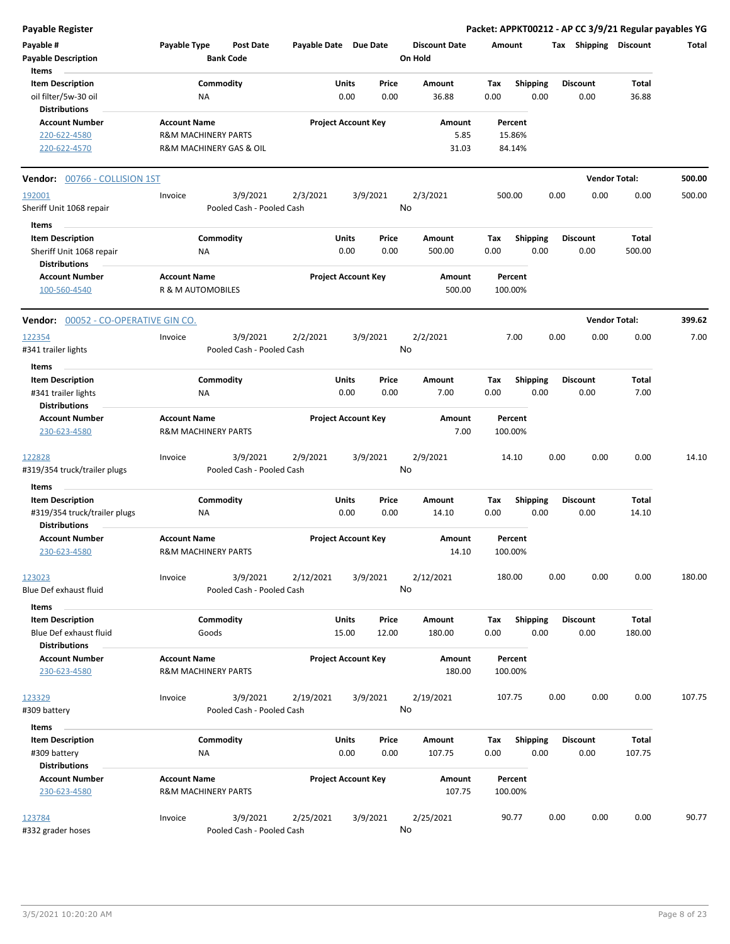**Payable Register Packet: APPKT00212 - AP CC 3/9/21 Regular payables YG**

| Payable #<br><b>Payable Description</b><br>Items                                     | <b>Payable Type</b>                      | Post Date<br><b>Bank Code</b>                             |           | Payable Date Due Date            | <b>Discount Date</b><br>On Hold | Amount                                 | Tax Shipping            | Discount             | Total  |
|--------------------------------------------------------------------------------------|------------------------------------------|-----------------------------------------------------------|-----------|----------------------------------|---------------------------------|----------------------------------------|-------------------------|----------------------|--------|
| <b>Item Description</b><br>oil filter/5w-30 oil<br><b>Distributions</b>              |                                          | Commodity<br>NA                                           |           | Units<br>Price<br>0.00<br>0.00   | Amount<br>36.88                 | <b>Shipping</b><br>Tax<br>0.00<br>0.00 | <b>Discount</b><br>0.00 | Total<br>36.88       |        |
| <b>Account Number</b><br>220-622-4580<br>220-622-4570                                | <b>Account Name</b>                      | <b>R&amp;M MACHINERY PARTS</b><br>R&M MACHINERY GAS & OIL |           | <b>Project Account Key</b>       | Amount<br>5.85<br>31.03         | Percent<br>15.86%<br>84.14%            |                         |                      |        |
|                                                                                      |                                          |                                                           |           |                                  |                                 |                                        |                         |                      |        |
| Vendor: 00766 - COLLISION 1ST                                                        |                                          |                                                           |           |                                  |                                 |                                        |                         | <b>Vendor Total:</b> | 500.00 |
| 192001                                                                               | Invoice                                  | 3/9/2021                                                  | 2/3/2021  | 3/9/2021                         | 2/3/2021                        | 500.00                                 | 0.00<br>0.00            | 0.00                 | 500.00 |
| Sheriff Unit 1068 repair                                                             |                                          | Pooled Cash - Pooled Cash                                 |           |                                  | No                              |                                        |                         |                      |        |
| Items<br><b>Item Description</b><br>Sheriff Unit 1068 repair<br><b>Distributions</b> |                                          | Commodity<br><b>NA</b>                                    |           | Units<br>Price<br>0.00<br>0.00   | Amount<br>500.00                | Tax<br><b>Shipping</b><br>0.00<br>0.00 | <b>Discount</b><br>0.00 | Total<br>500.00      |        |
| <b>Account Number</b><br>100-560-4540                                                | <b>Account Name</b><br>R & M AUTOMOBILES |                                                           |           | <b>Project Account Key</b>       | Amount<br>500.00                | Percent<br>100.00%                     |                         |                      |        |
| Vendor: 00052 - CO-OPERATIVE GIN CO.                                                 |                                          |                                                           |           |                                  |                                 |                                        |                         | <b>Vendor Total:</b> | 399.62 |
| 122354<br>#341 trailer lights                                                        | Invoice                                  | 3/9/2021<br>Pooled Cash - Pooled Cash                     | 2/2/2021  | 3/9/2021                         | 2/2/2021<br>No                  | 7.00                                   | 0.00<br>0.00            | 0.00                 | 7.00   |
| Items                                                                                |                                          |                                                           |           |                                  |                                 |                                        |                         |                      |        |
| <b>Item Description</b><br>#341 trailer lights<br><b>Distributions</b>               |                                          | Commodity<br>NA                                           |           | Units<br>Price<br>0.00<br>0.00   | Amount<br>7.00                  | Tax<br><b>Shipping</b><br>0.00<br>0.00 | <b>Discount</b><br>0.00 | Total<br>7.00        |        |
| <b>Account Number</b><br>230-623-4580                                                | <b>Account Name</b>                      | R&M MACHINERY PARTS                                       |           | <b>Project Account Key</b>       | Amount<br>7.00                  | Percent<br>100.00%                     |                         |                      |        |
| 122828<br>#319/354 truck/trailer plugs                                               | Invoice                                  | 3/9/2021<br>Pooled Cash - Pooled Cash                     | 2/9/2021  | 3/9/2021                         | 2/9/2021<br>No                  | 14.10                                  | 0.00<br>0.00            | 0.00                 | 14.10  |
| Items                                                                                |                                          |                                                           |           |                                  |                                 |                                        |                         |                      |        |
| <b>Item Description</b><br>#319/354 truck/trailer plugs<br><b>Distributions</b>      |                                          | Commodity<br><b>NA</b>                                    |           | Units<br>Price<br>0.00<br>0.00   | Amount<br>14.10                 | <b>Shipping</b><br>Tax<br>0.00<br>0.00 | <b>Discount</b><br>0.00 | Total<br>14.10       |        |
| <b>Account Number</b><br>230-623-4580                                                | <b>Account Name</b>                      | <b>R&amp;M MACHINERY PARTS</b>                            |           | <b>Project Account Key</b>       | Amount<br>14.10                 | Percent<br>100.00%                     |                         |                      |        |
| 123023                                                                               | Invoice                                  | 3/9/2021                                                  | 2/12/2021 | 3/9/2021                         | 2/12/2021                       | 180.00                                 | 0.00<br>0.00            | 0.00                 | 180.00 |
| Blue Def exhaust fluid                                                               |                                          | Pooled Cash - Pooled Cash                                 |           |                                  | No                              |                                        |                         |                      |        |
| Items<br><b>Item Description</b><br>Blue Def exhaust fluid<br><b>Distributions</b>   |                                          | Commodity<br>Goods                                        |           | Units<br>Price<br>15.00<br>12.00 | Amount<br>180.00                | <b>Shipping</b><br>Tax<br>0.00<br>0.00 | <b>Discount</b><br>0.00 | Total<br>180.00      |        |
| <b>Account Number</b><br>230-623-4580                                                | <b>Account Name</b>                      | R&M MACHINERY PARTS                                       |           | <b>Project Account Key</b>       | Amount<br>180.00                | Percent<br>100.00%                     |                         |                      |        |
| 123329<br>#309 battery                                                               | Invoice                                  | 3/9/2021<br>Pooled Cash - Pooled Cash                     | 2/19/2021 | 3/9/2021                         | 2/19/2021<br>No                 | 107.75                                 | 0.00<br>0.00            | 0.00                 | 107.75 |
| Items<br><b>Item Description</b>                                                     |                                          | Commodity                                                 |           | Units<br>Price                   | Amount                          | <b>Shipping</b><br>Tax                 | <b>Discount</b>         | Total                |        |
| #309 battery<br><b>Distributions</b>                                                 |                                          | ΝA                                                        |           | 0.00<br>0.00                     | 107.75                          | 0.00<br>0.00                           | 0.00                    | 107.75               |        |
| <b>Account Number</b><br>230-623-4580                                                | <b>Account Name</b>                      | R&M MACHINERY PARTS                                       |           | <b>Project Account Key</b>       | Amount<br>107.75                | Percent<br>100.00%                     |                         |                      |        |
| 123784<br>#332 grader hoses                                                          | Invoice                                  | 3/9/2021<br>Pooled Cash - Pooled Cash                     | 2/25/2021 | 3/9/2021                         | 2/25/2021<br>No                 | 90.77                                  | 0.00<br>0.00            | 0.00                 | 90.77  |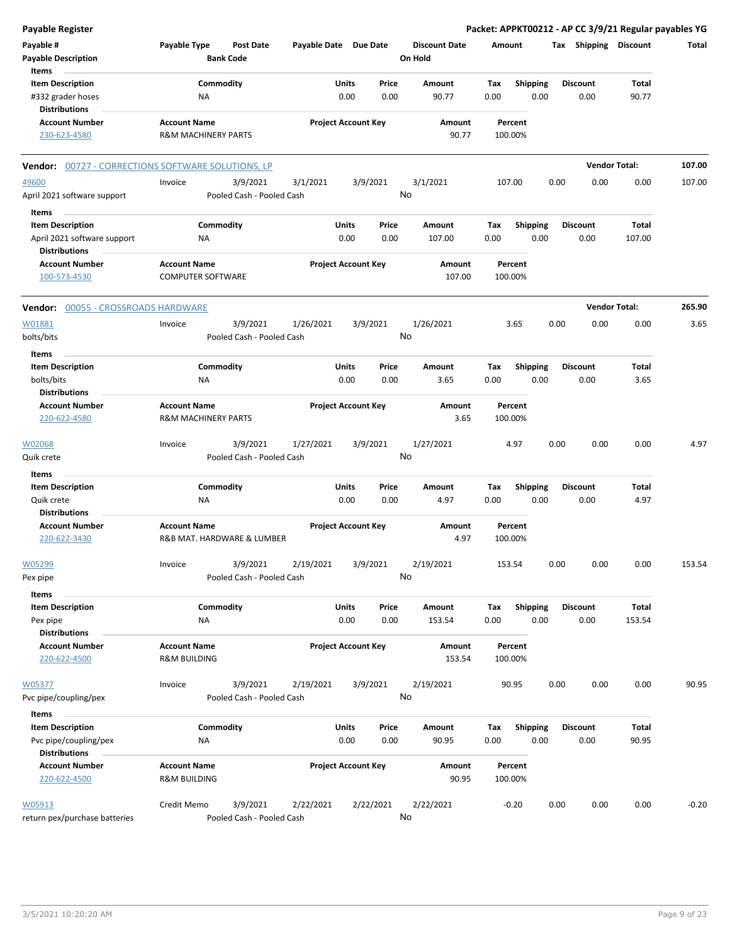| <b>Payable Register</b>                                              |                                                 |                                      |                       |                                |    |                                 |             |                         |      |                         | Packet: APPKT00212 - AP CC 3/9/21 Regular payables YG |         |
|----------------------------------------------------------------------|-------------------------------------------------|--------------------------------------|-----------------------|--------------------------------|----|---------------------------------|-------------|-------------------------|------|-------------------------|-------------------------------------------------------|---------|
| Payable #<br><b>Payable Description</b>                              | Payable Type                                    | <b>Post Date</b><br><b>Bank Code</b> | Payable Date Due Date |                                |    | <b>Discount Date</b><br>On Hold | Amount      |                         |      | Tax Shipping Discount   |                                                       | Total   |
| Items                                                                |                                                 |                                      |                       |                                |    |                                 |             |                         |      |                         |                                                       |         |
| <b>Item Description</b><br>#332 grader hoses<br><b>Distributions</b> | NA                                              | Commodity                            |                       | Units<br>Price<br>0.00<br>0.00 |    | Amount<br>90.77                 | Tax<br>0.00 | <b>Shipping</b><br>0.00 |      | <b>Discount</b><br>0.00 | Total<br>90.77                                        |         |
| <b>Account Number</b>                                                | <b>Account Name</b>                             |                                      |                       | <b>Project Account Key</b>     |    | Amount                          |             | Percent                 |      |                         |                                                       |         |
| 230-623-4580                                                         | <b>R&amp;M MACHINERY PARTS</b>                  |                                      |                       |                                |    | 90.77                           |             | 100.00%                 |      |                         |                                                       |         |
| <b>Vendor:</b> 00727 - CORRECTIONS SOFTWARE SOLUTIONS, LP            |                                                 |                                      |                       |                                |    |                                 |             |                         |      |                         | <b>Vendor Total:</b>                                  | 107.00  |
| 49600                                                                | Invoice                                         | 3/9/2021                             | 3/1/2021              | 3/9/2021                       |    | 3/1/2021                        | 107.00      |                         | 0.00 | 0.00                    | 0.00                                                  | 107.00  |
| April 2021 software support                                          |                                                 | Pooled Cash - Pooled Cash            |                       |                                | No |                                 |             |                         |      |                         |                                                       |         |
| Items                                                                |                                                 |                                      |                       |                                |    |                                 |             |                         |      |                         |                                                       |         |
| <b>Item Description</b>                                              |                                                 | Commodity                            |                       | Units<br>Price                 |    | Amount                          | Tax         | <b>Shipping</b>         |      | <b>Discount</b>         | Total                                                 |         |
| April 2021 software support<br><b>Distributions</b>                  | ΝA                                              |                                      |                       | 0.00<br>0.00                   |    | 107.00                          | 0.00        | 0.00                    |      | 0.00                    | 107.00                                                |         |
| <b>Account Number</b><br>100-573-4530                                | <b>Account Name</b><br><b>COMPUTER SOFTWARE</b> |                                      |                       | <b>Project Account Key</b>     |    | Amount<br>107.00                |             | Percent<br>100.00%      |      |                         |                                                       |         |
| Vendor: 00055 - CROSSROADS HARDWARE                                  |                                                 |                                      |                       |                                |    |                                 |             |                         |      |                         | <b>Vendor Total:</b>                                  | 265.90  |
| W01881                                                               | Invoice                                         | 3/9/2021                             | 1/26/2021             | 3/9/2021                       |    | 1/26/2021                       |             | 3.65                    | 0.00 | 0.00                    | 0.00                                                  | 3.65    |
| bolts/bits                                                           |                                                 | Pooled Cash - Pooled Cash            |                       |                                | No |                                 |             |                         |      |                         |                                                       |         |
| Items                                                                |                                                 |                                      |                       |                                |    |                                 |             |                         |      |                         |                                                       |         |
| <b>Item Description</b>                                              |                                                 | Commodity                            |                       | Units<br>Price                 |    | Amount                          | Tax         | Shipping                |      | <b>Discount</b>         | Total                                                 |         |
| bolts/bits<br><b>Distributions</b>                                   | NA                                              |                                      |                       | 0.00<br>0.00                   |    | 3.65                            | 0.00        | 0.00                    |      | 0.00                    | 3.65                                                  |         |
| <b>Account Number</b>                                                | <b>Account Name</b>                             |                                      |                       | <b>Project Account Key</b>     |    | Amount                          |             | Percent                 |      |                         |                                                       |         |
| 220-622-4580                                                         | <b>R&amp;M MACHINERY PARTS</b>                  |                                      |                       |                                |    | 3.65                            | 100.00%     |                         |      |                         |                                                       |         |
| W02068                                                               | Invoice                                         | 3/9/2021                             | 1/27/2021             | 3/9/2021                       | No | 1/27/2021                       |             | 4.97                    | 0.00 | 0.00                    | 0.00                                                  | 4.97    |
| Quik crete                                                           |                                                 | Pooled Cash - Pooled Cash            |                       |                                |    |                                 |             |                         |      |                         |                                                       |         |
| Items                                                                |                                                 |                                      |                       | Units<br>Price                 |    |                                 |             |                         |      | <b>Discount</b>         | Total                                                 |         |
| <b>Item Description</b><br>Quik crete                                | ΝA                                              | Commodity                            |                       | 0.00<br>0.00                   |    | Amount<br>4.97                  | Tax<br>0.00 | <b>Shipping</b><br>0.00 |      | 0.00                    | 4.97                                                  |         |
| <b>Distributions</b>                                                 |                                                 |                                      |                       |                                |    |                                 |             |                         |      |                         |                                                       |         |
| <b>Account Number</b>                                                | <b>Account Name</b>                             |                                      |                       | <b>Project Account Key</b>     |    | Amount                          |             | Percent                 |      |                         |                                                       |         |
| 220-622-3430                                                         |                                                 | R&B MAT. HARDWARE & LUMBER           |                       |                                |    | 4.97                            | 100.00%     |                         |      |                         |                                                       |         |
| W05299                                                               | Invoice                                         | 3/9/2021                             | 2/19/2021             | 3/9/2021                       |    | 2/19/2021                       | 153.54      |                         | 0.00 | 0.00                    | 0.00                                                  | 153.54  |
| Pex pipe                                                             |                                                 | Pooled Cash - Pooled Cash            |                       |                                | No |                                 |             |                         |      |                         |                                                       |         |
| Items                                                                |                                                 |                                      |                       |                                |    |                                 |             |                         |      |                         |                                                       |         |
| <b>Item Description</b>                                              |                                                 | Commodity                            |                       | Units<br>Price                 |    | Amount                          | Tax         | <b>Shipping</b>         |      | <b>Discount</b>         | Total                                                 |         |
| Pex pipe                                                             | ΝA                                              |                                      |                       | 0.00<br>0.00                   |    | 153.54                          | 0.00        | 0.00                    |      | 0.00                    | 153.54                                                |         |
| <b>Distributions</b><br><b>Account Number</b>                        | <b>Account Name</b>                             |                                      |                       | <b>Project Account Key</b>     |    | Amount                          |             | Percent                 |      |                         |                                                       |         |
| 220-622-4500                                                         | <b>R&amp;M BUILDING</b>                         |                                      |                       |                                |    | 153.54                          |             | 100.00%                 |      |                         |                                                       |         |
| W05377                                                               | Invoice                                         | 3/9/2021                             | 2/19/2021             | 3/9/2021                       |    | 2/19/2021                       |             | 90.95                   | 0.00 | 0.00                    | 0.00                                                  | 90.95   |
| Pvc pipe/coupling/pex                                                |                                                 | Pooled Cash - Pooled Cash            |                       |                                | No |                                 |             |                         |      |                         |                                                       |         |
| Items                                                                |                                                 |                                      |                       |                                |    |                                 |             |                         |      |                         |                                                       |         |
| <b>Item Description</b>                                              |                                                 | Commodity                            |                       | Units<br>Price                 |    | Amount                          | Tax         | <b>Shipping</b>         |      | <b>Discount</b>         | Total                                                 |         |
| Pvc pipe/coupling/pex<br><b>Distributions</b>                        | NA                                              |                                      |                       | 0.00<br>0.00                   |    | 90.95                           | 0.00        | 0.00                    |      | 0.00                    | 90.95                                                 |         |
| <b>Account Number</b>                                                | <b>Account Name</b>                             |                                      |                       | <b>Project Account Key</b>     |    | Amount                          |             | Percent                 |      |                         |                                                       |         |
| 220-622-4500                                                         | <b>R&amp;M BUILDING</b>                         |                                      |                       |                                |    | 90.95                           |             | 100.00%                 |      |                         |                                                       |         |
| W05913                                                               | Credit Memo                                     | 3/9/2021                             | 2/22/2021             | 2/22/2021                      |    | 2/22/2021                       |             | $-0.20$                 | 0.00 | 0.00                    | 0.00                                                  | $-0.20$ |
| return pex/purchase batteries                                        |                                                 | Pooled Cash - Pooled Cash            |                       |                                | No |                                 |             |                         |      |                         |                                                       |         |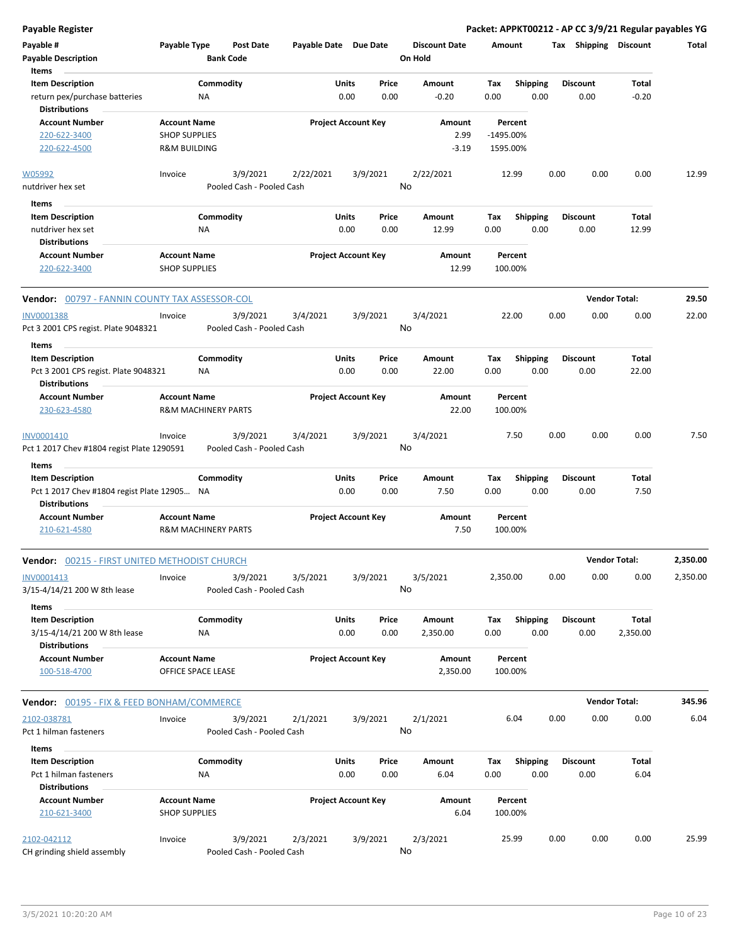**Payable Register Packet: APPKT00212 - AP CC 3/9/21 Regular payables YG**

| Payable #<br><b>Payable Description</b><br>Items                                 | Payable Type                                                | <b>Bank Code</b>               | <b>Post Date</b>                      | Payable Date Due Date |               |                            | <b>Discount Date</b><br>On Hold |             | Amount                           |      | Tax Shipping Discount   |                          | Total    |
|----------------------------------------------------------------------------------|-------------------------------------------------------------|--------------------------------|---------------------------------------|-----------------------|---------------|----------------------------|---------------------------------|-------------|----------------------------------|------|-------------------------|--------------------------|----------|
| <b>Item Description</b><br>return pex/purchase batteries<br><b>Distributions</b> |                                                             | Commodity<br>ΝA                |                                       |                       | Units<br>0.00 | Price<br>0.00              | Amount<br>-0.20                 | Tax<br>0.00 | <b>Shipping</b>                  | 0.00 | <b>Discount</b><br>0.00 | Total<br>$-0.20$         |          |
| <b>Account Number</b><br>220-622-3400<br>220-622-4500                            | <b>Account Name</b><br><b>SHOP SUPPLIES</b><br>R&M BUILDING |                                |                                       |                       |               | <b>Project Account Key</b> | Amount<br>2.99<br>$-3.19$       |             | Percent<br>-1495.00%<br>1595.00% |      |                         |                          |          |
| W05992<br>nutdriver hex set                                                      | Invoice                                                     |                                | 3/9/2021<br>Pooled Cash - Pooled Cash | 2/22/2021             |               | 3/9/2021                   | 2/22/2021<br>No                 |             | 12.99                            | 0.00 | 0.00                    | 0.00                     | 12.99    |
| <b>Items</b>                                                                     |                                                             |                                |                                       |                       |               |                            |                                 |             |                                  |      |                         |                          |          |
| <b>Item Description</b>                                                          |                                                             | Commodity                      |                                       |                       | Units         | Price                      | Amount                          | Tax         | <b>Shipping</b>                  |      | <b>Discount</b>         | Total                    |          |
| nutdriver hex set<br><b>Distributions</b>                                        |                                                             | ΝA                             |                                       |                       | 0.00          | 0.00                       | 12.99                           | 0.00        |                                  | 0.00 | 0.00                    | 12.99                    |          |
| <b>Account Number</b>                                                            | <b>Account Name</b>                                         |                                |                                       |                       |               | <b>Project Account Key</b> | Amount                          |             | Percent                          |      |                         |                          |          |
| 220-622-3400                                                                     | <b>SHOP SUPPLIES</b>                                        |                                |                                       |                       |               |                            | 12.99                           |             | 100.00%                          |      |                         |                          |          |
| Vendor: 00797 - FANNIN COUNTY TAX ASSESSOR-COL                                   |                                                             |                                |                                       |                       |               |                            |                                 |             |                                  |      |                         | <b>Vendor Total:</b>     | 29.50    |
| INV0001388                                                                       | Invoice                                                     |                                | 3/9/2021                              | 3/4/2021              |               | 3/9/2021                   | 3/4/2021                        |             | 22.00                            | 0.00 | 0.00                    | 0.00                     | 22.00    |
| Pct 3 2001 CPS regist. Plate 9048321                                             |                                                             |                                | Pooled Cash - Pooled Cash             |                       |               |                            | No                              |             |                                  |      |                         |                          |          |
| Items                                                                            |                                                             |                                |                                       |                       |               |                            |                                 |             |                                  |      |                         |                          |          |
| <b>Item Description</b>                                                          |                                                             | Commodity                      |                                       |                       | Units         | Price                      | Amount                          | Tax         | <b>Shipping</b>                  |      | <b>Discount</b>         | Total                    |          |
| Pct 3 2001 CPS regist. Plate 9048321<br><b>Distributions</b>                     |                                                             | <b>NA</b>                      |                                       |                       | 0.00          | 0.00                       | 22.00                           | 0.00        |                                  | 0.00 | 0.00                    | 22.00                    |          |
| <b>Account Number</b>                                                            | <b>Account Name</b>                                         |                                |                                       |                       |               | <b>Project Account Key</b> | Amount                          |             | Percent                          |      |                         |                          |          |
| 230-623-4580                                                                     |                                                             | <b>R&amp;M MACHINERY PARTS</b> |                                       |                       |               |                            | 22.00                           |             | 100.00%                          |      |                         |                          |          |
| INV0001410<br>Pct 1 2017 Chev #1804 regist Plate 1290591                         | Invoice                                                     |                                | 3/9/2021<br>Pooled Cash - Pooled Cash | 3/4/2021              |               | 3/9/2021                   | 3/4/2021<br>No                  |             | 7.50                             | 0.00 | 0.00                    | 0.00                     | 7.50     |
| Items                                                                            |                                                             |                                |                                       |                       |               |                            |                                 |             |                                  |      |                         |                          |          |
| <b>Item Description</b><br>Pct 1 2017 Chev #1804 regist Plate 12905 NA           |                                                             | Commodity                      |                                       |                       | Units<br>0.00 | Price<br>0.00              | Amount<br>7.50                  | Tax<br>0.00 | <b>Shipping</b>                  | 0.00 | <b>Discount</b><br>0.00 | Total<br>7.50            |          |
| <b>Distributions</b>                                                             |                                                             |                                |                                       |                       |               |                            |                                 |             |                                  |      |                         |                          |          |
| <b>Account Number</b><br>210-621-4580                                            | <b>Account Name</b>                                         | <b>R&amp;M MACHINERY PARTS</b> |                                       |                       |               | <b>Project Account Key</b> | Amount<br>7.50                  |             | Percent<br>100.00%               |      |                         |                          |          |
| Vendor: 00215 - FIRST UNITED METHODIST CHURCH                                    |                                                             |                                |                                       |                       |               |                            |                                 |             |                                  |      |                         | <b>Vendor Total:</b>     | 2,350.00 |
| INV0001413<br>3/15-4/14/21 200 W 8th lease                                       | Invoice                                                     |                                | 3/9/2021<br>Pooled Cash - Pooled Cash | 3/5/2021              |               | 3/9/2021                   | 3/5/2021<br>No                  |             | 2,350.00                         | 0.00 | 0.00                    | 0.00                     | 2,350.00 |
| Items                                                                            |                                                             |                                |                                       |                       |               |                            |                                 |             |                                  |      |                         |                          |          |
| <b>Item Description</b><br>3/15-4/14/21 200 W 8th lease<br><b>Distributions</b>  |                                                             | Commodity<br>ΝA                |                                       |                       | Units<br>0.00 | Price<br>0.00              | Amount<br>2,350.00              | Tax<br>0.00 | Shipping                         | 0.00 | <b>Discount</b><br>0.00 | <b>Total</b><br>2,350.00 |          |
| <b>Account Number</b><br>100-518-4700                                            | <b>Account Name</b><br>OFFICE SPACE LEASE                   |                                |                                       |                       |               | <b>Project Account Key</b> | Amount<br>2,350.00              |             | Percent<br>100.00%               |      |                         |                          |          |
| <b>Vendor: 00195 - FIX &amp; FEED BONHAM/COMMERCE</b>                            |                                                             |                                |                                       |                       |               |                            |                                 |             |                                  |      |                         | <b>Vendor Total:</b>     | 345.96   |
| 2102-038781                                                                      | Invoice                                                     |                                | 3/9/2021                              | 2/1/2021              |               | 3/9/2021                   | 2/1/2021                        |             | 6.04                             | 0.00 | 0.00                    | 0.00                     | 6.04     |
| Pct 1 hilman fasteners                                                           |                                                             |                                | Pooled Cash - Pooled Cash             |                       |               |                            | No                              |             |                                  |      |                         |                          |          |
| Items                                                                            |                                                             |                                |                                       |                       |               |                            |                                 |             |                                  |      |                         |                          |          |
| <b>Item Description</b>                                                          |                                                             | Commodity                      |                                       |                       | Units         | Price                      | Amount                          | Tax         | Shipping                         |      | <b>Discount</b>         | Total                    |          |
| Pct 1 hilman fasteners<br><b>Distributions</b>                                   |                                                             | ΝA                             |                                       |                       | 0.00          | 0.00                       | 6.04                            | 0.00        |                                  | 0.00 | 0.00                    | 6.04                     |          |
| <b>Account Number</b>                                                            | <b>Account Name</b>                                         |                                |                                       |                       |               | <b>Project Account Key</b> | Amount                          |             | Percent                          |      |                         |                          |          |
| 210-621-3400                                                                     | <b>SHOP SUPPLIES</b>                                        |                                |                                       |                       |               |                            | 6.04                            |             | 100.00%                          |      |                         |                          |          |
| 2102-042112                                                                      | Invoice                                                     |                                | 3/9/2021                              | 2/3/2021              |               | 3/9/2021                   | 2/3/2021                        |             | 25.99                            | 0.00 | 0.00                    | 0.00                     | 25.99    |
| CH grinding shield assembly                                                      |                                                             |                                | Pooled Cash - Pooled Cash             |                       |               |                            | No                              |             |                                  |      |                         |                          |          |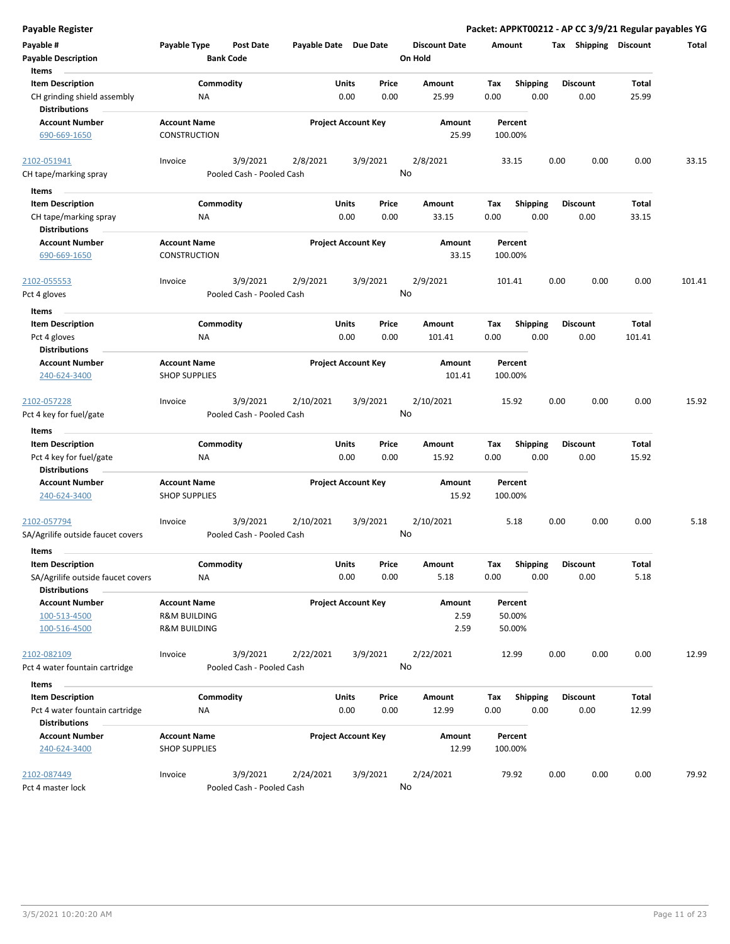| <b>Payable Register</b>                             |                                                    |                           |                       |                            |       |                        |        |                    |      |                       |              | Packet: APPKT00212 - AP CC 3/9/21 Regular payables YG |
|-----------------------------------------------------|----------------------------------------------------|---------------------------|-----------------------|----------------------------|-------|------------------------|--------|--------------------|------|-----------------------|--------------|-------------------------------------------------------|
| Payable #                                           | Payable Type                                       | <b>Post Date</b>          | Payable Date Due Date |                            |       | <b>Discount Date</b>   | Amount |                    |      | Tax Shipping Discount |              | <b>Total</b>                                          |
| <b>Payable Description</b>                          |                                                    | <b>Bank Code</b>          |                       |                            |       | On Hold                |        |                    |      |                       |              |                                                       |
| Items                                               |                                                    |                           |                       |                            |       |                        |        |                    |      |                       |              |                                                       |
| <b>Item Description</b>                             |                                                    | Commodity                 |                       | Units                      | Price | Amount                 | Tax    | <b>Shipping</b>    |      | <b>Discount</b>       | <b>Total</b> |                                                       |
| CH grinding shield assembly<br><b>Distributions</b> | ΝA                                                 |                           |                       | 0.00                       | 0.00  | 25.99                  | 0.00   | 0.00               |      | 0.00                  | 25.99        |                                                       |
| <b>Account Number</b>                               | <b>Account Name</b>                                |                           |                       | <b>Project Account Key</b> |       | Amount                 |        | Percent            |      |                       |              |                                                       |
| 690-669-1650                                        | <b>CONSTRUCTION</b>                                |                           |                       |                            |       | 25.99                  |        | 100.00%            |      |                       |              |                                                       |
| 2102-051941                                         | Invoice                                            | 3/9/2021                  | 2/8/2021              | 3/9/2021                   |       | 2/8/2021               |        | 33.15              | 0.00 | 0.00                  | 0.00         | 33.15                                                 |
| CH tape/marking spray                               |                                                    | Pooled Cash - Pooled Cash |                       |                            |       | No                     |        |                    |      |                       |              |                                                       |
| Items                                               |                                                    |                           |                       |                            |       |                        |        |                    |      |                       |              |                                                       |
| <b>Item Description</b>                             |                                                    | Commodity                 |                       | Units                      | Price | Amount                 | Tax    | <b>Shipping</b>    |      | <b>Discount</b>       | Total        |                                                       |
| CH tape/marking spray<br><b>Distributions</b>       | ΝA                                                 |                           |                       | 0.00                       | 0.00  | 33.15                  | 0.00   | 0.00               |      | 0.00                  | 33.15        |                                                       |
| <b>Account Number</b>                               | <b>Account Name</b>                                |                           |                       | <b>Project Account Key</b> |       | Amount                 |        | Percent            |      |                       |              |                                                       |
| 690-669-1650                                        | <b>CONSTRUCTION</b>                                |                           |                       |                            |       | 33.15                  |        | 100.00%            |      |                       |              |                                                       |
| 2102-055553                                         | Invoice                                            | 3/9/2021                  | 2/9/2021              | 3/9/2021                   |       | 2/9/2021               |        | 101.41             | 0.00 | 0.00                  | 0.00         | 101.41                                                |
| Pct 4 gloves                                        |                                                    | Pooled Cash - Pooled Cash |                       |                            |       | No                     |        |                    |      |                       |              |                                                       |
| Items                                               |                                                    |                           |                       |                            |       |                        |        |                    |      |                       |              |                                                       |
| <b>Item Description</b>                             |                                                    | Commodity                 |                       | Units                      | Price | Amount                 | Tax    | <b>Shipping</b>    |      | <b>Discount</b>       | <b>Total</b> |                                                       |
| Pct 4 gloves                                        | NA                                                 |                           |                       | 0.00                       | 0.00  | 101.41                 | 0.00   | 0.00               |      | 0.00                  | 101.41       |                                                       |
| <b>Distributions</b>                                |                                                    |                           |                       |                            |       |                        |        |                    |      |                       |              |                                                       |
| <b>Account Number</b>                               | <b>Account Name</b>                                |                           |                       | <b>Project Account Key</b> |       | Amount                 |        | Percent            |      |                       |              |                                                       |
| 240-624-3400                                        | <b>SHOP SUPPLIES</b>                               |                           |                       |                            |       | 101.41                 |        | 100.00%            |      |                       |              |                                                       |
| 2102-057228                                         | Invoice                                            | 3/9/2021                  | 2/10/2021             | 3/9/2021                   |       | 2/10/2021              |        | 15.92              | 0.00 | 0.00                  | 0.00         | 15.92                                                 |
| Pct 4 key for fuel/gate                             |                                                    | Pooled Cash - Pooled Cash |                       |                            |       | No                     |        |                    |      |                       |              |                                                       |
| Items                                               |                                                    |                           |                       |                            |       |                        |        |                    |      |                       |              |                                                       |
| <b>Item Description</b>                             |                                                    | Commodity                 |                       | Units                      | Price | Amount                 | Tax    | <b>Shipping</b>    |      | <b>Discount</b>       | Total        |                                                       |
| Pct 4 key for fuel/gate                             | ΝA                                                 |                           |                       | 0.00                       | 0.00  | 15.92                  | 0.00   | 0.00               |      | 0.00                  | 15.92        |                                                       |
| <b>Distributions</b>                                |                                                    |                           |                       |                            |       |                        |        |                    |      |                       |              |                                                       |
| <b>Account Number</b><br>240-624-3400               | <b>Account Name</b><br><b>SHOP SUPPLIES</b>        |                           |                       | <b>Project Account Key</b> |       | <b>Amount</b><br>15.92 |        | Percent<br>100.00% |      |                       |              |                                                       |
| 2102-057794                                         | Invoice                                            | 3/9/2021                  | 2/10/2021             | 3/9/2021                   |       | 2/10/2021              |        | 5.18               | 0.00 | 0.00                  | 0.00         | 5.18                                                  |
| SA/Agrilife outside faucet covers                   |                                                    | Pooled Cash - Pooled Cash |                       |                            |       | No                     |        |                    |      |                       |              |                                                       |
| Items                                               |                                                    |                           |                       |                            |       |                        |        |                    |      |                       |              |                                                       |
| <b>Item Description</b>                             |                                                    | Commodity                 |                       | Units                      | Price | Amount                 | Tax    | <b>Shipping</b>    |      | <b>Discount</b>       | Total        |                                                       |
| SA/Agrilife outside faucet covers                   | NA                                                 |                           |                       | 0.00                       | 0.00  | 5.18                   | 0.00   | 0.00               |      | 0.00                  | 5.18         |                                                       |
| <b>Distributions</b>                                |                                                    |                           |                       |                            |       |                        |        |                    |      |                       |              |                                                       |
| <b>Account Number</b>                               | <b>Account Name</b>                                |                           |                       | <b>Project Account Key</b> |       | Amount                 |        | Percent            |      |                       |              |                                                       |
| 100-513-4500<br>100-516-4500                        | <b>R&amp;M BUILDING</b><br><b>R&amp;M BUILDING</b> |                           |                       |                            |       | 2.59<br>2.59           |        | 50.00%<br>50.00%   |      |                       |              |                                                       |
| 2102-082109                                         | Invoice                                            | 3/9/2021                  | 2/22/2021             | 3/9/2021                   |       | 2/22/2021              |        | 12.99              | 0.00 | 0.00                  | 0.00         | 12.99                                                 |
| Pct 4 water fountain cartridge                      |                                                    | Pooled Cash - Pooled Cash |                       |                            |       | No                     |        |                    |      |                       |              |                                                       |
| Items                                               |                                                    |                           |                       |                            |       |                        |        |                    |      |                       |              |                                                       |
| <b>Item Description</b>                             |                                                    | Commodity                 |                       | Units                      | Price | Amount                 | Tax    | <b>Shipping</b>    |      | <b>Discount</b>       | Total        |                                                       |
| Pct 4 water fountain cartridge                      | ΝA                                                 |                           |                       | 0.00                       | 0.00  | 12.99                  | 0.00   | 0.00               |      | 0.00                  | 12.99        |                                                       |
| <b>Distributions</b>                                |                                                    |                           |                       |                            |       |                        |        |                    |      |                       |              |                                                       |
| <b>Account Number</b><br>240-624-3400               | <b>Account Name</b><br><b>SHOP SUPPLIES</b>        |                           |                       | <b>Project Account Key</b> |       | Amount<br>12.99        |        | Percent<br>100.00% |      |                       |              |                                                       |
| 2102-087449                                         | Invoice                                            | 3/9/2021                  | 2/24/2021             | 3/9/2021                   |       | 2/24/2021              |        | 79.92              | 0.00 | 0.00                  | 0.00         | 79.92                                                 |
| Pct 4 master lock                                   |                                                    | Pooled Cash - Pooled Cash |                       |                            |       | No                     |        |                    |      |                       |              |                                                       |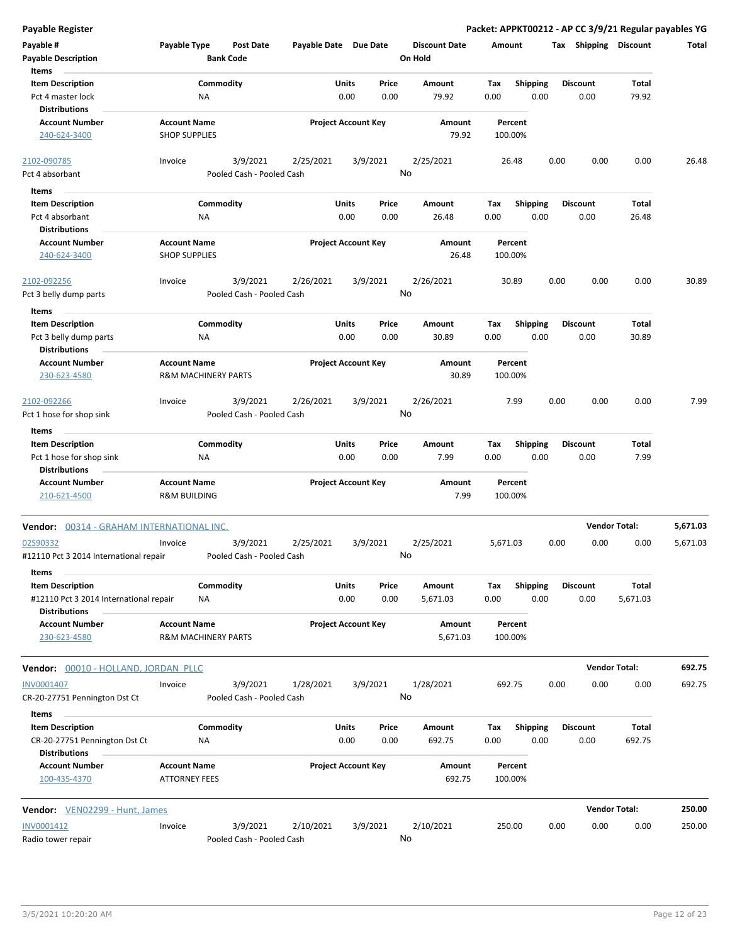**Payable # Payable Type Post Date Payable Date Due Date Payable Description Bank Code Discount Date Amount Tax Shipping Discount Total On Hold** 0.00 0.00 **Units** Pct 4 master lock **CCL ACCLUS A MA CCL ACCLUS** 0.00 **CCL ACCLUS** 0.00 **CCL ACCLUS** 0.00 **CCL ACCLUS** 0.00 **CCL ACCLUS** 0.00 **CCL ACCLUS** 0.00 **CCL Item Description** 79.92 **Price Amount Tax** 0.00 79.92 Commodity **Shipping Shipping Commodity Shipping Discount** Total NA **Items** 0.00 **Discount Account Number Account Name Project Account Key Amount Distributions Percent** 240-624-3400 SHOP SUPPLIES 79.92 100.00% 3/9/2021 2/25/2021 3/9/2021 Pct 4 absorbant **Property** Pooled Cash - Pooled Cash 2102-090785 Invoice 2/25/2021 26.48 0.00 0.00 0.00 26.48 No 0.00 0.00 **Units** Pct 4 absorbant 0.00 **Item Description** 26.48 **Price Amount Tax** 0.00 26.48 Commodity **Shipping Shipping Commodity Shipping Discount** Total NA **Items** 0.00 **Discount Account Number Account Name Project Account Key Amount Distributions Percent** 240-624-3400 SHOP SUPPLIES 26.48 100.00% 3/9/2021 2/26/2021 3/9/2021 Pct 3 belly dump parts Pooled Cash - Pooled Cash 2102-092256 Invoice 2/26/2021 30.89 0.00 0.00 0.00 30.89 No 0.00 0.00 **Units** Pct 3 belly dump parts **1.000** C.00 C.00 C.00 C.00 C.00 Belly dump parts **1.000 C.00** Belly dump parts **1.000** C.00 **Item Description** 30.89 **Price Amount Tax** 0.00 30.89 Commodity **Shipping Example 1 Commodity Shipping Discount** Total NA **Items** 0.00 **Discount Account Number Account Name Project Account Key Amount Distributions Percent** 230-623-4580 R&M MACHINERY PARTS 30.89 100.00% 3/9/2021 2/26/2021 3/9/2021 Pct 1 hose for shop sink Pooled Cash - Pooled Cash 2102-092266 Invoice 2/26/2021 7.99 0.00 0.00 0.00 7.99 No 0.00 0.00 **Units** Pct 1 hose for shop sink  $NA$  NA  $0.00$  0.00 0.00 7.99 0.00 **Item Description** 7.99 **Price Amount Tax** 0.00 7.99 0.00 Commodity **Shipping Example 1 Commodity Shipping Discount** Total NA **Items Discount Account Number Account Name Project Account Key Amount Distributions Percent** 210-621-4500 R&M BUILDING 7.99 100.00% **Vendor:** 00314 - GRAHAM INTERNATIONAL INC. **Vendor Total: 5,671.03** 3/9/2021 2/25/2021 3/9/2021 #12110 Pct 3 2014 International repair Pooled Cash - Pooled Cash 02S90332 Invoice 2/25/2021 5,671.03 0.00 0.00 0.00 5,671.03 No 0.00 0.00 **Units** #12110 Pct 3 2014 International repair 0.00 **Item Description** 5,671.03 **Price Amount Tax** 0.00 5,671.03 Commodity **Shipping Example 1 Commodity Shipping Discount** Total NA **Items** 0.00 **Discount Account Number Account Name Project Account Key Amount Distributions Percent** 230-623-4580 R&M MACHINERY PARTS 5,671.03 100.00% **Vendor:** 00010 - HOLLAND, JORDAN PLLC **Vendor Total: 692.75** 3/9/2021 1/28/2021 3/9/2021 CR-20-27751 Pennington Dst Ct Pooled Cash - Pooled Cash INV0001407 Invoice 1/28/2021 692.75 0.00 0.00 0.00 692.75 No 0.00 0.00 **Units** CR-20-27751 Pennington Dst Ct MA NA 0.00 0.00 692.75 0.00 **Item Description** 692.75 **Price Amount Tax** 0.00 692.75 Commodity **Shipping Shipping Commodity Shipping Discount** Total NA **Items** 0.00 **Discount Account Number Account Name Project Account Key Amount Distributions Percent** 100-435-4370 ATTORNEY FEES 692.75 100.00% **Vendor:** VEN02299 - Hunt, James **Vendor Total: 250.00** 3/9/2021 2/10/2021 3/9/2021 INV0001412 Invoice 2/10/2021 250.00 0.00 0.00 0.00 250.00

No

**Payable Register Packet: APPKT00212 - AP CC 3/9/21 Regular payables YG**

Radio tower repair **Pooled Cash - Pooled Cash**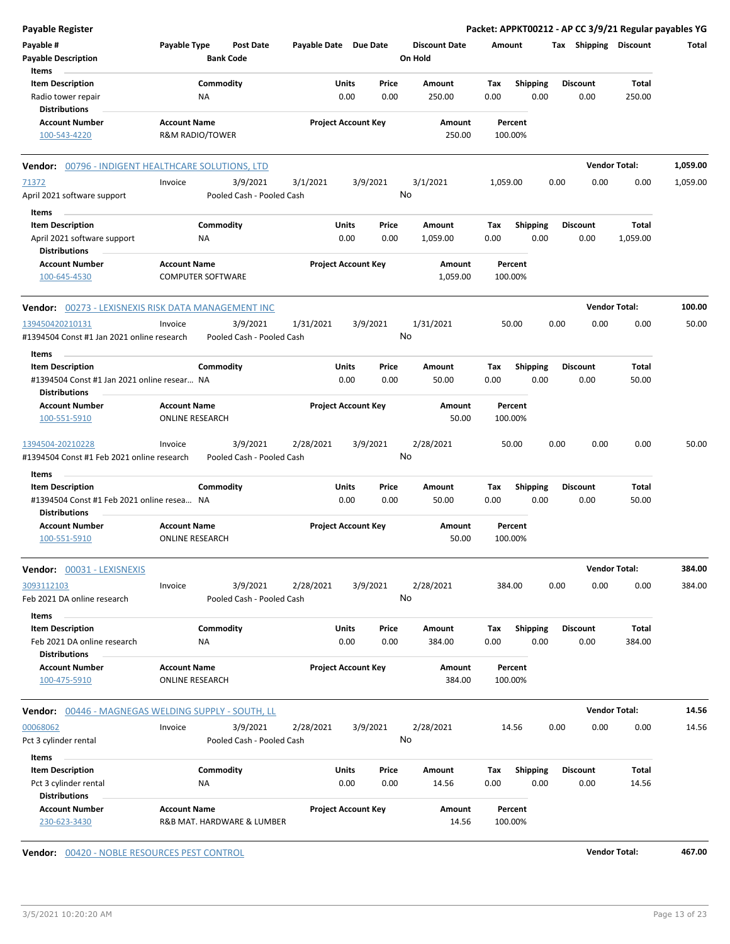| <b>Payable Register</b>                                                                       |                                                 |                                       |                       |                                |                                 |                    |                         | Packet: APPKT00212 - AP CC 3/9/21 Regular payables YG |                      |          |
|-----------------------------------------------------------------------------------------------|-------------------------------------------------|---------------------------------------|-----------------------|--------------------------------|---------------------------------|--------------------|-------------------------|-------------------------------------------------------|----------------------|----------|
| Payable #<br><b>Payable Description</b>                                                       | Payable Type                                    | <b>Post Date</b><br><b>Bank Code</b>  | Payable Date Due Date |                                | <b>Discount Date</b><br>On Hold | Amount             |                         | Tax Shipping Discount                                 |                      | Total    |
| Items<br><b>Item Description</b>                                                              |                                                 | Commodity                             |                       | Units<br>Price                 | Amount                          | Tax                | <b>Shipping</b>         | <b>Discount</b>                                       | Total                |          |
| Radio tower repair<br><b>Distributions</b>                                                    | <b>NA</b>                                       |                                       |                       | 0.00<br>0.00                   | 250.00                          | 0.00               | 0.00                    | 0.00                                                  | 250.00               |          |
| <b>Account Number</b><br>100-543-4220                                                         | <b>Account Name</b><br>R&M RADIO/TOWER          |                                       |                       | <b>Project Account Key</b>     | Amount<br>250.00                | Percent<br>100.00% |                         |                                                       |                      |          |
| Vendor: 00796 - INDIGENT HEALTHCARE SOLUTIONS, LTD                                            |                                                 |                                       |                       |                                |                                 |                    |                         |                                                       | <b>Vendor Total:</b> | 1,059.00 |
| 71372                                                                                         | Invoice                                         | 3/9/2021                              | 3/1/2021              | 3/9/2021                       | 3/1/2021                        | 1,059.00           |                         | 0.00<br>0.00                                          | 0.00                 | 1,059.00 |
| April 2021 software support                                                                   |                                                 | Pooled Cash - Pooled Cash             |                       |                                | No                              |                    |                         |                                                       |                      |          |
| Items                                                                                         |                                                 |                                       |                       |                                |                                 |                    |                         |                                                       |                      |          |
| <b>Item Description</b><br>April 2021 software support<br><b>Distributions</b>                | NA                                              | Commodity                             |                       | Units<br>Price<br>0.00<br>0.00 | Amount<br>1,059.00              | Tax<br>0.00        | <b>Shipping</b><br>0.00 | <b>Discount</b><br>0.00                               | Total<br>1,059.00    |          |
| <b>Account Number</b><br>100-645-4530                                                         | <b>Account Name</b><br><b>COMPUTER SOFTWARE</b> |                                       |                       | <b>Project Account Key</b>     | Amount<br>1,059.00              | Percent<br>100.00% |                         |                                                       |                      |          |
| Vendor: 00273 - LEXISNEXIS RISK DATA MANAGEMENT INC                                           |                                                 |                                       |                       |                                |                                 |                    |                         |                                                       | <b>Vendor Total:</b> | 100.00   |
| 139450420210131<br>#1394504 Const #1 Jan 2021 online research                                 | Invoice                                         | 3/9/2021<br>Pooled Cash - Pooled Cash | 1/31/2021             | 3/9/2021                       | 1/31/2021<br>No                 | 50.00              |                         | 0.00<br>0.00                                          | 0.00                 | 50.00    |
| Items                                                                                         |                                                 |                                       |                       |                                |                                 |                    |                         |                                                       |                      |          |
| <b>Item Description</b><br>#1394504 Const #1 Jan 2021 online resear NA                        |                                                 | Commodity                             |                       | Units<br>Price<br>0.00<br>0.00 | Amount<br>50.00                 | Tax<br>0.00        | <b>Shipping</b><br>0.00 | <b>Discount</b><br>0.00                               | Total<br>50.00       |          |
| <b>Distributions</b><br><b>Account Number</b>                                                 | <b>Account Name</b>                             |                                       |                       | <b>Project Account Key</b>     | Amount                          | Percent            |                         |                                                       |                      |          |
| 100-551-5910                                                                                  | <b>ONLINE RESEARCH</b>                          |                                       |                       |                                | 50.00                           | 100.00%            |                         |                                                       |                      |          |
| 1394504-20210228<br>#1394504 Const #1 Feb 2021 online research                                | Invoice                                         | 3/9/2021<br>Pooled Cash - Pooled Cash | 2/28/2021             | 3/9/2021                       | 2/28/2021<br>No                 | 50.00              |                         | 0.00<br>0.00                                          | 0.00                 | 50.00    |
| Items                                                                                         |                                                 |                                       |                       |                                |                                 |                    |                         |                                                       |                      |          |
| <b>Item Description</b><br>#1394504 Const #1 Feb 2021 online resea NA<br><b>Distributions</b> |                                                 | Commodity                             |                       | Units<br>Price<br>0.00<br>0.00 | Amount<br>50.00                 | Tax<br>0.00        | <b>Shipping</b><br>0.00 | <b>Discount</b><br>0.00                               | Total<br>50.00       |          |
| <b>Account Number</b><br>100-551-5910                                                         | <b>Account Name</b><br><b>ONLINE RESEARCH</b>   |                                       |                       | <b>Project Account Key</b>     | Amount<br>50.00                 | Percent<br>100.00% |                         |                                                       |                      |          |
| <b>Vendor: 00031 - LEXISNEXIS</b>                                                             |                                                 |                                       |                       |                                |                                 |                    |                         |                                                       | <b>Vendor Total:</b> | 384.00   |
| 3093112103<br>Feb 2021 DA online research                                                     | Invoice                                         | 3/9/2021<br>Pooled Cash - Pooled Cash | 2/28/2021             | 3/9/2021                       | 2/28/2021<br>No                 | 384.00             |                         | 0.00<br>0.00                                          | 0.00                 | 384.00   |
| Items<br><b>Item Description</b>                                                              |                                                 | Commodity                             |                       | Units<br>Price                 | Amount                          | Tax                | Shipping                | <b>Discount</b>                                       | Total                |          |
| Feb 2021 DA online research<br><b>Distributions</b>                                           | NA                                              |                                       |                       | 0.00<br>0.00                   | 384.00                          | 0.00               | 0.00                    | 0.00                                                  | 384.00               |          |
| <b>Account Number</b><br>100-475-5910                                                         | <b>Account Name</b>                             | <b>ONLINE RESEARCH</b>                |                       | <b>Project Account Key</b>     | Amount<br>384.00                | Percent<br>100.00% |                         |                                                       |                      |          |
| Vendor: 00446 - MAGNEGAS WELDING SUPPLY - SOUTH, LL                                           |                                                 |                                       |                       |                                |                                 |                    |                         |                                                       | <b>Vendor Total:</b> | 14.56    |
| 00068062                                                                                      | Invoice                                         | 3/9/2021                              | 2/28/2021             | 3/9/2021                       | 2/28/2021                       | 14.56              |                         | 0.00<br>0.00                                          | 0.00                 | 14.56    |
| Pct 3 cylinder rental                                                                         |                                                 | Pooled Cash - Pooled Cash             |                       |                                | No                              |                    |                         |                                                       |                      |          |
| Items                                                                                         |                                                 |                                       |                       |                                |                                 |                    |                         |                                                       |                      |          |
| <b>Item Description</b>                                                                       |                                                 | Commodity                             |                       | Units<br>Price                 | Amount                          | Tax                | <b>Shipping</b>         | <b>Discount</b>                                       | Total                |          |
| Pct 3 cylinder rental<br><b>Distributions</b>                                                 | NA                                              |                                       |                       | 0.00<br>0.00                   | 14.56                           | 0.00               | 0.00                    | 0.00                                                  | 14.56                |          |
| <b>Account Number</b><br>230-623-3430                                                         | <b>Account Name</b>                             | R&B MAT. HARDWARE & LUMBER            |                       | <b>Project Account Key</b>     | Amount<br>14.56                 | Percent<br>100.00% |                         |                                                       |                      |          |

**Vendor:** 00420 - NOBLE RESOURCES PEST CONTROL **Vendor Total: 467.00**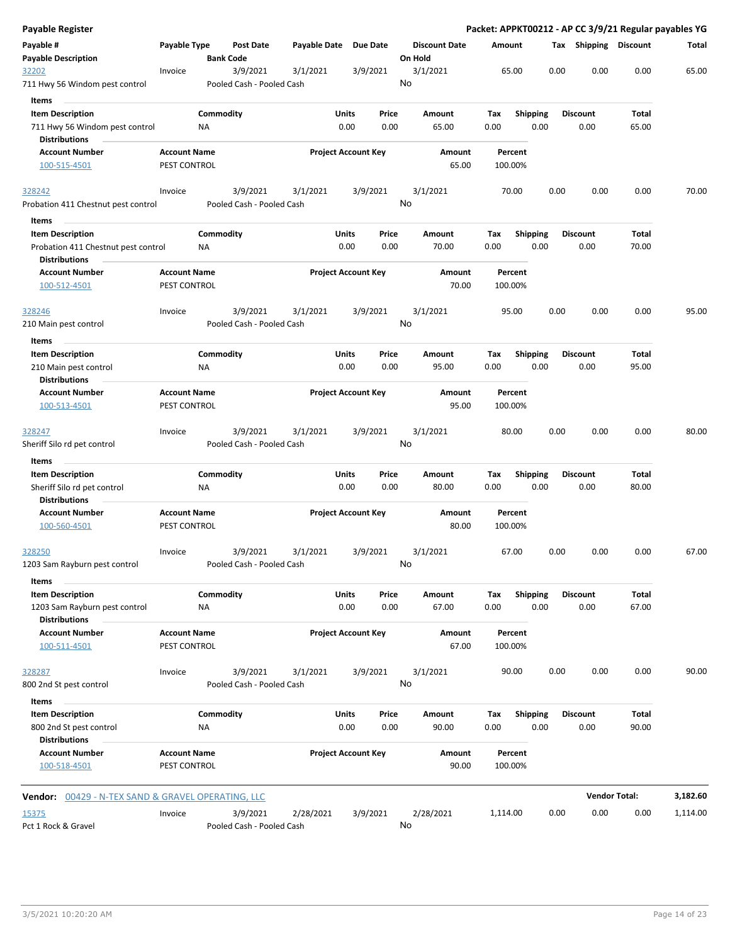| <b>Payable Register</b>                                     |                                     |                  |                                       |                       |              |                            |         |                      |          |                    |      |                       | Packet: APPKT00212 - AP CC 3/9/21 Regular payables YG |          |
|-------------------------------------------------------------|-------------------------------------|------------------|---------------------------------------|-----------------------|--------------|----------------------------|---------|----------------------|----------|--------------------|------|-----------------------|-------------------------------------------------------|----------|
| Payable #<br><b>Payable Description</b>                     | Payable Type                        | <b>Bank Code</b> | <b>Post Date</b>                      | Payable Date Due Date |              |                            | On Hold | <b>Discount Date</b> | Amount   |                    |      | Tax Shipping Discount |                                                       | Total    |
| 32202<br>711 Hwy 56 Windom pest control                     | Invoice                             |                  | 3/9/2021<br>Pooled Cash - Pooled Cash | 3/1/2021              |              | 3/9/2021                   | No      | 3/1/2021             |          | 65.00              | 0.00 | 0.00                  | 0.00                                                  | 65.00    |
| Items                                                       |                                     |                  |                                       |                       |              |                            |         |                      |          |                    |      |                       |                                                       |          |
| <b>Item Description</b>                                     |                                     | Commodity        |                                       |                       | Units        | Price                      |         | Amount               | Tax      | <b>Shipping</b>    |      | <b>Discount</b>       | Total                                                 |          |
| 711 Hwy 56 Windom pest control                              |                                     | ΝA               |                                       |                       | 0.00         | 0.00                       |         | 65.00                | 0.00     | 0.00               |      | 0.00                  | 65.00                                                 |          |
| <b>Distributions</b>                                        |                                     |                  |                                       |                       |              |                            |         |                      |          |                    |      |                       |                                                       |          |
| <b>Account Number</b>                                       | <b>Account Name</b>                 |                  |                                       |                       |              | <b>Project Account Key</b> |         | Amount               |          | Percent            |      |                       |                                                       |          |
| 100-515-4501                                                | PEST CONTROL                        |                  |                                       |                       |              |                            |         | 65.00                |          | 100.00%            |      |                       |                                                       |          |
| 328242                                                      | Invoice                             |                  | 3/9/2021                              | 3/1/2021              |              | 3/9/2021                   |         | 3/1/2021             |          | 70.00              | 0.00 | 0.00                  | 0.00                                                  | 70.00    |
| Probation 411 Chestnut pest control                         |                                     |                  | Pooled Cash - Pooled Cash             |                       |              |                            | No      |                      |          |                    |      |                       |                                                       |          |
| Items                                                       |                                     |                  |                                       |                       |              |                            |         |                      |          |                    |      |                       |                                                       |          |
| <b>Item Description</b>                                     |                                     | Commodity        |                                       |                       | <b>Units</b> | Price                      |         | Amount               | Tax      | <b>Shipping</b>    |      | <b>Discount</b>       | Total                                                 |          |
|                                                             |                                     | NA               |                                       |                       | 0.00         | 0.00                       |         | 70.00                | 0.00     | 0.00               |      | 0.00                  | 70.00                                                 |          |
| Probation 411 Chestnut pest control<br><b>Distributions</b> |                                     |                  |                                       |                       |              |                            |         |                      |          |                    |      |                       |                                                       |          |
| <b>Account Number</b><br>100-512-4501                       | <b>Account Name</b><br>PEST CONTROL |                  |                                       |                       |              | <b>Project Account Key</b> |         | Amount<br>70.00      |          | Percent<br>100.00% |      |                       |                                                       |          |
| 328246                                                      | Invoice                             |                  | 3/9/2021                              | 3/1/2021              |              | 3/9/2021                   |         | 3/1/2021             |          | 95.00              | 0.00 | 0.00                  | 0.00                                                  | 95.00    |
| 210 Main pest control                                       |                                     |                  | Pooled Cash - Pooled Cash             |                       |              |                            | No      |                      |          |                    |      |                       |                                                       |          |
| Items                                                       |                                     |                  |                                       |                       |              |                            |         |                      |          |                    |      |                       |                                                       |          |
| <b>Item Description</b>                                     |                                     | Commodity        |                                       |                       | Units        | Price                      |         | Amount               | Tax      | <b>Shipping</b>    |      | <b>Discount</b>       | Total                                                 |          |
| 210 Main pest control                                       |                                     | NA               |                                       |                       | 0.00         | 0.00                       |         | 95.00                | 0.00     | 0.00               |      | 0.00                  | 95.00                                                 |          |
| <b>Distributions</b>                                        |                                     |                  |                                       |                       |              |                            |         |                      |          |                    |      |                       |                                                       |          |
| <b>Account Number</b>                                       | <b>Account Name</b>                 |                  |                                       |                       |              | <b>Project Account Key</b> |         | Amount               |          | Percent            |      |                       |                                                       |          |
| 100-513-4501                                                | PEST CONTROL                        |                  |                                       |                       |              |                            |         | 95.00                |          | 100.00%            |      |                       |                                                       |          |
| 328247                                                      | Invoice                             |                  | 3/9/2021                              | 3/1/2021              |              | 3/9/2021                   |         | 3/1/2021             |          | 80.00              | 0.00 | 0.00                  | 0.00                                                  | 80.00    |
| Sheriff Silo rd pet control                                 |                                     |                  | Pooled Cash - Pooled Cash             |                       |              |                            | No      |                      |          |                    |      |                       |                                                       |          |
|                                                             |                                     |                  |                                       |                       |              |                            |         |                      |          |                    |      |                       |                                                       |          |
| Items                                                       |                                     |                  |                                       |                       | Units        | Price                      |         |                      |          |                    |      |                       | Total                                                 |          |
| <b>Item Description</b>                                     |                                     | Commodity        |                                       |                       |              |                            |         | Amount               | Tax      | Shipping           |      | <b>Discount</b>       |                                                       |          |
| Sheriff Silo rd pet control                                 |                                     | NA               |                                       |                       | 0.00         | 0.00                       |         | 80.00                | 0.00     | 0.00               |      | 0.00                  | 80.00                                                 |          |
| <b>Distributions</b>                                        |                                     |                  |                                       |                       |              |                            |         |                      |          |                    |      |                       |                                                       |          |
| <b>Account Number</b>                                       | <b>Account Name</b>                 |                  |                                       |                       |              | <b>Project Account Key</b> |         | Amount               |          | Percent            |      |                       |                                                       |          |
| 100-560-4501                                                | PEST CONTROL                        |                  |                                       |                       |              |                            |         | 80.00                |          | 100.00%            |      |                       |                                                       |          |
| 328250                                                      | Invoice                             |                  | 3/9/2021                              | 3/1/2021              |              | 3/9/2021                   |         | 3/1/2021             |          | 67.00              | 0.00 | 0.00                  | 0.00                                                  | 67.00    |
| 1203 Sam Rayburn pest control                               |                                     |                  | Pooled Cash - Pooled Cash             |                       |              |                            | No      |                      |          |                    |      |                       |                                                       |          |
| Items                                                       |                                     |                  |                                       |                       |              |                            |         |                      |          |                    |      |                       |                                                       |          |
| <b>Item Description</b>                                     |                                     | Commodity        |                                       |                       | Units        | Price                      |         | Amount               | Tax      | Shipping           |      | <b>Discount</b>       | Total                                                 |          |
| 1203 Sam Rayburn pest control<br><b>Distributions</b>       |                                     | NA               |                                       |                       | 0.00         | 0.00                       |         | 67.00                | 0.00     | 0.00               |      | 0.00                  | 67.00                                                 |          |
| <b>Account Number</b>                                       | <b>Account Name</b>                 |                  |                                       |                       |              | <b>Project Account Key</b> |         | Amount               |          | Percent            |      |                       |                                                       |          |
| 100-511-4501                                                | PEST CONTROL                        |                  |                                       |                       |              |                            |         | 67.00                |          | 100.00%            |      |                       |                                                       |          |
| 328287                                                      | Invoice                             |                  | 3/9/2021                              | 3/1/2021              |              | 3/9/2021                   |         | 3/1/2021             |          | 90.00              | 0.00 | 0.00                  | 0.00                                                  | 90.00    |
| 800 2nd St pest control                                     |                                     |                  | Pooled Cash - Pooled Cash             |                       |              |                            | No      |                      |          |                    |      |                       |                                                       |          |
| Items                                                       |                                     |                  |                                       |                       |              |                            |         |                      |          |                    |      |                       |                                                       |          |
| <b>Item Description</b>                                     |                                     | Commodity        |                                       |                       | Units        | Price                      |         | Amount               | Tax      | <b>Shipping</b>    |      | <b>Discount</b>       | <b>Total</b>                                          |          |
| 800 2nd St pest control                                     |                                     | NA               |                                       |                       | 0.00         | 0.00                       |         | 90.00                | 0.00     | 0.00               |      | 0.00                  | 90.00                                                 |          |
| <b>Distributions</b>                                        |                                     |                  |                                       |                       |              |                            |         |                      |          |                    |      |                       |                                                       |          |
| <b>Account Number</b>                                       | <b>Account Name</b>                 |                  |                                       |                       |              | <b>Project Account Key</b> |         | Amount               |          | Percent            |      |                       |                                                       |          |
| 100-518-4501                                                | PEST CONTROL                        |                  |                                       |                       |              |                            |         | 90.00                |          | 100.00%            |      |                       |                                                       |          |
|                                                             |                                     |                  |                                       |                       |              |                            |         |                      |          |                    |      |                       |                                                       |          |
| <b>Vendor:</b> 00429 - N-TEX SAND & GRAVEL OPERATING, LLC   |                                     |                  |                                       |                       |              |                            |         |                      |          |                    |      |                       | <b>Vendor Total:</b>                                  | 3,182.60 |
| 15375                                                       | Invoice                             |                  | 3/9/2021                              | 2/28/2021             |              | 3/9/2021                   |         | 2/28/2021            | 1,114.00 |                    | 0.00 | 0.00                  | 0.00                                                  | 1,114.00 |
| Pct 1 Rock & Gravel                                         |                                     |                  | Pooled Cash - Pooled Cash             |                       |              |                            | No      |                      |          |                    |      |                       |                                                       |          |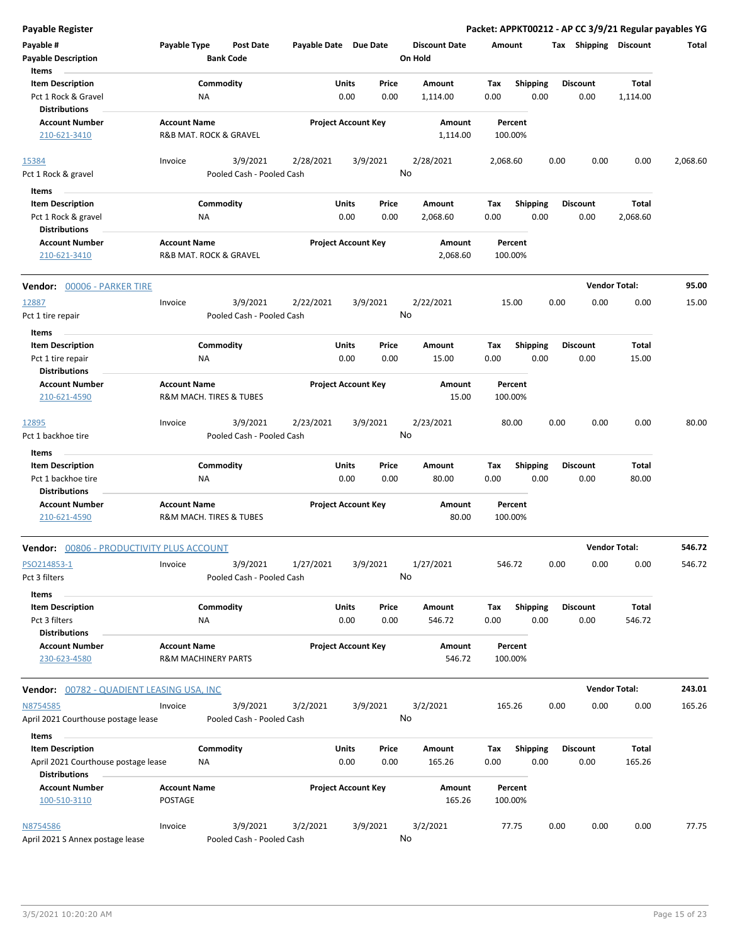| <b>Payable Register</b>                          |                                                       |                                       |                       |                            |          |                                 |          |                    |      |                       | Packet: APPKT00212 - AP CC 3/9/21 Regular payables YG |          |
|--------------------------------------------------|-------------------------------------------------------|---------------------------------------|-----------------------|----------------------------|----------|---------------------------------|----------|--------------------|------|-----------------------|-------------------------------------------------------|----------|
| Payable #<br><b>Payable Description</b>          | Payable Type                                          | <b>Post Date</b><br><b>Bank Code</b>  | Payable Date Due Date |                            |          | <b>Discount Date</b><br>On Hold | Amount   |                    |      | Tax Shipping Discount |                                                       | Total    |
| Items                                            |                                                       |                                       |                       |                            |          |                                 |          |                    |      |                       |                                                       |          |
| <b>Item Description</b>                          |                                                       | Commodity                             |                       | Units                      | Price    | Amount                          | Tax      | <b>Shipping</b>    |      | <b>Discount</b>       | Total                                                 |          |
| Pct 1 Rock & Gravel<br><b>Distributions</b>      | ΝA                                                    |                                       |                       | 0.00                       | 0.00     | 1,114.00                        | 0.00     | 0.00               |      | 0.00                  | 1,114.00                                              |          |
| <b>Account Number</b>                            | <b>Account Name</b>                                   |                                       |                       | <b>Project Account Key</b> |          | Amount                          |          | Percent            |      |                       |                                                       |          |
| 210-621-3410                                     |                                                       | R&B MAT. ROCK & GRAVEL                |                       |                            |          | 1,114.00                        |          | 100.00%            |      |                       |                                                       |          |
| 15384                                            | Invoice                                               | 3/9/2021                              | 2/28/2021             |                            | 3/9/2021 | 2/28/2021<br>No                 | 2,068.60 |                    | 0.00 | 0.00                  | 0.00                                                  | 2,068.60 |
| Pct 1 Rock & gravel                              |                                                       | Pooled Cash - Pooled Cash             |                       |                            |          |                                 |          |                    |      |                       |                                                       |          |
| Items                                            |                                                       |                                       |                       |                            |          |                                 |          |                    |      |                       |                                                       |          |
| <b>Item Description</b>                          |                                                       | Commodity                             |                       | Units                      | Price    | Amount                          | Tax      | <b>Shipping</b>    |      | <b>Discount</b>       | Total                                                 |          |
| Pct 1 Rock & gravel                              | ΝA                                                    |                                       |                       | 0.00                       | 0.00     | 2,068.60                        | 0.00     | 0.00               |      | 0.00                  | 2,068.60                                              |          |
| <b>Distributions</b>                             |                                                       |                                       |                       |                            |          |                                 |          |                    |      |                       |                                                       |          |
| <b>Account Number</b><br>210-621-3410            | <b>Account Name</b>                                   | R&B MAT. ROCK & GRAVEL                |                       | <b>Project Account Key</b> |          | Amount<br>2,068.60              |          | Percent<br>100.00% |      |                       |                                                       |          |
| Vendor: 00006 - PARKER TIRE                      |                                                       |                                       |                       |                            |          |                                 |          |                    |      |                       | <b>Vendor Total:</b>                                  | 95.00    |
| 12887                                            | Invoice                                               | 3/9/2021                              | 2/22/2021             |                            | 3/9/2021 | 2/22/2021                       |          | 15.00              | 0.00 | 0.00                  | 0.00                                                  | 15.00    |
| Pct 1 tire repair                                |                                                       | Pooled Cash - Pooled Cash             |                       |                            |          | No                              |          |                    |      |                       |                                                       |          |
| Items                                            |                                                       |                                       |                       |                            |          |                                 |          |                    |      |                       |                                                       |          |
| <b>Item Description</b>                          |                                                       | Commodity                             |                       | Units                      | Price    | Amount                          | Tax      | <b>Shipping</b>    |      | <b>Discount</b>       | Total                                                 |          |
| Pct 1 tire repair                                | ΝA                                                    |                                       |                       | 0.00                       | 0.00     | 15.00                           | 0.00     | 0.00               |      | 0.00                  | 15.00                                                 |          |
| <b>Distributions</b>                             |                                                       |                                       |                       |                            |          |                                 |          |                    |      |                       |                                                       |          |
| <b>Account Number</b>                            | <b>Account Name</b>                                   |                                       |                       | <b>Project Account Key</b> |          | Amount                          |          | Percent            |      |                       |                                                       |          |
| 210-621-4590                                     |                                                       | R&M MACH. TIRES & TUBES               |                       |                            |          | 15.00                           |          | 100.00%            |      |                       |                                                       |          |
| 12895                                            | Invoice                                               | 3/9/2021                              | 2/23/2021             |                            | 3/9/2021 | 2/23/2021                       |          | 80.00              | 0.00 | 0.00                  | 0.00                                                  | 80.00    |
| Pct 1 backhoe tire                               |                                                       | Pooled Cash - Pooled Cash             |                       |                            |          | No                              |          |                    |      |                       |                                                       |          |
| Items                                            |                                                       |                                       |                       |                            |          |                                 |          |                    |      |                       |                                                       |          |
| <b>Item Description</b>                          |                                                       | Commodity                             |                       | Units                      | Price    | Amount                          | Tax      | <b>Shipping</b>    |      | <b>Discount</b>       | Total                                                 |          |
| Pct 1 backhoe tire<br><b>Distributions</b>       | ΝA                                                    |                                       |                       | 0.00                       | 0.00     | 80.00                           | 0.00     | 0.00               |      | 0.00                  | 80.00                                                 |          |
| <b>Account Number</b><br>210-621-4590            | <b>Account Name</b>                                   | R&M MACH. TIRES & TUBES               |                       | <b>Project Account Key</b> |          | Amount<br>80.00                 |          | Percent<br>100.00% |      |                       |                                                       |          |
| <b>Vendor: 00806 - PRODUCTIVITY PLUS ACCOUNT</b> |                                                       |                                       |                       |                            |          |                                 |          |                    |      |                       | <b>Vendor Total:</b>                                  | 546.72   |
| PSO214853-1                                      | Invoice                                               | 3/9/2021                              | 1/27/2021             |                            | 3/9/2021 | 1/27/2021                       |          | 546.72             | 0.00 | 0.00                  | 0.00                                                  | 546.72   |
| Pct 3 filters<br>Items                           |                                                       | Pooled Cash - Pooled Cash             |                       |                            |          | No                              |          |                    |      |                       |                                                       |          |
| <b>Item Description</b>                          |                                                       | Commodity                             |                       | <b>Units</b>               | Price    | Amount                          | Tax      | <b>Shipping</b>    |      | <b>Discount</b>       | Total                                                 |          |
| Pct 3 filters<br><b>Distributions</b>            | NA                                                    |                                       |                       | 0.00                       | 0.00     | 546.72                          | 0.00     | 0.00               |      | 0.00                  | 546.72                                                |          |
| <b>Account Number</b><br>230-623-4580            | <b>Account Name</b><br><b>R&amp;M MACHINERY PARTS</b> |                                       |                       | <b>Project Account Key</b> |          | Amount<br>546.72                |          | Percent<br>100.00% |      |                       |                                                       |          |
| <b>Vendor: 00782 - QUADIENT LEASING USA, INC</b> |                                                       |                                       |                       |                            |          |                                 |          |                    |      |                       | <b>Vendor Total:</b>                                  | 243.01   |
| N8754585                                         | Invoice                                               | 3/9/2021                              | 3/2/2021              |                            | 3/9/2021 | 3/2/2021                        |          | 165.26             | 0.00 | 0.00                  | 0.00                                                  | 165.26   |
| April 2021 Courthouse postage lease              |                                                       | Pooled Cash - Pooled Cash             |                       |                            |          | No                              |          |                    |      |                       |                                                       |          |
| Items                                            |                                                       |                                       |                       |                            |          |                                 |          |                    |      |                       |                                                       |          |
| <b>Item Description</b>                          |                                                       | Commodity                             |                       | Units                      | Price    | Amount                          | Тах      | <b>Shipping</b>    |      | <b>Discount</b>       | Total                                                 |          |
| April 2021 Courthouse postage lease              | ΝA                                                    |                                       |                       | 0.00                       | 0.00     | 165.26                          | 0.00     | 0.00               |      | 0.00                  | 165.26                                                |          |
| <b>Distributions</b>                             |                                                       |                                       |                       |                            |          |                                 |          |                    |      |                       |                                                       |          |
| <b>Account Number</b><br>100-510-3110            | <b>Account Name</b><br>POSTAGE                        |                                       |                       | <b>Project Account Key</b> |          | Amount<br>165.26                |          | Percent<br>100.00% |      |                       |                                                       |          |
| N8754586<br>April 2021 S Annex postage lease     | Invoice                                               | 3/9/2021<br>Pooled Cash - Pooled Cash | 3/2/2021              |                            | 3/9/2021 | 3/2/2021<br>No                  |          | 77.75              | 0.00 | 0.00                  | 0.00                                                  | 77.75    |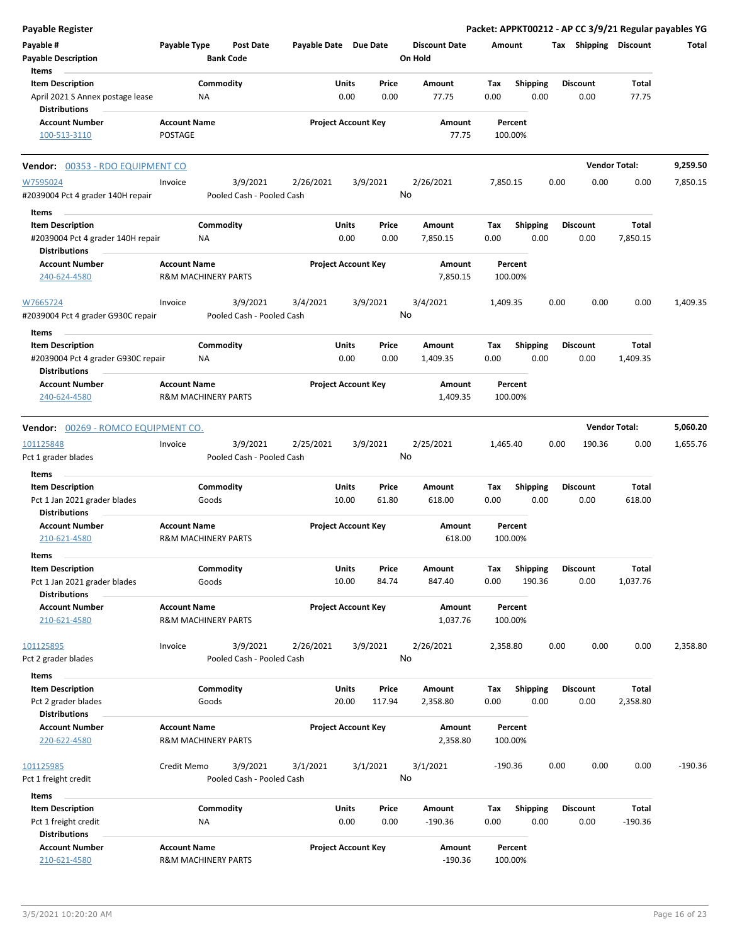| <b>Payable Register</b>                                                             |                                                       |                                       |                       |                            |                |                                 |             |                         |      |                         |                      | Packet: APPKT00212 - AP CC 3/9/21 Regular payables YG |
|-------------------------------------------------------------------------------------|-------------------------------------------------------|---------------------------------------|-----------------------|----------------------------|----------------|---------------------------------|-------------|-------------------------|------|-------------------------|----------------------|-------------------------------------------------------|
| Payable #<br><b>Payable Description</b>                                             | Payable Type                                          | <b>Post Date</b><br><b>Bank Code</b>  | Payable Date Due Date |                            |                | <b>Discount Date</b><br>On Hold | Amount      |                         |      | Tax Shipping Discount   |                      | Total                                                 |
| Items                                                                               |                                                       |                                       |                       |                            |                |                                 |             |                         |      |                         |                      |                                                       |
| <b>Item Description</b><br>April 2021 S Annex postage lease<br><b>Distributions</b> | Commodity<br><b>NA</b>                                |                                       |                       | Units<br>0.00              | Price<br>0.00  | Amount<br>77.75                 | Tax<br>0.00 | <b>Shipping</b><br>0.00 |      | <b>Discount</b><br>0.00 | Total<br>77.75       |                                                       |
| <b>Account Number</b>                                                               | <b>Account Name</b>                                   |                                       |                       | <b>Project Account Key</b> |                | Amount                          |             | Percent                 |      |                         |                      |                                                       |
| 100-513-3110                                                                        | POSTAGE                                               |                                       |                       |                            |                | 77.75                           |             | 100.00%                 |      |                         |                      |                                                       |
| Vendor: 00353 - RDO EQUIPMENT CO                                                    |                                                       |                                       |                       |                            |                |                                 |             |                         |      |                         | <b>Vendor Total:</b> | 9,259.50                                              |
| W7595024<br>#2039004 Pct 4 grader 140H repair                                       | Invoice                                               | 3/9/2021<br>Pooled Cash - Pooled Cash | 2/26/2021             | 3/9/2021                   |                | 2/26/2021<br>No                 | 7,850.15    |                         | 0.00 | 0.00                    | 0.00                 | 7,850.15                                              |
| Items                                                                               |                                                       |                                       |                       |                            |                |                                 |             |                         |      |                         |                      |                                                       |
| <b>Item Description</b><br>#2039004 Pct 4 grader 140H repair                        | Commodity<br>ΝA                                       |                                       |                       | Units<br>0.00              | Price<br>0.00  | Amount<br>7,850.15              | Tax<br>0.00 | <b>Shipping</b><br>0.00 |      | <b>Discount</b><br>0.00 | Total<br>7,850.15    |                                                       |
| <b>Distributions</b>                                                                |                                                       |                                       |                       |                            |                |                                 |             |                         |      |                         |                      |                                                       |
| <b>Account Number</b><br>240-624-4580                                               | <b>Account Name</b><br>R&M MACHINERY PARTS            |                                       |                       | <b>Project Account Key</b> |                | Amount<br>7,850.15              |             | Percent<br>100.00%      |      |                         |                      |                                                       |
| W7665724<br>#2039004 Pct 4 grader G930C repair                                      | Invoice                                               | 3/9/2021<br>Pooled Cash - Pooled Cash | 3/4/2021              | 3/9/2021                   | No             | 3/4/2021                        | 1,409.35    |                         | 0.00 | 0.00                    | 0.00                 | 1,409.35                                              |
| Items                                                                               |                                                       |                                       |                       |                            |                |                                 |             |                         |      |                         |                      |                                                       |
| <b>Item Description</b>                                                             | Commodity                                             |                                       |                       | Units                      | Price          | Amount                          | Tax         | <b>Shipping</b>         |      | <b>Discount</b>         | Total                |                                                       |
| #2039004 Pct 4 grader G930C repair<br><b>Distributions</b>                          | ΝA                                                    |                                       |                       | 0.00                       | 0.00           | 1,409.35                        | 0.00        | 0.00                    |      | 0.00                    | 1,409.35             |                                                       |
| <b>Account Number</b>                                                               | <b>Account Name</b>                                   |                                       |                       | <b>Project Account Key</b> |                | Amount                          |             | Percent                 |      |                         |                      |                                                       |
| 240-624-4580                                                                        | <b>R&amp;M MACHINERY PARTS</b>                        |                                       |                       |                            |                | 1,409.35                        |             | 100.00%                 |      |                         |                      |                                                       |
| Vendor: 00269 - ROMCO EQUIPMENT CO.                                                 |                                                       |                                       |                       |                            |                |                                 |             |                         |      |                         | <b>Vendor Total:</b> | 5,060.20                                              |
| 101125848                                                                           | Invoice                                               | 3/9/2021                              | 2/25/2021             | 3/9/2021                   |                | 2/25/2021                       | 1,465.40    |                         | 0.00 | 190.36                  | 0.00                 | 1,655.76                                              |
| Pct 1 grader blades                                                                 |                                                       | Pooled Cash - Pooled Cash             |                       |                            |                | No                              |             |                         |      |                         |                      |                                                       |
| Items                                                                               |                                                       |                                       |                       |                            |                |                                 |             |                         |      |                         |                      |                                                       |
| <b>Item Description</b><br>Pct 1 Jan 2021 grader blades<br><b>Distributions</b>     | Commodity<br>Goods                                    |                                       |                       | Units<br>10.00             | Price<br>61.80 | Amount<br>618.00                | Tax<br>0.00 | Shipping<br>0.00        |      | <b>Discount</b><br>0.00 | Total<br>618.00      |                                                       |
| <b>Account Number</b>                                                               | <b>Account Name</b>                                   |                                       |                       | <b>Project Account Key</b> |                | Amount                          |             | Percent                 |      |                         |                      |                                                       |
| 210-621-4580                                                                        | <b>R&amp;M MACHINERY PARTS</b>                        |                                       |                       |                            |                | 618.00                          |             | 100.00%                 |      |                         |                      |                                                       |
| Items<br><b>Item Description</b>                                                    | Commodity                                             |                                       |                       | Units                      | Price          | Amount                          | Tax         | Shipping                |      | <b>Discount</b>         | Total                |                                                       |
| Pct 1 Jan 2021 grader blades<br><b>Distributions</b>                                | Goods                                                 |                                       |                       | 10.00                      | 84.74          | 847.40                          | 0.00        | 190.36                  |      | 0.00                    | 1,037.76             |                                                       |
| <b>Account Number</b><br>210-621-4580                                               | <b>Account Name</b><br><b>R&amp;M MACHINERY PARTS</b> |                                       |                       | <b>Project Account Key</b> |                | Amount<br>1,037.76              |             | Percent<br>100.00%      |      |                         |                      |                                                       |
|                                                                                     |                                                       |                                       |                       |                            |                |                                 |             |                         |      |                         |                      |                                                       |
| 101125895<br>Pct 2 grader blades                                                    | Invoice                                               | 3/9/2021<br>Pooled Cash - Pooled Cash | 2/26/2021             | 3/9/2021                   | No             | 2/26/2021                       | 2,358.80    |                         | 0.00 | 0.00                    | 0.00                 | 2,358.80                                              |
| Items                                                                               |                                                       |                                       |                       |                            |                |                                 |             |                         |      |                         |                      |                                                       |
| <b>Item Description</b>                                                             | Commodity                                             |                                       |                       | <b>Units</b>               | Price          | Amount                          | Tax         | Shipping                |      | <b>Discount</b>         | Total                |                                                       |
| Pct 2 grader blades<br><b>Distributions</b>                                         | Goods                                                 |                                       |                       | 20.00                      | 117.94         | 2,358.80                        | 0.00        | 0.00                    |      | 0.00                    | 2,358.80             |                                                       |
| <b>Account Number</b><br>220-622-4580                                               | <b>Account Name</b><br>R&M MACHINERY PARTS            |                                       |                       | <b>Project Account Key</b> |                | Amount<br>2,358.80              |             | Percent<br>100.00%      |      |                         |                      |                                                       |
| 101125985<br>Pct 1 freight credit                                                   | Credit Memo                                           | 3/9/2021<br>Pooled Cash - Pooled Cash | 3/1/2021              | 3/1/2021                   | No             | 3/1/2021                        | -190.36     |                         | 0.00 | 0.00                    | 0.00                 | $-190.36$                                             |
|                                                                                     |                                                       |                                       |                       |                            |                |                                 |             |                         |      |                         |                      |                                                       |
| Items<br><b>Item Description</b>                                                    | Commodity                                             |                                       |                       | Units                      |                |                                 |             |                         |      | <b>Discount</b>         | Total                |                                                       |
| Pct 1 freight credit<br><b>Distributions</b>                                        | ΝA                                                    |                                       |                       | 0.00                       | Price<br>0.00  | Amount<br>$-190.36$             | Tax<br>0.00 | Shipping<br>0.00        |      | 0.00                    | -190.36              |                                                       |
| <b>Account Number</b><br>210-621-4580                                               | <b>Account Name</b><br>R&M MACHINERY PARTS            |                                       |                       | <b>Project Account Key</b> |                | Amount<br>$-190.36$             |             | Percent<br>100.00%      |      |                         |                      |                                                       |
|                                                                                     |                                                       |                                       |                       |                            |                |                                 |             |                         |      |                         |                      |                                                       |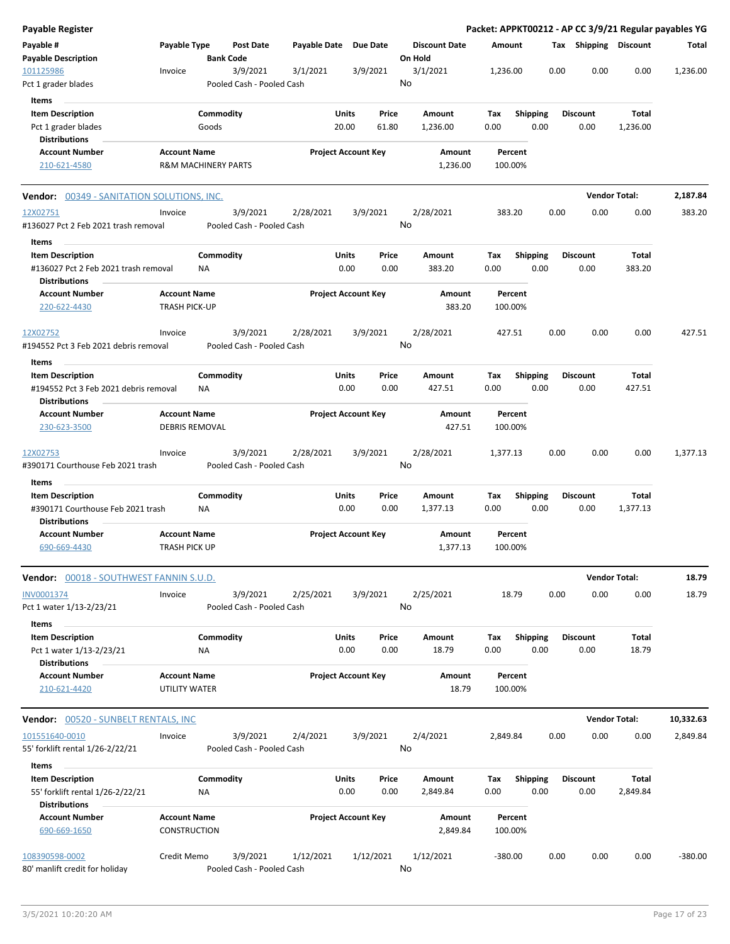| <b>Payable Register</b>                                                              |                                             |                                |                                       |                       |                            |                |                                 |             |                         |      |                         |                          | Packet: APPKT00212 - AP CC 3/9/21 Regular payables YG |
|--------------------------------------------------------------------------------------|---------------------------------------------|--------------------------------|---------------------------------------|-----------------------|----------------------------|----------------|---------------------------------|-------------|-------------------------|------|-------------------------|--------------------------|-------------------------------------------------------|
| Payable #<br><b>Payable Description</b>                                              | Payable Type                                |                                | <b>Post Date</b><br><b>Bank Code</b>  | Payable Date Due Date |                            |                | <b>Discount Date</b><br>On Hold | Amount      |                         |      | Tax Shipping Discount   |                          | Total                                                 |
| 101125986                                                                            | Invoice                                     |                                | 3/9/2021                              | 3/1/2021              | 3/9/2021                   |                | 3/1/2021                        | 1,236.00    |                         | 0.00 | 0.00                    | 0.00                     | 1,236.00                                              |
| Pct 1 grader blades                                                                  |                                             |                                | Pooled Cash - Pooled Cash             |                       |                            |                | No                              |             |                         |      |                         |                          |                                                       |
| Items                                                                                |                                             |                                |                                       |                       |                            |                |                                 |             |                         |      |                         |                          |                                                       |
| <b>Item Description</b><br>Pct 1 grader blades                                       |                                             | Commodity<br>Goods             |                                       |                       | Units<br>20.00             | Price<br>61.80 | Amount<br>1,236.00              | Tax<br>0.00 | <b>Shipping</b><br>0.00 |      | <b>Discount</b><br>0.00 | Total<br>1,236.00        |                                                       |
| <b>Distributions</b><br><b>Account Number</b>                                        | <b>Account Name</b>                         |                                |                                       |                       | <b>Project Account Key</b> |                | Amount                          |             | Percent                 |      |                         |                          |                                                       |
| 210-621-4580                                                                         |                                             | <b>R&amp;M MACHINERY PARTS</b> |                                       |                       |                            |                | 1,236.00                        |             | 100.00%                 |      |                         |                          |                                                       |
| <b>Vendor:</b> 00349 - SANITATION SOLUTIONS, INC.                                    |                                             |                                |                                       |                       |                            |                |                                 |             |                         |      | <b>Vendor Total:</b>    |                          | 2,187.84                                              |
| 12X02751                                                                             | Invoice                                     |                                | 3/9/2021                              | 2/28/2021             | 3/9/2021                   |                | 2/28/2021                       |             | 383.20                  | 0.00 | 0.00                    | 0.00                     | 383.20                                                |
| #136027 Pct 2 Feb 2021 trash removal                                                 |                                             |                                | Pooled Cash - Pooled Cash             |                       |                            |                | No                              |             |                         |      |                         |                          |                                                       |
| Items                                                                                |                                             |                                |                                       |                       |                            |                |                                 |             |                         |      |                         |                          |                                                       |
| <b>Item Description</b>                                                              |                                             | Commodity                      |                                       |                       | Units                      | Price          | Amount                          | Tax         | <b>Shipping</b>         |      | <b>Discount</b>         | <b>Total</b>             |                                                       |
| #136027 Pct 2 Feb 2021 trash removal<br><b>Distributions</b>                         |                                             | ΝA                             |                                       |                       | 0.00                       | 0.00           | 383.20                          | 0.00        | 0.00                    |      | 0.00                    | 383.20                   |                                                       |
| <b>Account Number</b><br>220-622-4430                                                | <b>Account Name</b><br><b>TRASH PICK-UP</b> |                                |                                       |                       | <b>Project Account Key</b> |                | Amount<br>383.20                |             | Percent<br>100.00%      |      |                         |                          |                                                       |
| 12X02752<br>#194552 Pct 3 Feb 2021 debris removal                                    | Invoice                                     |                                | 3/9/2021<br>Pooled Cash - Pooled Cash | 2/28/2021             | 3/9/2021                   |                | 2/28/2021<br>No                 |             | 427.51                  | 0.00 | 0.00                    | 0.00                     | 427.51                                                |
| Items                                                                                |                                             |                                |                                       |                       |                            |                |                                 |             |                         |      |                         |                          |                                                       |
| <b>Item Description</b><br>#194552 Pct 3 Feb 2021 debris removal                     |                                             | Commodity<br><b>NA</b>         |                                       |                       | Units<br>0.00              | Price<br>0.00  | Amount<br>427.51                | Tax<br>0.00 | <b>Shipping</b><br>0.00 |      | <b>Discount</b><br>0.00 | Total<br>427.51          |                                                       |
| <b>Distributions</b>                                                                 |                                             |                                |                                       |                       |                            |                |                                 |             |                         |      |                         |                          |                                                       |
| <b>Account Number</b><br>230-623-3500                                                | <b>Account Name</b>                         | <b>DEBRIS REMOVAL</b>          |                                       |                       | <b>Project Account Key</b> |                | Amount<br>427.51                |             | Percent<br>100.00%      |      |                         |                          |                                                       |
| 12X02753<br>#390171 Courthouse Feb 2021 trash                                        | Invoice                                     |                                | 3/9/2021<br>Pooled Cash - Pooled Cash | 2/28/2021             | 3/9/2021                   |                | 2/28/2021<br>No                 | 1,377.13    |                         | 0.00 | 0.00                    | 0.00                     | 1,377.13                                              |
| Items                                                                                |                                             |                                |                                       |                       |                            |                |                                 |             |                         |      |                         |                          |                                                       |
| <b>Item Description</b><br>#390171 Courthouse Feb 2021 trash<br><b>Distributions</b> |                                             | Commodity<br>ΝA                |                                       |                       | Units<br>0.00              | Price<br>0.00  | Amount<br>1,377.13              | Tax<br>0.00 | <b>Shipping</b><br>0.00 |      | <b>Discount</b><br>0.00 | Total<br>1,377.13        |                                                       |
| <b>Account Number</b>                                                                | <b>Account Name</b>                         |                                |                                       |                       | <b>Project Account Key</b> |                | Amount                          |             | Percent                 |      |                         |                          |                                                       |
| 690-669-4430                                                                         | TRASH PICK UP                               |                                |                                       |                       |                            |                | 1,377.13                        |             | 100.00%                 |      |                         |                          |                                                       |
| Vendor: 00018 - SOUTHWEST FANNIN S.U.D.                                              |                                             |                                |                                       |                       |                            |                |                                 |             |                         |      |                         | <b>Vendor Total:</b>     | 18.79                                                 |
| INV0001374<br>Pct 1 water 1/13-2/23/21                                               | Invoice                                     |                                | 3/9/2021<br>Pooled Cash - Pooled Cash | 2/25/2021             | 3/9/2021                   |                | 2/25/2021<br>No                 |             | 18.79                   | 0.00 | 0.00                    | 0.00                     | 18.79                                                 |
| Items                                                                                |                                             |                                |                                       |                       |                            |                |                                 |             |                         |      |                         |                          |                                                       |
| <b>Item Description</b><br>Pct 1 water 1/13-2/23/21<br><b>Distributions</b>          |                                             | Commodity<br>ΝA                |                                       |                       | Units<br>0.00              | Price<br>0.00  | Amount<br>18.79                 | Tax<br>0.00 | <b>Shipping</b><br>0.00 |      | <b>Discount</b><br>0.00 | Total<br>18.79           |                                                       |
| <b>Account Number</b><br>210-621-4420                                                | <b>Account Name</b><br>UTILITY WATER        |                                |                                       |                       | <b>Project Account Key</b> |                | Amount<br>18.79                 |             | Percent<br>100.00%      |      |                         |                          |                                                       |
| <b>Vendor:</b> 00520 - SUNBELT RENTALS, INC                                          |                                             |                                |                                       |                       |                            |                |                                 |             |                         |      |                         | <b>Vendor Total:</b>     | 10,332.63                                             |
| 101551640-0010                                                                       | Invoice                                     |                                | 3/9/2021                              | 2/4/2021              | 3/9/2021                   |                | 2/4/2021                        | 2,849.84    |                         | 0.00 | 0.00                    | 0.00                     | 2,849.84                                              |
| 55' forklift rental 1/26-2/22/21                                                     |                                             |                                | Pooled Cash - Pooled Cash             |                       |                            |                | No                              |             |                         |      |                         |                          |                                                       |
| Items                                                                                |                                             |                                |                                       |                       |                            |                |                                 |             |                         |      |                         |                          |                                                       |
| <b>Item Description</b><br>55' forklift rental 1/26-2/22/21<br><b>Distributions</b>  |                                             | Commodity<br>NA                |                                       |                       | Units<br>0.00              | Price<br>0.00  | Amount<br>2,849.84              | Tax<br>0.00 | Shipping<br>0.00        |      | <b>Discount</b><br>0.00 | <b>Total</b><br>2,849.84 |                                                       |
| <b>Account Number</b><br>690-669-1650                                                | <b>Account Name</b><br>CONSTRUCTION         |                                |                                       |                       | <b>Project Account Key</b> |                | Amount<br>2,849.84              |             | Percent<br>100.00%      |      |                         |                          |                                                       |
| 108390598-0002<br>80' manlift credit for holiday                                     | Credit Memo                                 |                                | 3/9/2021<br>Pooled Cash - Pooled Cash | 1/12/2021             | 1/12/2021                  |                | 1/12/2021<br>No                 | $-380.00$   |                         | 0.00 | 0.00                    | 0.00                     | $-380.00$                                             |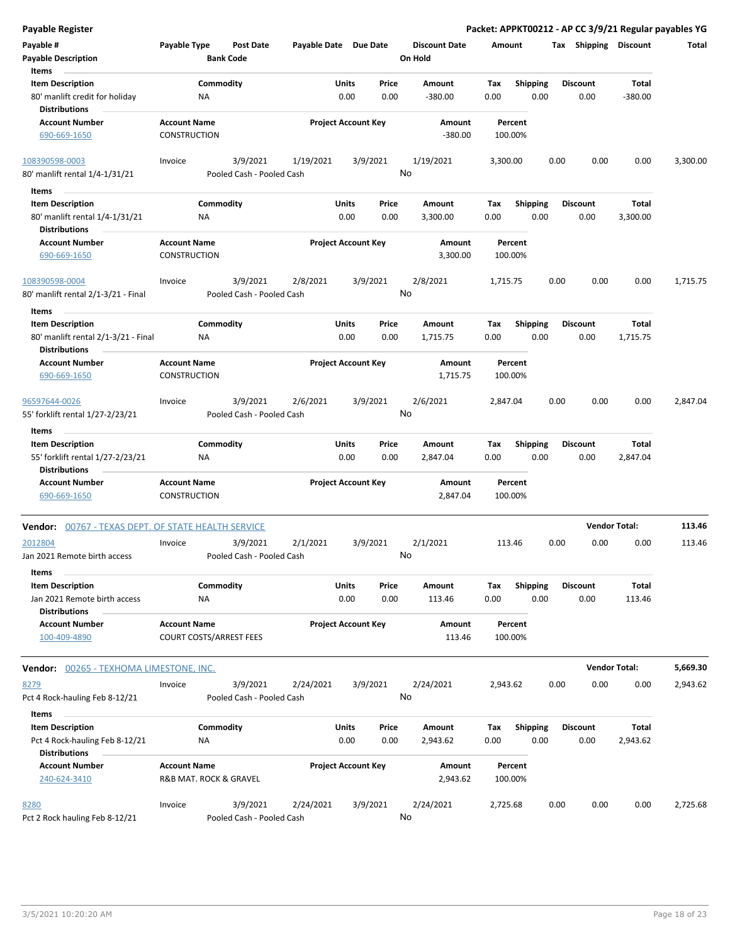| <b>Payable Register</b>                                     |                                                       |                                       |                       |                            |       |                      |                    |                 |      |                       |                      | Packet: APPKT00212 - AP CC 3/9/21 Regular payables YG |
|-------------------------------------------------------------|-------------------------------------------------------|---------------------------------------|-----------------------|----------------------------|-------|----------------------|--------------------|-----------------|------|-----------------------|----------------------|-------------------------------------------------------|
| Payable #                                                   | Payable Type                                          | <b>Post Date</b>                      | Payable Date Due Date |                            |       | <b>Discount Date</b> | Amount             |                 |      | Tax Shipping Discount |                      | Total                                                 |
| <b>Payable Description</b>                                  |                                                       | <b>Bank Code</b>                      |                       |                            |       | On Hold              |                    |                 |      |                       |                      |                                                       |
| Items                                                       |                                                       |                                       |                       |                            |       |                      |                    |                 |      |                       |                      |                                                       |
| <b>Item Description</b>                                     |                                                       | Commodity                             |                       | Units                      | Price | Amount               | Tax                | <b>Shipping</b> |      | <b>Discount</b>       | Total                |                                                       |
| 80' manlift credit for holiday<br><b>Distributions</b>      | ΝA                                                    |                                       |                       | 0.00                       | 0.00  | $-380.00$            | 0.00               | 0.00            |      | 0.00                  | $-380.00$            |                                                       |
| <b>Account Number</b>                                       | <b>Account Name</b>                                   |                                       |                       | <b>Project Account Key</b> |       | Amount               | Percent            |                 |      |                       |                      |                                                       |
| 690-669-1650                                                | <b>CONSTRUCTION</b>                                   |                                       |                       |                            |       | $-380.00$            | 100.00%            |                 |      |                       |                      |                                                       |
| 108390598-0003<br>80' manlift rental 1/4-1/31/21            | Invoice                                               | 3/9/2021<br>Pooled Cash - Pooled Cash | 1/19/2021             | 3/9/2021                   |       | 1/19/2021<br>No      | 3,300.00           |                 | 0.00 | 0.00                  | 0.00                 | 3,300.00                                              |
|                                                             |                                                       |                                       |                       |                            |       |                      |                    |                 |      |                       |                      |                                                       |
| Items                                                       |                                                       |                                       |                       |                            |       |                      |                    |                 |      |                       |                      |                                                       |
| <b>Item Description</b>                                     |                                                       | Commodity                             |                       | Units                      | Price | Amount               | Tax                | <b>Shipping</b> |      | <b>Discount</b>       | Total                |                                                       |
| 80' manlift rental 1/4-1/31/21<br><b>Distributions</b>      | ΝA                                                    |                                       |                       | 0.00                       | 0.00  | 3,300.00             | 0.00               | 0.00            |      | 0.00                  | 3,300.00             |                                                       |
| <b>Account Number</b>                                       | <b>Account Name</b>                                   |                                       |                       | <b>Project Account Key</b> |       | Amount               | Percent            |                 |      |                       |                      |                                                       |
| 690-669-1650                                                | <b>CONSTRUCTION</b>                                   |                                       |                       |                            |       | 3,300.00             | 100.00%            |                 |      |                       |                      |                                                       |
| 108390598-0004                                              | Invoice                                               | 3/9/2021                              | 2/8/2021              | 3/9/2021                   |       | 2/8/2021<br>No       | 1,715.75           |                 | 0.00 | 0.00                  | 0.00                 | 1,715.75                                              |
| 80' manlift rental 2/1-3/21 - Final                         |                                                       | Pooled Cash - Pooled Cash             |                       |                            |       |                      |                    |                 |      |                       |                      |                                                       |
| Items                                                       |                                                       |                                       |                       |                            |       |                      |                    |                 |      |                       |                      |                                                       |
| <b>Item Description</b>                                     |                                                       | Commodity                             |                       | Units                      | Price | Amount               | Tax                | <b>Shipping</b> |      | <b>Discount</b>       | Total                |                                                       |
| 80' manlift rental 2/1-3/21 - Final<br><b>Distributions</b> | <b>NA</b>                                             |                                       |                       | 0.00                       | 0.00  | 1,715.75             | 0.00               | 0.00            |      | 0.00                  | 1,715.75             |                                                       |
| <b>Account Number</b>                                       | <b>Account Name</b>                                   |                                       |                       | <b>Project Account Key</b> |       | Amount               | Percent            |                 |      |                       |                      |                                                       |
| 690-669-1650                                                | CONSTRUCTION                                          |                                       |                       |                            |       | 1,715.75             | 100.00%            |                 |      |                       |                      |                                                       |
| 96597644-0026                                               | Invoice                                               | 3/9/2021                              | 2/6/2021              | 3/9/2021                   |       | 2/6/2021             | 2,847.04           |                 | 0.00 | 0.00                  | 0.00                 | 2,847.04                                              |
| 55' forklift rental 1/27-2/23/21<br>Items                   |                                                       | Pooled Cash - Pooled Cash             |                       |                            |       | No                   |                    |                 |      |                       |                      |                                                       |
| <b>Item Description</b>                                     |                                                       | Commodity                             |                       | <b>Units</b>               | Price | Amount               | Тах                | <b>Shipping</b> |      | <b>Discount</b>       | Total                |                                                       |
| 55' forklift rental 1/27-2/23/21<br><b>Distributions</b>    | ΝA                                                    |                                       |                       | 0.00                       | 0.00  | 2,847.04             | 0.00               | 0.00            |      | 0.00                  | 2,847.04             |                                                       |
| <b>Account Number</b>                                       | <b>Account Name</b>                                   |                                       |                       | <b>Project Account Key</b> |       | Amount               | Percent            |                 |      |                       |                      |                                                       |
| 690-669-1650                                                | <b>CONSTRUCTION</b>                                   |                                       |                       |                            |       | 2,847.04             | 100.00%            |                 |      |                       |                      |                                                       |
| <b>Vendor: 00767 - TEXAS DEPT. OF STATE HEALTH SERVICE</b>  |                                                       |                                       |                       |                            |       |                      |                    |                 |      | <b>Vendor Total:</b>  |                      | 113.46                                                |
| 2012804<br>Jan 2021 Remote birth access                     | Invoice                                               | 3/9/2021<br>Pooled Cash - Pooled Cash | 2/1/2021              | 3/9/2021                   |       | 2/1/2021<br>No       | 113.46             |                 | 0.00 | 0.00                  | 0.00                 | 113.46                                                |
| Items                                                       |                                                       |                                       |                       |                            |       |                      |                    |                 |      |                       |                      |                                                       |
| <b>Item Description</b>                                     |                                                       | Commodity                             |                       | Units                      | Price | Amount               | Tax                | Shipping        |      | <b>Discount</b>       | Total                |                                                       |
| Jan 2021 Remote birth access                                | ΝA                                                    |                                       |                       | 0.00                       | 0.00  | 113.46               | 0.00               | 0.00            |      | 0.00                  | 113.46               |                                                       |
| <b>Distributions</b>                                        |                                                       |                                       |                       |                            |       |                      |                    |                 |      |                       |                      |                                                       |
| <b>Account Number</b><br>100-409-4890                       | <b>Account Name</b><br><b>COURT COSTS/ARREST FEES</b> |                                       |                       | <b>Project Account Key</b> |       | Amount<br>113.46     | Percent<br>100.00% |                 |      |                       |                      |                                                       |
| <b>Vendor: 00265 - TEXHOMA LIMESTONE, INC.</b>              |                                                       |                                       |                       |                            |       |                      |                    |                 |      |                       | <b>Vendor Total:</b> | 5,669.30                                              |
| 8279                                                        | Invoice                                               | 3/9/2021                              | 2/24/2021             | 3/9/2021                   |       | 2/24/2021            | 2,943.62           |                 | 0.00 | 0.00                  | 0.00                 | 2,943.62                                              |
| Pct 4 Rock-hauling Feb 8-12/21                              |                                                       | Pooled Cash - Pooled Cash             |                       |                            |       | No                   |                    |                 |      |                       |                      |                                                       |
|                                                             |                                                       |                                       |                       |                            |       |                      |                    |                 |      |                       |                      |                                                       |
| Items                                                       |                                                       |                                       |                       |                            |       |                      |                    |                 |      |                       |                      |                                                       |
| <b>Item Description</b>                                     |                                                       | Commodity                             |                       | <b>Units</b>               | Price | Amount               | Tax                | Shipping        |      | <b>Discount</b>       | Total                |                                                       |
| Pct 4 Rock-hauling Feb 8-12/21<br><b>Distributions</b>      | ΝA                                                    |                                       |                       | 0.00                       | 0.00  | 2,943.62             | 0.00               | 0.00            |      | 0.00                  | 2,943.62             |                                                       |
| <b>Account Number</b>                                       | <b>Account Name</b>                                   |                                       |                       | <b>Project Account Key</b> |       | Amount               | Percent            |                 |      |                       |                      |                                                       |
| 240-624-3410                                                | R&B MAT. ROCK & GRAVEL                                |                                       |                       |                            |       | 2,943.62             | 100.00%            |                 |      |                       |                      |                                                       |
| 8280                                                        | Invoice                                               | 3/9/2021                              | 2/24/2021             | 3/9/2021                   |       | 2/24/2021            | 2,725.68           |                 | 0.00 | 0.00                  | 0.00                 | 2,725.68                                              |
| Pct 2 Rock hauling Feb 8-12/21                              |                                                       | Pooled Cash - Pooled Cash             |                       |                            |       | No                   |                    |                 |      |                       |                      |                                                       |

l,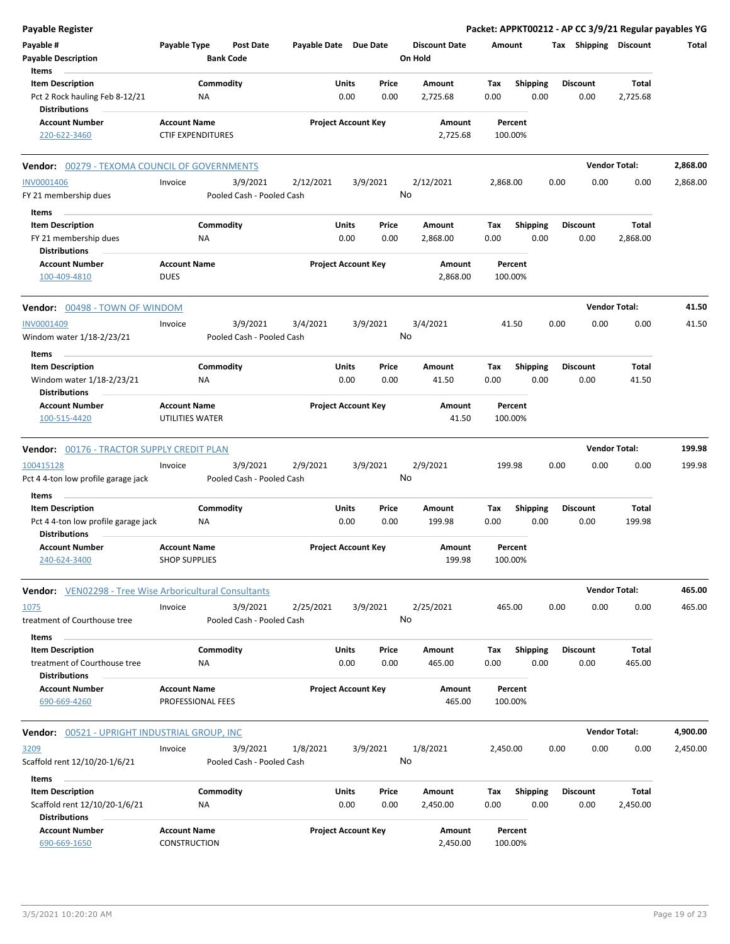| <b>Payable Register</b>                                                           |                                      |                                      |                       |                            |               |                                 |             |                         |      |                         | Packet: APPKT00212 - AP CC 3/9/21 Regular payables YG |          |
|-----------------------------------------------------------------------------------|--------------------------------------|--------------------------------------|-----------------------|----------------------------|---------------|---------------------------------|-------------|-------------------------|------|-------------------------|-------------------------------------------------------|----------|
| Payable #<br><b>Payable Description</b>                                           | Payable Type                         | <b>Post Date</b><br><b>Bank Code</b> | Payable Date Due Date |                            |               | <b>Discount Date</b><br>On Hold | Amount      |                         |      | Tax Shipping Discount   |                                                       | Total    |
| Items                                                                             |                                      |                                      |                       |                            |               |                                 |             |                         |      |                         |                                                       |          |
| <b>Item Description</b><br>Pct 2 Rock hauling Feb 8-12/21<br><b>Distributions</b> | Commodity<br>NA                      |                                      |                       | Units<br>0.00              | Price<br>0.00 | Amount<br>2,725.68              | Tax<br>0.00 | <b>Shipping</b><br>0.00 |      | Discount<br>0.00        | Total<br>2,725.68                                     |          |
| <b>Account Number</b>                                                             | <b>Account Name</b>                  |                                      |                       | <b>Project Account Key</b> |               | Amount                          |             | Percent                 |      |                         |                                                       |          |
| 220-622-3460                                                                      | <b>CTIF EXPENDITURES</b>             |                                      |                       |                            |               | 2,725.68                        |             | 100.00%                 |      |                         |                                                       |          |
| <b>Vendor: 00279 - TEXOMA COUNCIL OF GOVERNMENTS</b>                              |                                      |                                      |                       |                            |               |                                 |             |                         |      |                         | <b>Vendor Total:</b>                                  | 2,868.00 |
| <b>INV0001406</b>                                                                 | Invoice                              | 3/9/2021                             | 2/12/2021             | 3/9/2021                   |               | 2/12/2021                       | 2,868.00    |                         | 0.00 | 0.00                    | 0.00                                                  | 2,868.00 |
| FY 21 membership dues                                                             |                                      | Pooled Cash - Pooled Cash            |                       |                            |               | No                              |             |                         |      |                         |                                                       |          |
| Items                                                                             |                                      |                                      |                       |                            |               |                                 |             |                         |      |                         |                                                       |          |
| <b>Item Description</b>                                                           | Commodity                            |                                      |                       | Units                      | Price         | Amount                          | Tax         | Shipping                |      | <b>Discount</b>         | Total                                                 |          |
| FY 21 membership dues<br><b>Distributions</b>                                     | NA                                   |                                      |                       | 0.00                       | 0.00          | 2,868.00                        | 0.00        | 0.00                    |      | 0.00                    | 2,868.00                                              |          |
| <b>Account Number</b>                                                             | <b>Account Name</b>                  |                                      |                       | <b>Project Account Key</b> |               | Amount                          |             | Percent                 |      |                         |                                                       |          |
| 100-409-4810                                                                      | <b>DUES</b>                          |                                      |                       |                            |               | 2,868.00                        |             | 100.00%                 |      |                         |                                                       |          |
| Vendor: 00498 - TOWN OF WINDOM                                                    |                                      |                                      |                       |                            |               |                                 |             |                         |      |                         | <b>Vendor Total:</b>                                  | 41.50    |
| INV0001409                                                                        | Invoice                              | 3/9/2021                             | 3/4/2021              | 3/9/2021                   |               | 3/4/2021                        |             | 41.50                   | 0.00 | 0.00                    | 0.00                                                  | 41.50    |
| Windom water 1/18-2/23/21                                                         |                                      | Pooled Cash - Pooled Cash            |                       |                            |               | No                              |             |                         |      |                         |                                                       |          |
| Items<br><b>Item Description</b>                                                  | Commodity                            |                                      |                       | Units                      | Price         | Amount                          | Тах         | Shipping                |      | <b>Discount</b>         | Total                                                 |          |
| Windom water 1/18-2/23/21<br><b>Distributions</b>                                 | ΝA                                   |                                      |                       | 0.00                       | 0.00          | 41.50                           | 0.00        | 0.00                    |      | 0.00                    | 41.50                                                 |          |
| <b>Account Number</b>                                                             | <b>Account Name</b>                  |                                      |                       | <b>Project Account Key</b> |               | Amount                          |             | Percent                 |      |                         |                                                       |          |
| 100-515-4420                                                                      | UTILITIES WATER                      |                                      |                       |                            |               | 41.50                           |             | 100.00%                 |      |                         |                                                       |          |
| Vendor: 00176 - TRACTOR SUPPLY CREDIT PLAN                                        |                                      |                                      |                       |                            |               |                                 |             |                         |      |                         | <b>Vendor Total:</b>                                  | 199.98   |
| 100415128                                                                         | Invoice                              | 3/9/2021                             | 2/9/2021              | 3/9/2021                   |               | 2/9/2021                        | 199.98      |                         | 0.00 | 0.00                    | 0.00                                                  | 199.98   |
| Pct 4 4-ton low profile garage jack                                               |                                      | Pooled Cash - Pooled Cash            |                       |                            |               | No                              |             |                         |      |                         |                                                       |          |
| Items                                                                             |                                      |                                      |                       |                            |               |                                 |             |                         |      |                         |                                                       |          |
| <b>Item Description</b>                                                           | Commodity                            |                                      |                       | Units                      | Price         | Amount                          | Tax         | <b>Shipping</b>         |      | <b>Discount</b>         | Total                                                 |          |
| Pct 4 4-ton low profile garage jack<br><b>Distributions</b>                       | <b>NA</b>                            |                                      |                       | 0.00                       | 0.00          | 199.98                          | 0.00        | 0.00                    |      | 0.00                    | 199.98                                                |          |
| <b>Account Number</b><br>240-624-3400                                             | Account Name<br><b>SHOP SUPPLIES</b> |                                      |                       | <b>Project Account Key</b> |               | Amount<br>199.98                | 100.00%     | Percent                 |      |                         |                                                       |          |
| <b>Vendor:</b> VEN02298 - Tree Wise Arboricultural Consultants                    |                                      |                                      |                       |                            |               |                                 |             |                         |      |                         | <b>Vendor Total:</b>                                  | 465.00   |
| 1075                                                                              | Invoice                              | 3/9/2021                             | 2/25/2021             | 3/9/2021                   |               | 2/25/2021                       | 465.00      |                         | 0.00 | 0.00                    | 0.00                                                  | 465.00   |
| treatment of Courthouse tree                                                      |                                      | Pooled Cash - Pooled Cash            |                       |                            |               | No                              |             |                         |      |                         |                                                       |          |
| Items<br><b>Item Description</b>                                                  | Commodity                            |                                      |                       | Units                      | Price         | Amount                          | Tax         | <b>Shipping</b>         |      | <b>Discount</b>         | Total                                                 |          |
| treatment of Courthouse tree<br><b>Distributions</b>                              | ΝA                                   |                                      |                       | 0.00                       | 0.00          | 465.00                          | 0.00        | 0.00                    |      | 0.00                    | 465.00                                                |          |
| <b>Account Number</b>                                                             | <b>Account Name</b>                  |                                      |                       | <b>Project Account Key</b> |               | Amount                          |             | Percent                 |      |                         |                                                       |          |
| 690-669-4260                                                                      | PROFESSIONAL FEES                    |                                      |                       |                            |               | 465.00                          |             | 100.00%                 |      |                         |                                                       |          |
| <b>Vendor: 00521 - UPRIGHT INDUSTRIAL GROUP, INC</b>                              |                                      |                                      |                       |                            |               |                                 |             |                         |      |                         | <b>Vendor Total:</b>                                  | 4,900.00 |
| 3209                                                                              | Invoice                              | 3/9/2021                             | 1/8/2021              | 3/9/2021                   |               | 1/8/2021                        | 2,450.00    |                         | 0.00 | 0.00                    | 0.00                                                  | 2,450.00 |
| Scaffold rent 12/10/20-1/6/21                                                     |                                      | Pooled Cash - Pooled Cash            |                       |                            |               | No                              |             |                         |      |                         |                                                       |          |
| Items                                                                             |                                      |                                      |                       |                            |               |                                 |             |                         |      |                         |                                                       |          |
| <b>Item Description</b><br>Scaffold rent 12/10/20-1/6/21<br><b>Distributions</b>  | Commodity<br><b>NA</b>               |                                      |                       | Units<br>0.00              | Price<br>0.00 | Amount<br>2,450.00              | Tax<br>0.00 | <b>Shipping</b><br>0.00 |      | <b>Discount</b><br>0.00 | Total<br>2,450.00                                     |          |
| <b>Account Number</b><br>690-669-1650                                             | <b>Account Name</b><br>CONSTRUCTION  |                                      |                       | <b>Project Account Key</b> |               | Amount<br>2,450.00              |             | Percent<br>100.00%      |      |                         |                                                       |          |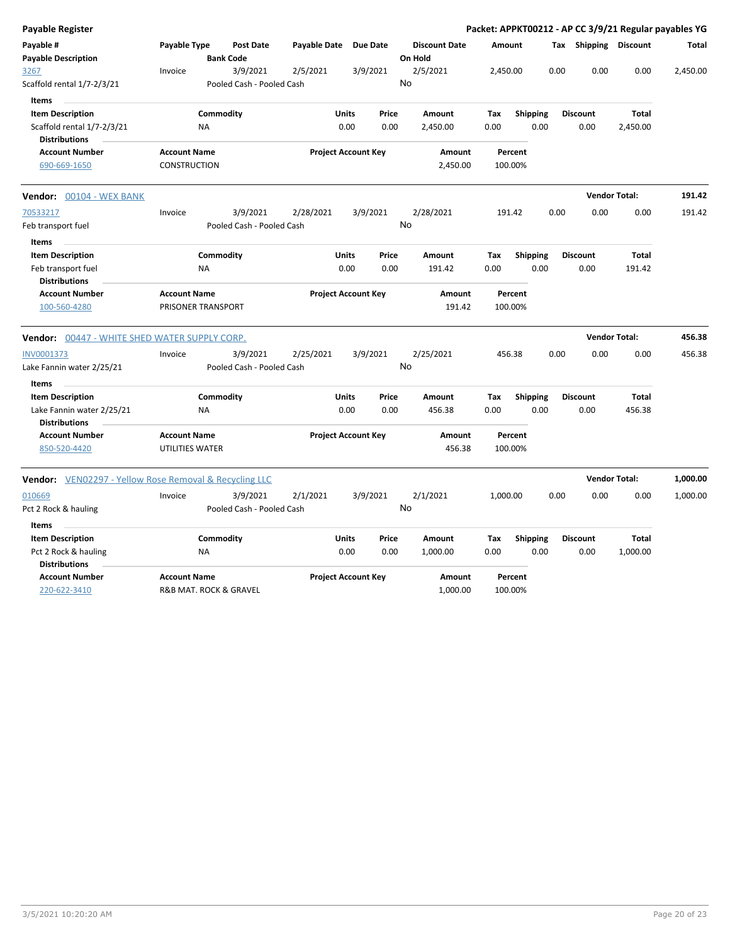| <b>Payable Register</b>                                                      |                                            |                                       |                       |                                |    |                                 |             |                         |      |                         |                      | Packet: APPKT00212 - AP CC 3/9/21 Regular payables YG |
|------------------------------------------------------------------------------|--------------------------------------------|---------------------------------------|-----------------------|--------------------------------|----|---------------------------------|-------------|-------------------------|------|-------------------------|----------------------|-------------------------------------------------------|
| Payable #<br><b>Payable Description</b>                                      | Payable Type                               | <b>Post Date</b><br><b>Bank Code</b>  | Payable Date Due Date |                                |    | <b>Discount Date</b><br>On Hold | Amount      |                         |      | Tax Shipping Discount   |                      | Total                                                 |
| 3267<br>Scaffold rental 1/7-2/3/21<br>Items                                  | Invoice                                    | 3/9/2021<br>Pooled Cash - Pooled Cash | 2/5/2021              | 3/9/2021                       | No | 2/5/2021                        | 2,450.00    |                         | 0.00 | 0.00                    | 0.00                 | 2,450.00                                              |
| <b>Item Description</b>                                                      |                                            | Commodity                             |                       | Units<br>Price                 |    | Amount                          | Tax         | <b>Shipping</b>         |      | <b>Discount</b>         | Total                |                                                       |
| Scaffold rental 1/7-2/3/21<br><b>Distributions</b>                           | <b>NA</b>                                  |                                       |                       | 0.00<br>0.00                   |    | 2,450.00                        | 0.00        | 0.00                    |      | 0.00                    | 2,450.00             |                                                       |
| <b>Account Number</b><br>690-669-1650                                        | <b>Account Name</b><br><b>CONSTRUCTION</b> |                                       |                       | <b>Project Account Key</b>     |    | Amount<br>2,450.00              |             | Percent<br>100.00%      |      |                         |                      |                                                       |
| Vendor: 00104 - WEX BANK                                                     |                                            |                                       |                       |                                |    |                                 |             |                         |      |                         | <b>Vendor Total:</b> | 191.42                                                |
| 70533217                                                                     | Invoice                                    | 3/9/2021                              | 2/28/2021             | 3/9/2021                       |    | 2/28/2021                       |             | 191.42                  | 0.00 | 0.00                    | 0.00                 | 191.42                                                |
| Feb transport fuel                                                           |                                            | Pooled Cash - Pooled Cash             |                       |                                | No |                                 |             |                         |      |                         |                      |                                                       |
| Items<br><b>Item Description</b>                                             |                                            | Commodity                             |                       | Units<br>Price                 |    | Amount                          | Tax         | <b>Shipping</b>         |      | <b>Discount</b>         | Total                |                                                       |
| Feb transport fuel<br><b>Distributions</b>                                   | NA                                         |                                       |                       | 0.00<br>0.00                   |    | 191.42                          | 0.00        | 0.00                    |      | 0.00                    | 191.42               |                                                       |
| <b>Account Number</b><br>100-560-4280                                        | <b>Account Name</b><br>PRISONER TRANSPORT  |                                       |                       | <b>Project Account Key</b>     |    | Amount<br>191.42                |             | Percent<br>100.00%      |      |                         |                      |                                                       |
| Vendor: 00447 - WHITE SHED WATER SUPPLY CORP.                                |                                            |                                       |                       |                                |    |                                 |             |                         |      |                         | <b>Vendor Total:</b> | 456.38                                                |
| INV0001373                                                                   | Invoice                                    | 3/9/2021                              | 2/25/2021             | 3/9/2021                       |    | 2/25/2021                       |             | 456.38                  | 0.00 | 0.00                    | 0.00                 | 456.38                                                |
| Lake Fannin water 2/25/21                                                    |                                            | Pooled Cash - Pooled Cash             |                       |                                | No |                                 |             |                         |      |                         |                      |                                                       |
| Items                                                                        |                                            |                                       |                       |                                |    |                                 |             |                         |      |                         |                      |                                                       |
| <b>Item Description</b><br>Lake Fannin water 2/25/21<br><b>Distributions</b> | <b>NA</b>                                  | Commodity                             |                       | Units<br>Price<br>0.00<br>0.00 |    | Amount<br>456.38                | Tax<br>0.00 | <b>Shipping</b><br>0.00 |      | <b>Discount</b><br>0.00 | Total<br>456.38      |                                                       |
| <b>Account Number</b><br>850-520-4420                                        | <b>Account Name</b><br>UTILITIES WATER     |                                       |                       | <b>Project Account Key</b>     |    | Amount<br>456.38                |             | Percent<br>100.00%      |      |                         |                      |                                                       |
| <b>Vendor:</b> VEN02297 - Yellow Rose Removal & Recycling LLC                |                                            |                                       |                       |                                |    |                                 |             |                         |      |                         | <b>Vendor Total:</b> | 1,000.00                                              |
| 010669                                                                       | Invoice                                    | 3/9/2021                              | 2/1/2021              | 3/9/2021                       |    | 2/1/2021                        | 1,000.00    |                         | 0.00 | 0.00                    | 0.00                 | 1,000.00                                              |
| Pct 2 Rock & hauling                                                         |                                            | Pooled Cash - Pooled Cash             |                       |                                | No |                                 |             |                         |      |                         |                      |                                                       |
| Items                                                                        |                                            |                                       |                       |                                |    |                                 |             |                         |      |                         |                      |                                                       |
| <b>Item Description</b>                                                      |                                            | Commodity                             |                       | <b>Units</b><br>Price          |    | <b>Amount</b>                   | Tax         | <b>Shipping</b>         |      | <b>Discount</b>         | Total                |                                                       |
| Pct 2 Rock & hauling<br><b>Distributions</b>                                 | NA                                         |                                       |                       | 0.00<br>0.00                   |    | 1,000.00                        | 0.00        | 0.00                    |      | 0.00                    | 1,000.00             |                                                       |
| <b>Account Number</b><br>220-622-3410                                        | <b>Account Name</b>                        | R&B MAT. ROCK & GRAVEL                |                       | <b>Project Account Key</b>     |    | Amount<br>1,000.00              |             | Percent<br>100.00%      |      |                         |                      |                                                       |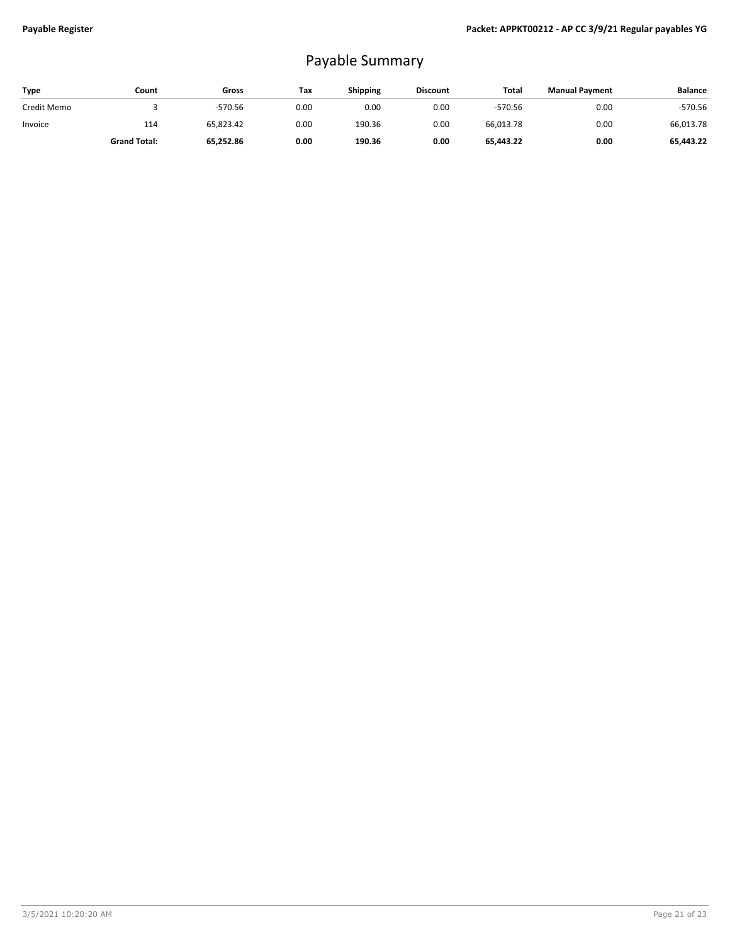## Payable Summary

| <b>Type</b> | Count               | Gross     | Tax  | Shipping | <b>Discount</b> | Total     | <b>Manual Payment</b> | <b>Balance</b> |
|-------------|---------------------|-----------|------|----------|-----------------|-----------|-----------------------|----------------|
| Credit Memo |                     | $-570.56$ | 0.00 | 0.00     | 0.00            | $-570.56$ | 0.00                  | $-570.56$      |
| Invoice     | 114                 | 65,823.42 | 0.00 | 190.36   | 0.00            | 66,013.78 | 0.00                  | 66,013.78      |
|             | <b>Grand Total:</b> | 65,252.86 | 0.00 | 190.36   | 0.00            | 65.443.22 | 0.00                  | 65,443.22      |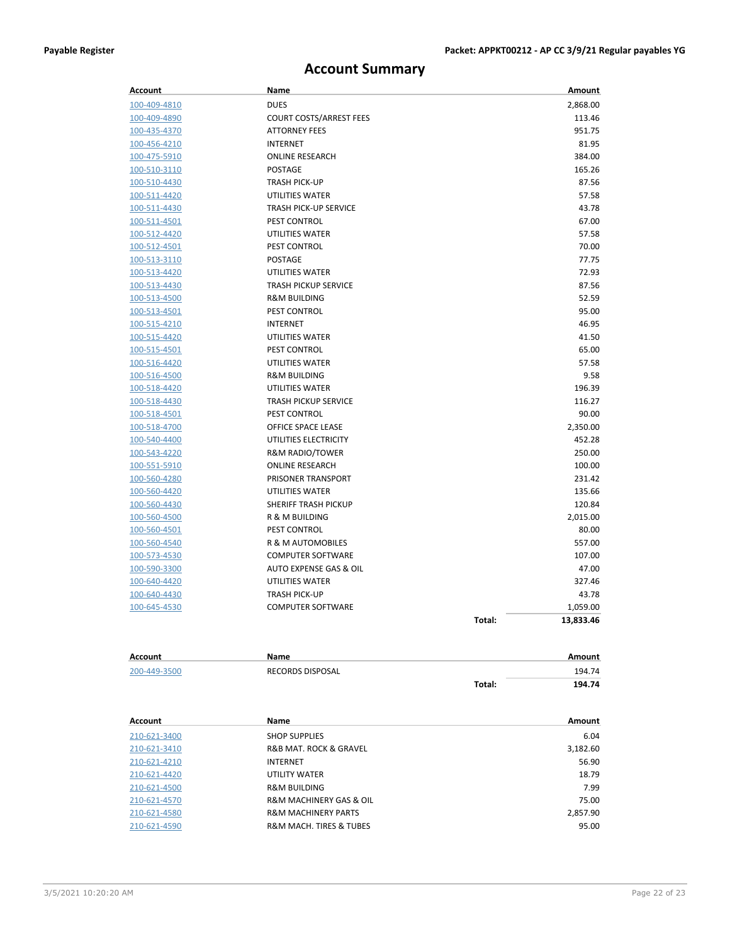## **Account Summary**

| Account             | Name                           |        | Amount    |
|---------------------|--------------------------------|--------|-----------|
| 100-409-4810        | <b>DUES</b>                    |        | 2,868.00  |
| 100-409-4890        | <b>COURT COSTS/ARREST FEES</b> |        | 113.46    |
| 100-435-4370        | <b>ATTORNEY FEES</b>           |        | 951.75    |
| 100-456-4210        | <b>INTERNET</b>                |        | 81.95     |
| 100-475-5910        | <b>ONLINE RESEARCH</b>         |        | 384.00    |
| <u>100-510-3110</u> | POSTAGE                        |        | 165.26    |
| 100-510-4430        | <b>TRASH PICK-UP</b>           |        | 87.56     |
| 100-511-4420        | UTILITIES WATER                |        | 57.58     |
| 100-511-4430        | <b>TRASH PICK-UP SERVICE</b>   |        | 43.78     |
| 100-511-4501        | PEST CONTROL                   |        | 67.00     |
| 100-512-4420        | UTILITIES WATER                |        | 57.58     |
| 100-512-4501        | PEST CONTROL                   |        | 70.00     |
| 100-513-3110        | POSTAGE                        |        | 77.75     |
| 100-513-4420        | UTILITIES WATER                |        | 72.93     |
| 100-513-4430        | <b>TRASH PICKUP SERVICE</b>    |        | 87.56     |
| 100-513-4500        | <b>R&amp;M BUILDING</b>        |        | 52.59     |
| 100-513-4501        | PEST CONTROL                   |        | 95.00     |
| 100-515-4210        | INTERNET                       |        | 46.95     |
| 100-515-4420        | UTILITIES WATER                |        | 41.50     |
| 100-515-4501        | PEST CONTROL                   |        | 65.00     |
| 100-516-4420        | UTILITIES WATER                |        | 57.58     |
| 100-516-4500        | <b>R&amp;M BUILDING</b>        |        | 9.58      |
| 100-518-4420        | UTILITIES WATER                |        | 196.39    |
| 100-518-4430        | <b>TRASH PICKUP SERVICE</b>    |        | 116.27    |
| 100-518-4501        | PEST CONTROL                   |        | 90.00     |
| 100-518-4700        | OFFICE SPACE LEASE             |        | 2,350.00  |
| 100-540-4400        | UTILITIES ELECTRICITY          |        | 452.28    |
| 100-543-4220        | R&M RADIO/TOWER                |        | 250.00    |
| <u>100-551-5910</u> | <b>ONLINE RESEARCH</b>         |        | 100.00    |
| 100-560-4280        | PRISONER TRANSPORT             |        | 231.42    |
| 100-560-4420        | UTILITIES WATER                |        | 135.66    |
| 100-560-4430        | SHERIFF TRASH PICKUP           |        | 120.84    |
| 100-560-4500        | R & M BUILDING                 |        | 2,015.00  |
| 100-560-4501        | PEST CONTROL                   |        | 80.00     |
| 100-560-4540        | R & M AUTOMOBILES              |        | 557.00    |
| 100-573-4530        | <b>COMPUTER SOFTWARE</b>       |        | 107.00    |
| 100-590-3300        | AUTO EXPENSE GAS & OIL         |        | 47.00     |
| 100-640-4420        | UTILITIES WATER                |        | 327.46    |
| 100-640-4430        | <b>TRASH PICK-UP</b>           |        | 43.78     |
| 100-645-4530        | <b>COMPUTER SOFTWARE</b>       |        | 1,059.00  |
|                     |                                | Total: | 13,833.46 |
|                     |                                |        |           |
| <b>Account</b>      | Name                           |        | Amount    |
| 200-449-3500        | RECORDS DISPOSAL               |        | 194.74    |
|                     |                                | Total: | 194.74    |
|                     |                                |        |           |
| Account             | Name                           |        | Amount    |
| 210-621-3400        | <b>SHOP SUPPLIES</b>           |        | 6.04      |
| 210-621-3410        | R&B MAT. ROCK & GRAVEL         |        | 3,182.60  |
| 210-621-4210        | <b>INTERNET</b>                |        | 56.90     |
| 210-621-4420        | UTILITY WATER                  |        | 18.79     |
| 210-621-4500        | <b>R&amp;M BUILDING</b>        |        | 7.99      |

210-621-4570 R&M MACHINERY GAS & OIL 75.00 210-621-4580 **R&M MACHINERY PARTS** 2,857.90<br>200-621-4590 **R&M MACH. TIRES & TUBES** 200-621-4590 **PM** 

R&M MACH. TIRES & TUBES